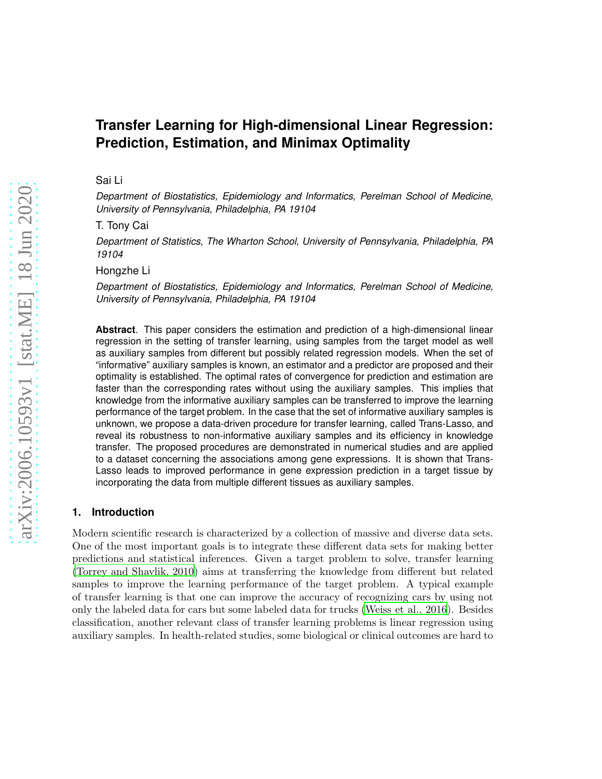# **Transfer Learning for High-dimensional Linear Regression: Prediction, Estimation, and Minimax Optimality**

# Sai Li

*Department of Biostatistics, Epidemiology and Informatics, Perelman School of Medicine, University of Pennsylvania, Philadelphia, PA 19104*

T. Tony Cai

*Department of Statistics, The Wharton School, University of Pennsylvania, Philadelphia, PA 19104*

Hongzhe Li

*Department of Biostatistics, Epidemiology and Informatics, Perelman School of Medicine, University of Pennsylvania, Philadelphia, PA 19104*

**Abstract**. This paper considers the estimation and prediction of a high-dimensional linear regression in the setting of transfer learning, using samples from the target model as well as auxiliary samples from different but possibly related regression models. When the set of "informative" auxiliary samples is known, an estimator and a predictor are proposed and their optimality is established. The optimal rates of convergence for prediction and estimation are faster than the corresponding rates without using the auxiliary samples. This implies that knowledge from the informative auxiliary samples can be transferred to improve the learning performance of the target problem. In the case that the set of informative auxiliary samples is unknown, we propose a data-driven procedure for transfer learning, called Trans-Lasso, and reveal its robustness to non-informative auxiliary samples and its efficiency in knowledge transfer. The proposed procedures are demonstrated in numerical studies and are applied to a dataset concerning the associations among gene expressions. It is shown that Trans-Lasso leads to improved performance in gene expression prediction in a target tissue by incorporating the data from multiple different tissues as auxiliary samples.

# **1. Introduction**

Modern scientific research is characterized by a collection of massive and diverse data sets. One of the most important goals is to integrate these different data sets for making better predictions and statistical inferences. Given a target problem to solve, transfer learning [\(Torrey and Shavlik, 2010](#page-28-0)) aims at transferring the knowledge from different but related samples to improve the learning performance of the target problem. A typical example of transfer learning is that one can improve the accuracy of recognizing cars by using not only the labeled data for cars but some labeled data for trucks [\(Weiss et al., 2016\)](#page-28-1). Besides classification, another relevant class of transfer learning problems is linear regression using auxiliary samples. In health-related studies, some biological or clinical outcomes are hard to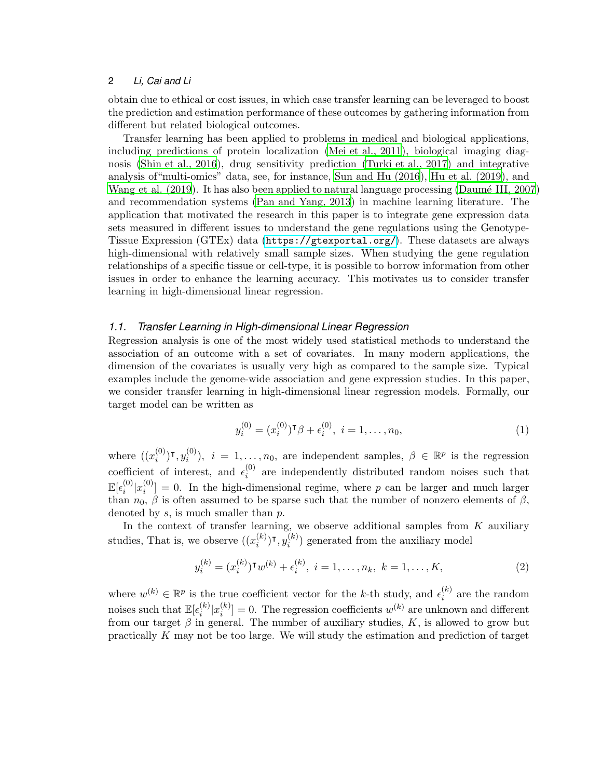obtain due to ethical or cost issues, in which case transfer learning can be leveraged to boost the prediction and estimation performance of these outcomes by gathering information from different but related biological outcomes.

Transfer learning has been applied to problems in medical and biological applications, including predictions of protein localization [\(Mei et al.,](#page-27-0) 2011), biological imaging diagnosis [\(Shin et al., 2016](#page-27-1)), drug sensitivity prediction [\(Turki et al., 2017](#page-28-2)) and integrative analysis of"multi-omics" data, see, for instance, [Sun and Hu \(2016](#page-27-2)), [Hu et al. \(2019](#page-27-3)), and Wang et al.  $(2019)$ . It has also been applied to natural language processing (Daumé III, 2007) and recommendation systems [\(Pan and Yang, 2013](#page-27-4)) in machine learning literature. The application that motivated the research in this paper is to integrate gene expression data sets measured in different issues to understand the gene regulations using the Genotype-Tissue Expression (GTEx) data (<https://gtexportal.org/>). These datasets are always high-dimensional with relatively small sample sizes. When studying the gene regulation relationships of a specific tissue or cell-type, it is possible to borrow information from other issues in order to enhance the learning accuracy. This motivates us to consider transfer learning in high-dimensional linear regression.

### *1.1. Transfer Learning in High-dimensional Linear Regression*

Regression analysis is one of the most widely used statistical methods to understand the association of an outcome with a set of covariates. In many modern applications, the dimension of the covariates is usually very high as compared to the sample size. Typical examples include the genome-wide association and gene expression studies. In this paper, we consider transfer learning in high-dimensional linear regression models. Formally, our target model can be written as

<span id="page-1-0"></span>
$$
y_i^{(0)} = (x_i^{(0)})^\mathsf{T} \beta + \epsilon_i^{(0)}, \ i = 1, \dots, n_0,\tag{1}
$$

where  $(x_i^{(0)}$  $\binom{(0)}{i}$ Т,  $y_i^{(0)}$  $i^{(0)}$ ,  $i = 1, ..., n_0$ , are independent samples,  $\beta \in \mathbb{R}^p$  is the regression coefficient of interest, and  $\epsilon_i^{(0)}$  $i^{(0)}$  are independently distributed random noises such that  $\mathbb{E}[\epsilon_i^{(0)}]$  $\binom{0}{i} x_i^{(0)}$  $\mathcal{L}^{(0)}_i$  = 0. In the high-dimensional regime, where p can be larger and much larger than  $n_0$ ,  $\beta$  is often assumed to be sparse such that the number of nonzero elements of  $\beta$ , denoted by  $s$ , is much smaller than  $p$ .

In the context of transfer learning, we observe additional samples from  $K$  auxiliary studies, That is, we observe  $((x_i^{(k)})$  $\binom(k){{i}}$ т,  $y_i^{(k)}$  $i^{(k)}$ ) generated from the auxiliary model

$$
y_i^{(k)} = (x_i^{(k)})^{\mathsf{T}} w^{(k)} + \epsilon_i^{(k)}, \ i = 1, \dots, n_k, \ k = 1, \dots, K,
$$
 (2)

where  $w^{(k)} \in \mathbb{R}^p$  is the true coefficient vector for the k-th study, and  $\epsilon_i^{(k)}$  $i^{(k)}$  are the random noises such that  $\mathbb{E}[\epsilon_i^{(k)}]$  $\binom{k}{i}$   $x_i^{(k)}$  $\binom{k}{i}$  = 0. The regression coefficients  $w^{(k)}$  are unknown and different from our target  $\beta$  in general. The number of auxiliary studies, K, is allowed to grow but practically K may not be too large. We will study the estimation and prediction of target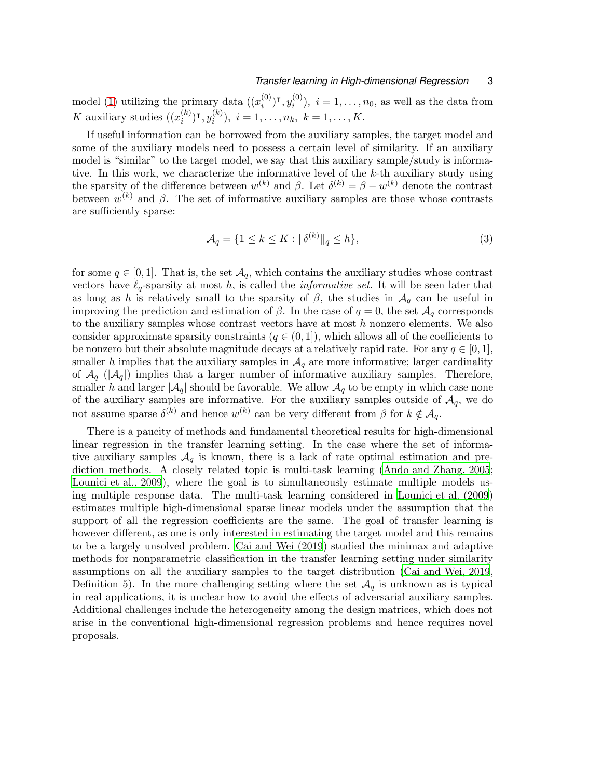# *Transfer learning in High-dimensional Regression* 3

model [\(1\)](#page-1-0) utilizing the primary data  $((x_i^{(0)})$  $\binom{(0)}{i}$ Т,  $y_i^{(0)}$  $i^{(0)}$ ,  $i = 1, \ldots, n_0$ , as well as the data from K auxiliary studies  $((x_i^{(k)})$  $\binom(k){{i}}$ т,  $y_i^{(k)}$  $i_i^{(k)}$ ,  $i = 1, \ldots, n_k, k = 1, \ldots, K.$ 

If useful information can be borrowed from the auxiliary samples, the target model and some of the auxiliary models need to possess a certain level of similarity. If an auxiliary model is "similar" to the target model, we say that this auxiliary sample/study is informative. In this work, we characterize the informative level of the k-th auxiliary study using the sparsity of the difference between  $w^{(k)}$  and  $\beta$ . Let  $\delta^{(k)} = \beta - w^{(k)}$  denote the contrast between  $w^{(k)}$  and  $\beta$ . The set of informative auxiliary samples are those whose contrasts are sufficiently sparse:

<span id="page-2-0"></span>
$$
\mathcal{A}_q = \{ 1 \le k \le K : \|\delta^{(k)}\|_q \le h \},\tag{3}
$$

for some  $q \in [0,1]$ . That is, the set  $\mathcal{A}_q$ , which contains the auxiliary studies whose contrast vectors have  $\ell_q$ -sparsity at most h, is called the *informative set*. It will be seen later that as long as h is relatively small to the sparsity of  $\beta$ , the studies in  $\mathcal{A}_q$  can be useful in improving the prediction and estimation of  $\beta$ . In the case of  $q=0$ , the set  $\mathcal{A}_q$  corresponds to the auxiliary samples whose contrast vectors have at most  $h$  nonzero elements. We also consider approximate sparsity constraints  $(q \in (0, 1])$ , which allows all of the coefficients to be nonzero but their absolute magnitude decays at a relatively rapid rate. For any  $q \in [0,1]$ , smaller h implies that the auxiliary samples in  $A<sub>q</sub>$  are more informative; larger cardinality of  $\mathcal{A}_q$  ( $|\mathcal{A}_q|$ ) implies that a larger number of informative auxiliary samples. Therefore, smaller h and larger  $|\mathcal{A}_q|$  should be favorable. We allow  $\mathcal{A}_q$  to be empty in which case none of the auxiliary samples are informative. For the auxiliary samples outside of  $A<sub>q</sub>$ , we do not assume sparse  $\delta^{(k)}$  and hence  $w^{(k)}$  can be very different from  $\beta$  for  $k \notin \mathcal{A}_q$ .

There is a paucity of methods and fundamental theoretical results for high-dimensional linear regression in the transfer learning setting. In the case where the set of informative auxiliary samples  $A_q$  is known, there is a lack of rate optimal estimation and prediction methods. A closely related topic is multi-task learning [\(Ando and Zhang, 2005;](#page-26-1) [Lounici et al., 2009](#page-27-5)), where the goal is to simultaneously estimate multiple models using multiple response data. The multi-task learning considered in [Lounici et al. \(2009](#page-27-5)) estimates multiple high-dimensional sparse linear models under the assumption that the support of all the regression coefficients are the same. The goal of transfer learning is however different, as one is only interested in estimating the target model and this remains to be a largely unsolved problem. [Cai and Wei \(2019\)](#page-26-2) studied the minimax and adaptive methods for nonparametric classification in the transfer learning setting under similarity assumptions on all the auxiliary samples to the target distribution [\(Cai and Wei, 2019,](#page-26-2) Definition 5). In the more challenging setting where the set  $\mathcal{A}_q$  is unknown as is typical in real applications, it is unclear how to avoid the effects of adversarial auxiliary samples. Additional challenges include the heterogeneity among the design matrices, which does not arise in the conventional high-dimensional regression problems and hence requires novel proposals.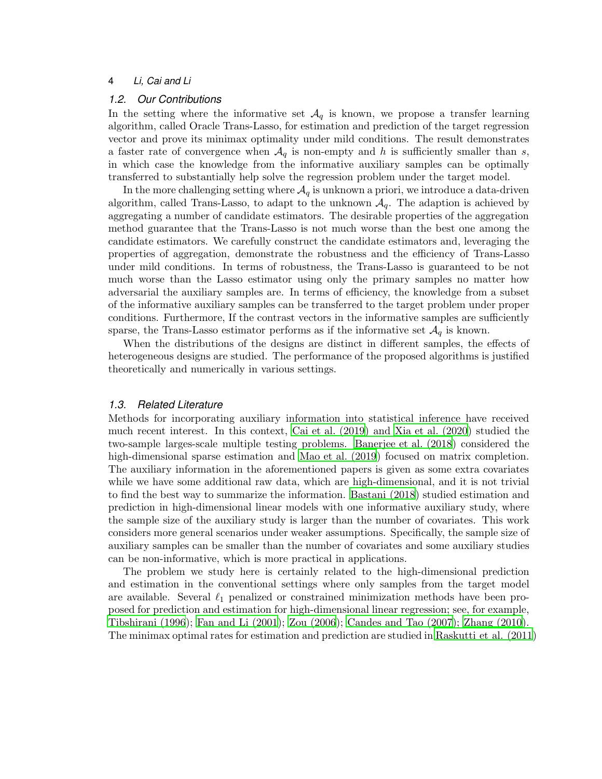#### *1.2. Our Contributions*

In the setting where the informative set  $\mathcal{A}_q$  is known, we propose a transfer learning algorithm, called Oracle Trans-Lasso, for estimation and prediction of the target regression vector and prove its minimax optimality under mild conditions. The result demonstrates a faster rate of convergence when  $\mathcal{A}_q$  is non-empty and h is sufficiently smaller than s, in which case the knowledge from the informative auxiliary samples can be optimally transferred to substantially help solve the regression problem under the target model.

In the more challenging setting where  $A_q$  is unknown a priori, we introduce a data-driven algorithm, called Trans-Lasso, to adapt to the unknown  $A<sub>q</sub>$ . The adaption is achieved by aggregating a number of candidate estimators. The desirable properties of the aggregation method guarantee that the Trans-Lasso is not much worse than the best one among the candidate estimators. We carefully construct the candidate estimators and, leveraging the properties of aggregation, demonstrate the robustness and the efficiency of Trans-Lasso under mild conditions. In terms of robustness, the Trans-Lasso is guaranteed to be not much worse than the Lasso estimator using only the primary samples no matter how adversarial the auxiliary samples are. In terms of efficiency, the knowledge from a subset of the informative auxiliary samples can be transferred to the target problem under proper conditions. Furthermore, If the contrast vectors in the informative samples are sufficiently sparse, the Trans-Lasso estimator performs as if the informative set  $\mathcal{A}_q$  is known.

When the distributions of the designs are distinct in different samples, the effects of heterogeneous designs are studied. The performance of the proposed algorithms is justified theoretically and numerically in various settings.

# *1.3. Related Literature*

Methods for incorporating auxiliary information into statistical inference have received much recent interest. In this context, [Cai et al. \(2019](#page-26-3)) and [Xia et al. \(2020\)](#page-28-4) studied the two-sample larges-scale multiple testing problems. [Banerjee et al. \(2018](#page-26-4)) considered the high-dimensional sparse estimation and [Mao et al. \(2019](#page-27-6)) focused on matrix completion. The auxiliary information in the aforementioned papers is given as some extra covariates while we have some additional raw data, which are high-dimensional, and it is not trivial to find the best way to summarize the information. [Bastani \(2018](#page-26-5)) studied estimation and prediction in high-dimensional linear models with one informative auxiliary study, where the sample size of the auxiliary study is larger than the number of covariates. This work considers more general scenarios under weaker assumptions. Specifically, the sample size of auxiliary samples can be smaller than the number of covariates and some auxiliary studies can be non-informative, which is more practical in applications.

The problem we study here is certainly related to the high-dimensional prediction and estimation in the conventional settings where only samples from the target model are available. Several  $\ell_1$  penalized or constrained minimization methods have been proposed for prediction and estimation for high-dimensional linear regression; see, for example, [Tibshirani \(1996\)](#page-27-7); [Fan and Li \(2001](#page-26-6)); [Zou \(2006\)](#page-28-5); [Candes and](#page-26-7) Tao (2007); [Zhang \(2010](#page-28-6)). The minimax optimal rates for estimation and prediction are studied in [Raskutti et al. \(2011\)](#page-27-8)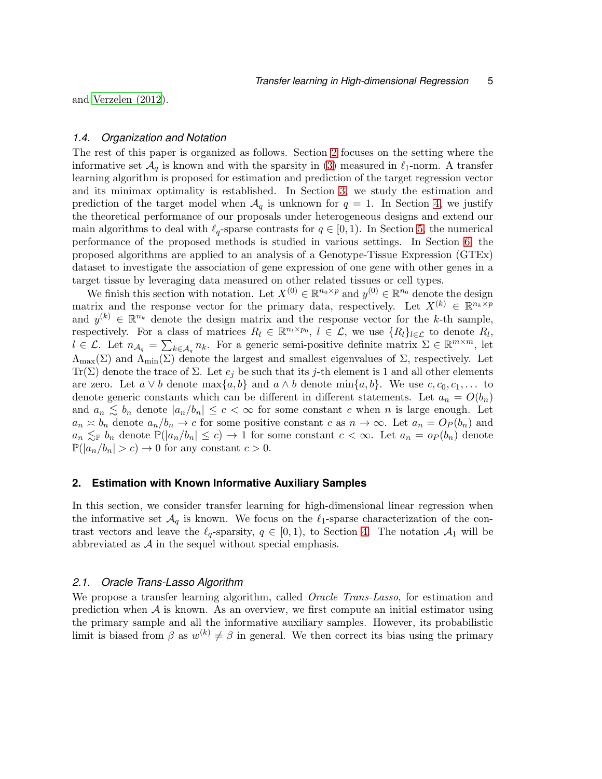and [Verzelen \(2012](#page-28-7)).

#### *1.4. Organization and Notation*

The rest of this paper is organized as follows. Section [2](#page-4-0) focuses on the setting where the informative set  $\mathcal{A}_q$  is known and with the sparsity in [\(3\)](#page-2-0) measured in  $\ell_1$ -norm. A transfer learning algorithm is proposed for estimation and prediction of the target regression vector and its minimax optimality is established. In Section [3,](#page-7-0) we study the estimation and prediction of the target model when  $\mathcal{A}_q$  is unknown for  $q = 1$ . In Section [4,](#page-14-0) we justify the theoretical performance of our proposals under heterogeneous designs and extend our main algorithms to deal with  $\ell_q$ -sparse contrasts for  $q \in [0,1)$ . In Section [5,](#page-18-0) the numerical performance of the proposed methods is studied in various settings. In Section [6,](#page-22-0) the proposed algorithms are applied to an analysis of a Genotype-Tissue Expression (GTEx) dataset to investigate the association of gene expression of one gene with other genes in a target tissue by leveraging data measured on other related tissues or cell types.

We finish this section with notation. Let  $X^{(0)} \in \mathbb{R}^{n_0 \times p}$  and  $y^{(0)} \in \mathbb{R}^{n_0}$  denote the design matrix and the response vector for the primary data, respectively. Let  $X^{(k)} \in \mathbb{R}^{n_k \times p}$ and  $y^{(k)} \in \mathbb{R}^{n_k}$  denote the design matrix and the response vector for the k-th sample, respectively. For a class of matrices  $R_l \in \mathbb{R}^{n_l \times p_0}$ ,  $l \in \mathcal{L}$ , we use  $\{R_l\}_{l \in \mathcal{L}}$  to denote  $R_l$ ,  $l \in \mathcal{L}$ . Let  $n_{\mathcal{A}_q} = \sum_{k \in \mathcal{A}_q} n_k$ . For a generic semi-positive definite matrix  $\Sigma \in \mathbb{R}^{m \times m}$ , let  $\Lambda_{\text{max}}(\Sigma)$  and  $\Lambda_{\text{min}}(\Sigma)$  denote the largest and smallest eigenvalues of  $\Sigma$ , respectively. Let Tr( $\Sigma$ ) denote the trace of  $\Sigma$ . Let  $e_j$  be such that its j-th element is 1 and all other elements are zero. Let  $a \vee b$  denote  $\max\{a, b\}$  and  $a \wedge b$  denote  $\min\{a, b\}$ . We use  $c, c_0, c_1, \ldots$  to denote generic constants which can be different in different statements. Let  $a_n = O(b_n)$ and  $a_n \leq b_n$  denote  $|a_n/b_n| \leq c < \infty$  for some constant c when n is large enough. Let  $a_n \approx b_n$  denote  $a_n/b_n \to c$  for some positive constant c as  $n \to \infty$ . Let  $a_n = O_P(b_n)$  and  $a_n \lesssim_{\mathbb{P}} b_n$  denote  $\mathbb{P}(|a_n/b_n| \leq c) \to 1$  for some constant  $c < \infty$ . Let  $a_n = o_P(b_n)$  denote  $\mathbb{P}(|a_n/b_n| > c) \to 0$  for any constant  $c > 0$ .

# <span id="page-4-0"></span>**2. Estimation with Known Informative Auxiliary Samples**

In this section, we consider transfer learning for high-dimensional linear regression when the informative set  $\mathcal{A}_q$  is known. We focus on the  $\ell_1$ -sparse characterization of the contrast vectors and leave the  $\ell_q$ -sparsity,  $q \in [0,1)$ , to Section [4.](#page-14-0) The notation  $\mathcal{A}_1$  will be abbreviated as  $A$  in the sequel without special emphasis.

#### <span id="page-4-1"></span>*2.1. Oracle Trans-Lasso Algorithm*

We propose a transfer learning algorithm, called *Oracle Trans-Lasso*, for estimation and prediction when  $A$  is known. As an overview, we first compute an initial estimator using the primary sample and all the informative auxiliary samples. However, its probabilistic limit is biased from  $\beta$  as  $w^{(k)} \neq \beta$  in general. We then correct its bias using the primary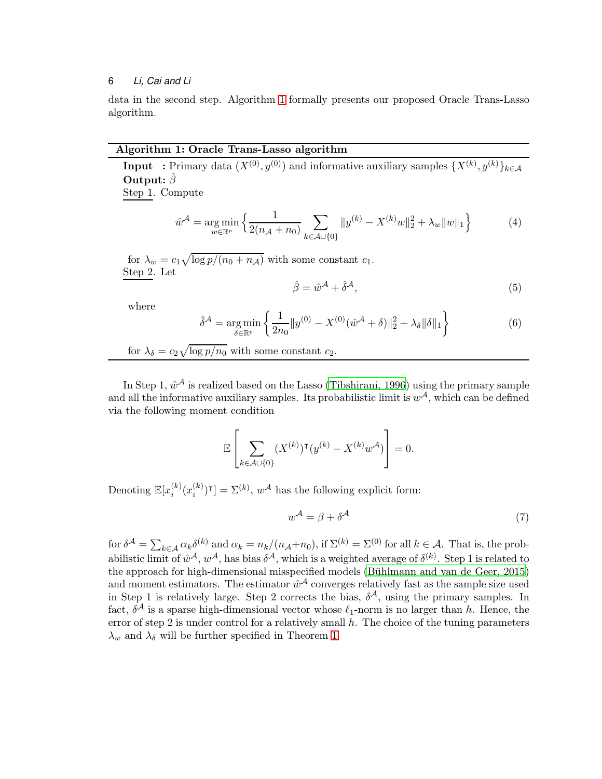data in the second step. Algorithm [1](#page-5-0) formally presents our proposed Oracle Trans-Lasso algorithm.

# Algorithm 1: Oracle Trans-Lasso algorithm

**Input** : Primary data  $(X^{(0)}, y^{(0)})$  and informative auxiliary samples  $\{X^{(k)}, y^{(k)}\}_{k\in\mathcal{A}}$ Output:  $\hat{\beta}$ 

Step 1. Compute

$$
\hat{w}^{\mathcal{A}} = \underset{w \in \mathbb{R}^p}{\arg \min} \left\{ \frac{1}{2(n_{\mathcal{A}} + n_0)} \sum_{k \in \mathcal{A} \cup \{0\}} \|y^{(k)} - X^{(k)}w\|_2^2 + \lambda_w \|w\|_1 \right\} \tag{4}
$$

for  $\lambda_w = c_1 \sqrt{\log p/(n_0 + n_{\mathcal{A}})}$  with some constant  $c_1$ . Step 2. Let

<span id="page-5-0"></span>
$$
\hat{\beta} = \hat{w}^{\mathcal{A}} + \hat{\delta}^{\mathcal{A}},\tag{5}
$$

where

$$
\hat{\delta}^{\mathcal{A}} = \underset{\delta \in \mathbb{R}^p}{\arg \min} \left\{ \frac{1}{2n_0} \|y^{(0)} - X^{(0)}(\hat{w}^{\mathcal{A}} + \delta)\|_2^2 + \lambda_{\delta} \|\delta\|_1 \right\}
$$
(6)

for 
$$
\lambda_{\delta} = c_2 \sqrt{\log p/n_0}
$$
 with some constant  $c_2$ .

In Step 1,  $\hat{w}^{\mathcal{A}}$  is realized based on the Lasso [\(Tibshirani, 1996\)](#page-27-7) using the primary sample and all the informative auxiliary samples. Its probabilistic limit is  $w^{\mathcal{A}}$ , which can be defined via the following moment condition

$$
\mathbb{E}\left[\sum_{k\in\mathcal{A}\cup\{0\}}(X^{(k)})^\intercal(y^{(k)}-X^{(k)}w^{\mathcal{A}})\right]=0.
$$

Denoting  $\mathbb{E}[x_i^{(k)}]$  $i^{(k)}(x_i^{(k)}$  $\binom{k}{i}$ <sup>T</sup> $] = \sum^{(k)}$ ,  $w^{\mathcal{A}}$  has the following explicit form:

<span id="page-5-1"></span>
$$
w^{\mathcal{A}} = \beta + \delta^{\mathcal{A}} \tag{7}
$$

for  $\delta^{\mathcal{A}} = \sum_{k \in \mathcal{A}} \alpha_k \delta^{(k)}$  and  $\alpha_k = n_k/(n_{\mathcal{A}}+n_0)$ , if  $\Sigma^{(k)} = \Sigma^{(0)}$  for all  $k \in \mathcal{A}$ . That is, the probabilistic limit of  $\hat{w}^{\mathcal{A}}, w^{\mathcal{A}},$  has bias  $\delta^{\mathcal{A}},$  which is a weighted average of  $\delta^{(k)}$ . Step 1 is related to the approach for high-dimensional misspecified models (Bühlmann and van de Geer, 2015) and moment estimators. The estimator  $\hat{w}^{\mathcal{A}}$  converges relatively fast as the sample size used in Step 1 is relatively large. Step 2 corrects the bias,  $\delta^{\mathcal{A}}$ , using the primary samples. In fact,  $\delta^{\mathcal{A}}$  is a sparse high-dimensional vector whose  $\ell_1$ -norm is no larger than h. Hence, the error of step 2 is under control for a relatively small  $h$ . The choice of the tuning parameters  $\lambda_w$  and  $\lambda_\delta$  will be further specified in Theorem [1.](#page-6-0)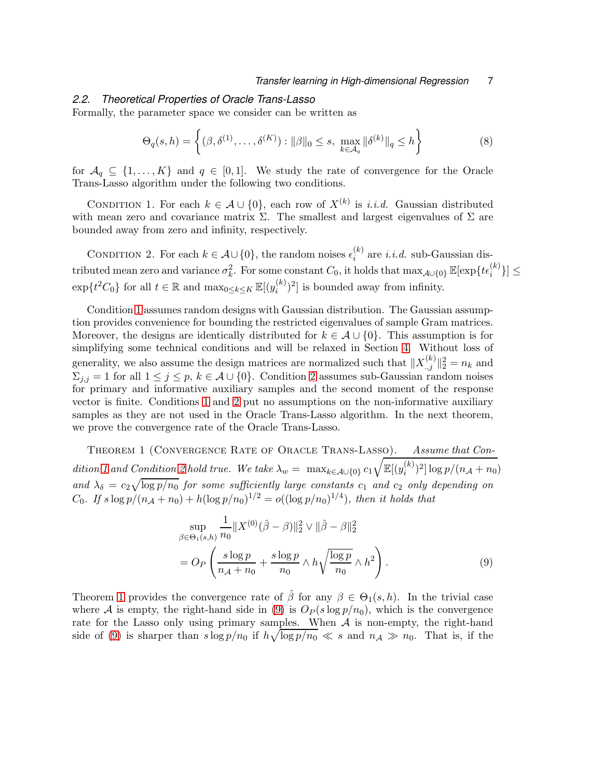# *2.2. Theoretical Properties of Oracle Trans-Lasso*

Formally, the parameter space we consider can be written as

<span id="page-6-1"></span>
$$
\Theta_q(s, h) = \left\{ (\beta, \delta^{(1)}, \dots, \delta^{(K)}) : ||\beta||_0 \le s, \ \max_{k \in \mathcal{A}_q} ||\delta^{(k)}||_q \le h \right\}
$$
(8)

for  $A_q \subseteq \{1, ..., K\}$  and  $q \in [0, 1]$ . We study the rate of convergence for the Oracle Trans-Lasso algorithm under the following two conditions.

CONDITION 1. For each  $k \in \mathcal{A} \cup \{0\}$ , each row of  $X^{(k)}$  is *i.i.d.* Gaussian distributed with mean zero and covariance matrix  $\Sigma$ . The smallest and largest eigenvalues of  $\Sigma$  are bounded away from zero and infinity, respectively.

<span id="page-6-2"></span>CONDITION 2. For each  $k \in \mathcal{A} \cup \{0\}$ , the random noises  $\epsilon_i^{(k)}$  $i^{(k)}$  are *i.i.d.* sub-Gaussian distributed mean zero and variance  $\sigma_k^2$ . For some constant  $C_0$ , it holds that  $\max_{\mathcal{A} \cup \{0\}} \mathbb{E}[\exp\{t\epsilon_i^{(k)}\}] \leq$  $\exp\{t^2 C_0\}$  for all  $t \in \mathbb{R}$  and  $\max_{0 \le k \le K} \mathbb{E}[(y_i^{(k)})$  $\binom{k}{i}^2$  is bounded away from infinity.

Condition [1](#page-6-1) assumes random designs with Gaussian distribution. The Gaussian assumption provides convenience for bounding the restricted eigenvalues of sample Gram matrices. Moreover, the designs are identically distributed for  $k \in \mathcal{A} \cup \{0\}$ . This assumption is for simplifying some technical conditions and will be relaxed in Section [4.](#page-14-0) Without loss of generality, we also assume the design matrices are normalized such that  $||X_{.,j}^{(k)}||_2^2 = n_k$  and  $\Sigma_{j,j} = 1$  for all  $1 \leq j \leq p$ ,  $k \in \mathcal{A} \cup \{0\}$ . Condition [2](#page-6-2) assumes sub-Gaussian random noises for primary and informative auxiliary samples and the second moment of the response vector is finite. Conditions [1](#page-6-1) and [2](#page-6-2) put no assumptions on the non-informative auxiliary samples as they are not used in the Oracle Trans-Lasso algorithm. In the next theorem, we prove the convergence rate of the Oracle Trans-Lasso.

<span id="page-6-0"></span>THEOREM 1 (CONVERGENCE RATE OF ORACLE TRANS-LASSO). Assume that Con-dition [1](#page-6-1) and Condition [2](#page-6-2) hold true. We take  $\lambda_w = \max_{k \in \mathcal{A} \cup \{0\}} c_1$  $\sqrt{\mathbb{E}[(y_i^{(k)})]}$  $\binom{k}{i}^2 \log p/(n_{\mathcal{A}} + n_0)$ and  $\lambda_{\delta} = c_2 \sqrt{\log p/n_0}$  for some sufficiently large constants  $c_1$  and  $c_2$  only depending on C<sub>0</sub>. If  $s \log p/(n_{A} + n_{0}) + h(\log p/n_{0})^{1/2} = o((\log p/n_{0})^{1/4})$ , then it holds that

<span id="page-6-3"></span>
$$
\sup_{\beta \in \Theta_1(s,h)} \frac{1}{n_0} \|X^{(0)}(\hat{\beta} - \beta)\|_2^2 \vee \|\hat{\beta} - \beta\|_2^2
$$
  
= 
$$
O_P\left(\frac{s \log p}{n_A + n_0} + \frac{s \log p}{n_0} \wedge h\sqrt{\frac{\log p}{n_0}} \wedge h^2\right).
$$
 (9)

Theorem [1](#page-6-0) provides the convergence rate of  $\hat{\beta}$  for any  $\beta \in \Theta_1(s,h)$ . In the trivial case where A is empty, the right-hand side in [\(9\)](#page-6-3) is  $O_P(s \log p/n_0)$ , which is the convergence rate for the Lasso only using primary samples. When  $A$  is non-empty, the right-hand side of [\(9\)](#page-6-3) is sharper than  $s \log p/n_0$  if  $h \sqrt{\log p/n_0} \ll s$  and  $n_A \gg n_0$ . That is, if the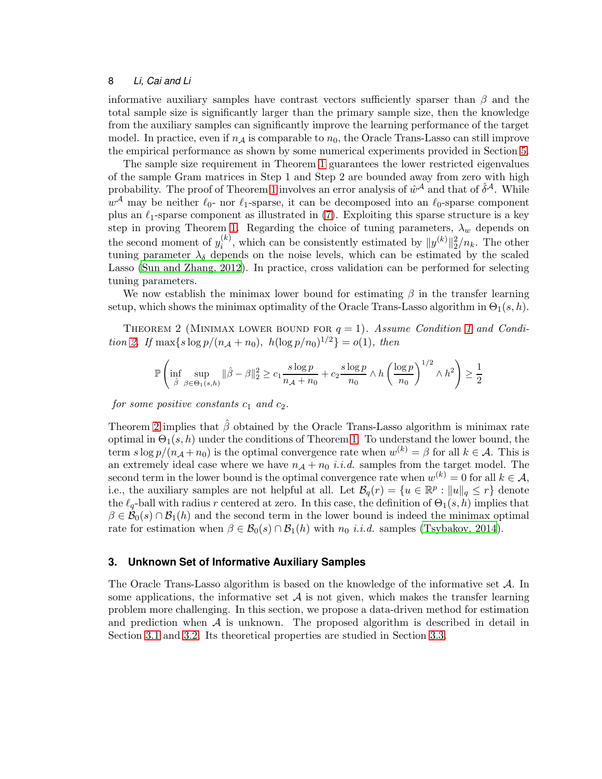informative auxiliary samples have contrast vectors sufficiently sparser than  $\beta$  and the total sample size is significantly larger than the primary sample size, then the knowledge from the auxiliary samples can significantly improve the learning performance of the target model. In practice, even if  $n_A$  is comparable to  $n_0$ , the Oracle Trans-Lasso can still improve the empirical performance as shown by some numerical experiments provided in Section [5.](#page-18-0)

The sample size requirement in Theorem [1](#page-6-0) guarantees the lower restricted eigenvalues of the sample Gram matrices in Step 1 and Step 2 are bounded away from zero with high probability. The proof of Theorem [1](#page-6-0) involves an error analysis of  $\hat{w}^{\mathcal{A}}$  and that of  $\hat{\delta}^{\mathcal{A}}$ . While  $w^{\mathcal{A}}$  may be neither  $\ell_0$ - nor  $\ell_1$ -sparse, it can be decomposed into an  $\ell_0$ -sparse component plus an  $\ell_1$ -sparse component as illustrated in [\(7\)](#page-5-1). Exploiting this sparse structure is a key step in proving Theorem [1.](#page-6-0) Regarding the choice of tuning parameters,  $\lambda_w$  depends on the second moment of  $y_i^{(k)}$  $\binom{k}{i}$ , which can be consistently estimated by  $||y^{(k)}||_2^2/n_k$ . The other tuning parameter  $\lambda_{\delta}$  depends on the noise levels, which can be estimated by the scaled Lasso [\(Sun and Zhang, 2012](#page-27-9)). In practice, cross validation can be performed for selecting tuning parameters.

We now establish the minimax lower bound for estimating  $\beta$  in the transfer learning setup, which shows the minimax optimality of the Oracle Trans-Lasso algorithm in  $\Theta_1(s, h)$ .

THEOREM 2 (MINIMAX LOWER BOUND FOR  $q = 1$  $q = 1$ ). Assume Condition 1 and Condi-tion [2.](#page-6-2) If  $\max\{s \log p/(n_{\mathcal{A}} + n_0), h(\log p/n_0)^{1/2}\} = o(1)$ , then

<span id="page-7-1"></span>
$$
\mathbb{P}\left(\inf_{\hat{\beta}}\sup_{\beta\in\Theta_1(s,h)}\|\hat{\beta}-\beta\|_2^2\geq c_1\frac{s\log p}{n_{\mathcal{A}}+n_0}+c_2\frac{s\log p}{n_0}\wedge h\left(\frac{\log p}{n_0}\right)^{1/2}\wedge h^2\right)\geq\frac{1}{2}
$$

for some positive constants  $c_1$  and  $c_2$ .

Theorem [2](#page-7-1) implies that  $\hat{\beta}$  obtained by the Oracle Trans-Lasso algorithm is minimax rate optimal in  $\Theta_1(s, h)$  under the conditions of Theorem [1.](#page-6-0) To understand the lower bound, the term  $s \log p/(n_{\mathcal{A}} + n_0)$  is the optimal convergence rate when  $w^{(k)} = \beta$  for all  $k \in \mathcal{A}$ . This is an extremely ideal case where we have  $n_A + n_0$  *i.i.d.* samples from the target model. The second term in the lower bound is the optimal convergence rate when  $w^{(k)} = 0$  for all  $k \in \mathcal{A}$ , i.e., the auxiliary samples are not helpful at all. Let  $\mathcal{B}_q(r) = \{u \in \mathbb{R}^p : ||u||_q \leq r\}$  denote the  $\ell_q$ -ball with radius r centered at zero. In this case, the definition of  $\Theta_1(s,h)$  implies that  $\beta \in \mathcal{B}_0(s) \cap \mathcal{B}_1(h)$  and the second term in the lower bound is indeed the minimax optimal rate for estimation when  $\beta \in \mathcal{B}_0(s) \cap \mathcal{B}_1(h)$  with  $n_0$  *i.i.d.* samples [\(Tsybakov, 2014](#page-28-8)).

# <span id="page-7-0"></span>**3. Unknown Set of Informative Auxiliary Samples**

The Oracle Trans-Lasso algorithm is based on the knowledge of the informative set  $A$ . In some applications, the informative set  $A$  is not given, which makes the transfer learning problem more challenging. In this section, we propose a data-driven method for estimation and prediction when  $\mathcal A$  is unknown. The proposed algorithm is described in detail in Section [3.1](#page-8-0) and [3.2.](#page-9-0) Its theoretical properties are studied in Section [3.3.](#page-11-0)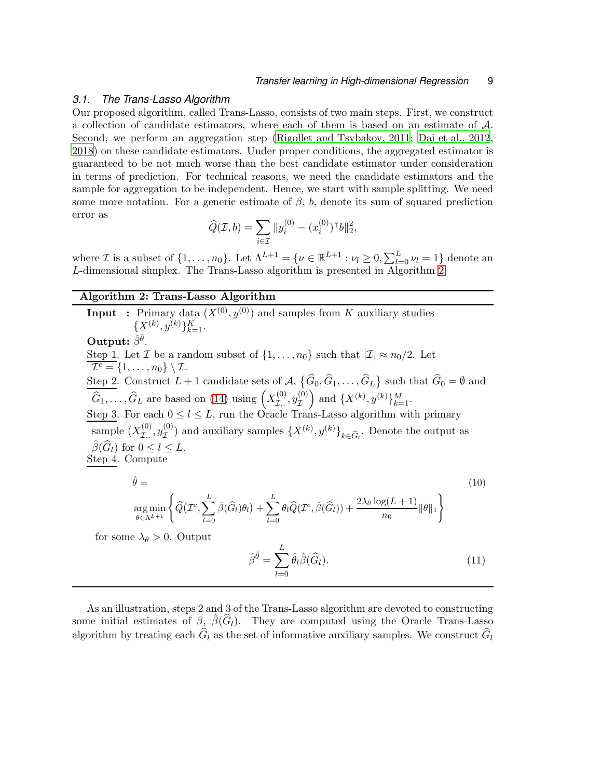# <span id="page-8-0"></span>*3.1. The Trans-Lasso Algorithm*

Our proposed algorithm, called Trans-Lasso, consists of two main steps. First, we construct a collection of candidate estimators, where each of them is based on an estimate of A. Second, we perform an aggregation step [\(Rigollet and Tsybakov, 2011](#page-27-10); [Dai et al., 2012,](#page-26-9) [2018](#page-26-10)) on these candidate estimators. Under proper conditions, the aggregated estimator is guaranteed to be not much worse than the best candidate estimator under consideration in terms of prediction. For technical reasons, we need the candidate estimators and the sample for aggregation to be independent. Hence, we start with sample splitting. We need some more notation. For a generic estimate of  $\beta$ , b, denote its sum of squared prediction error as

$$
\widehat{Q}(\mathcal{I}, b) = \sum_{i \in \mathcal{I}} \|y_i^{(0)} - (x_i^{(0)})^\mathsf{T} b\|_2^2,
$$

where *I* is a subset of  $\{1, \ldots, n_0\}$ . Let  $\Lambda^{L+1} = \{ \nu \in \mathbb{R}^{L+1} : \nu_l \geq 0, \sum_{l=0}^L \nu_l = 1 \}$  denote an L-dimensional simplex. The Trans-Lasso algorithm is presented in Algorithm [2.](#page-8-1)

# Algorithm 2: Trans-Lasso Algorithm

**Input** : Primary data  $(X^{(0)}, y^{(0)})$  and samples from K auxiliary studies  $\{X^{(k)}, y^{(k)}\}_{k=1}^K$ . Output:  $\hat{\beta}^{\hat{\theta}}$ . Step 1. Let  $\mathcal I$  be a random subset of  $\{1,\ldots,n_0\}$  such that  $|\mathcal I|\approx n_0/2$ . Let  $\overline{\mathcal{I}^c} = \{1, \ldots, n_0\} \setminus \mathcal{I}.$ Step 2. Construct  $L+1$  candidate sets of  $\mathcal{A}, \{\widehat{G}_0, \widehat{G}_1, \ldots, \widehat{G}_L\}$  such that  $\widehat{G}_0 = \emptyset$  and  $\overline{\hat{G}_1,\ldots,\hat{G}_L}$  are based on [\(14\)](#page-10-0) using  $\left(X_{\mathcal{I},\ldots}^{(0)}\right)$  $\overset{(0)}{\mathcal{I},\cdot} , y_{\mathcal{I}}^{(0)}$ I ) and  $\{X^{(k)}, y^{(k)}\}_{k=1}^M$ . Step 3. For each  $0 \leq l \leq L$ , run the Oracle Trans-Lasso algorithm with primary sample  $(X_{\tau}^{(0)}$  $\chi^{(0)}_{\mathcal{I},.}, y^{(0)}_{\mathcal{I}}$  $\mathcal{I}^{(0)}$  and auxiliary samples  $\{X^{(k)}, y^{(k)}\}_{k \in \widehat{G}_l}$ . Denote the output as  $\beta(G_l)$  for  $0 \leq l \leq L$ . Step 4. Compute  $\hat{\theta} =$  (10)

$$
\underset{\theta \in \Lambda^{L+1}}{\arg \min} \left\{ \widehat{Q}(\mathcal{I}^c, \sum_{l=0}^L \widehat{\beta}(\widehat{G}_l)\theta_l) + \sum_{l=0}^L \theta_l \widehat{Q}(\mathcal{I}^c, \widehat{\beta}(\widehat{G}_l)) + \frac{2\lambda_{\theta} \log(L+1)}{n_0} \|\theta\|_1 \right\}
$$

for some  $\lambda_{\theta} > 0$ . Output

$$
\hat{\beta}^{\hat{\theta}} = \sum_{l=0}^{L} \hat{\theta}_l \hat{\beta}(\hat{G}_l). \tag{11}
$$

<span id="page-8-1"></span>As an illustration, steps 2 and 3 of the Trans-Lasso algorithm are devoted to constructing some initial estimates of  $\beta$ ,  $\hat{\beta}(\hat{G}_l)$ . They are computed using the Oracle Trans-Lasso algorithm by treating each  $\hat{G}_l$  as the set of informative auxiliary samples. We construct  $\hat{G}_l$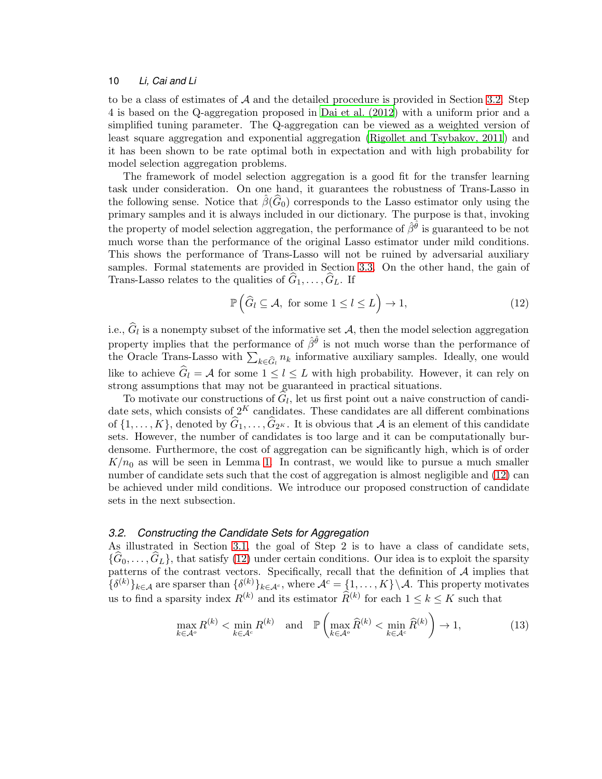to be a class of estimates of  $A$  and the detailed procedure is provided in Section [3.2.](#page-9-0) Step 4 is based on the Q-aggregation proposed in [Dai et al. \(2012\)](#page-26-9) with a uniform prior and a simplified tuning parameter. The Q-aggregation can be viewed as a weighted version of least square aggregation and exponential aggregation [\(Rigollet and Tsybakov, 2011](#page-27-10)) and it has been shown to be rate optimal both in expectation and with high probability for model selection aggregation problems.

The framework of model selection aggregation is a good fit for the transfer learning task under consideration. On one hand, it guarantees the robustness of Trans-Lasso in the following sense. Notice that  $\beta(G_0)$  corresponds to the Lasso estimator only using the primary samples and it is always included in our dictionary. The purpose is that, invoking the property of model selection aggregation, the performance of  $\hat{\beta}^{\hat{\theta}}$  is guaranteed to be not much worse than the performance of the original Lasso estimator under mild conditions. This shows the performance of Trans-Lasso will not be ruined by adversarial auxiliary samples. Formal statements are provided in Section [3.3.](#page-11-0) On the other hand, the gain of Trans-Lasso relates to the qualities of  $\widehat{G}_1, \ldots, \widehat{G}_L$ . If

<span id="page-9-1"></span>
$$
\mathbb{P}\left(\widehat{G}_l \subseteq \mathcal{A}, \text{ for some } 1 \le l \le L\right) \to 1,\tag{12}
$$

i.e.,  $G_l$  is a nonempty subset of the informative set  $\mathcal{A}$ , then the model selection aggregation property implies that the performance of  $\hat{\beta}^{\hat{\theta}}$  is not much worse than the performance of the Oracle Trans-Lasso with  $\sum_{k \in \hat{G}_l} n_k$  informative auxiliary samples. Ideally, one would like to achieve  $\hat{G}_l = A$  for some  $1 \leq l \leq L$  with high probability. However, it can rely on strong assumptions that may not be guaranteed in practical situations.

To motivate our constructions of  $G_l$ , let us first point out a naive construction of candidate sets, which consists of  $2^K$  candidates. These candidates are all different combinations of  $\{1, \ldots, K\}$ , denoted by  $G_1, \ldots, G_{2^K}$ . It is obvious that A is an element of this candidate sets. However, the number of candidates is too large and it can be computationally burdensome. Furthermore, the cost of aggregation can be significantly high, which is of order  $K/n_0$  as will be seen in Lemma [1.](#page-11-1) In contrast, we would like to pursue a much smaller number of candidate sets such that the cost of aggregation is almost negligible and [\(12\)](#page-9-1) can be achieved under mild conditions. We introduce our proposed construction of candidate sets in the next subsection.

# <span id="page-9-0"></span>*3.2. Constructing the Candidate Sets for Aggregation*

As illustrated in Section [3.1,](#page-8-0) the goal of Step 2 is to have a class of candidate sets,  $\{G_0, \ldots, G_L\}$ , that satisfy [\(12\)](#page-9-1) under certain conditions. Our idea is to exploit the sparsity patterns of the contrast vectors. Specifically, recall that the definition of  $A$  implies that  $\{\delta^{(k)}\}_{k\in\mathcal{A}}$  are sparser than  $\{\delta^{(k)}\}_{k\in\mathcal{A}^c}$ , where  $\mathcal{A}^c = \{1,\ldots,K\}\setminus\mathcal{A}$ . This property motivates us to find a sparsity index  $R^{(k)}$  and its estimator  $\widehat{R}^{(k)}$  for each  $1 \leq k \leq K$  such that

<span id="page-9-2"></span>
$$
\max_{k \in \mathcal{A}^o} R^{(k)} < \min_{k \in \mathcal{A}^c} R^{(k)} \quad \text{and} \quad \mathbb{P}\left(\max_{k \in \mathcal{A}^o} \widehat{R}^{(k)} < \min_{k \in \mathcal{A}^c} \widehat{R}^{(k)}\right) \to 1,\tag{13}
$$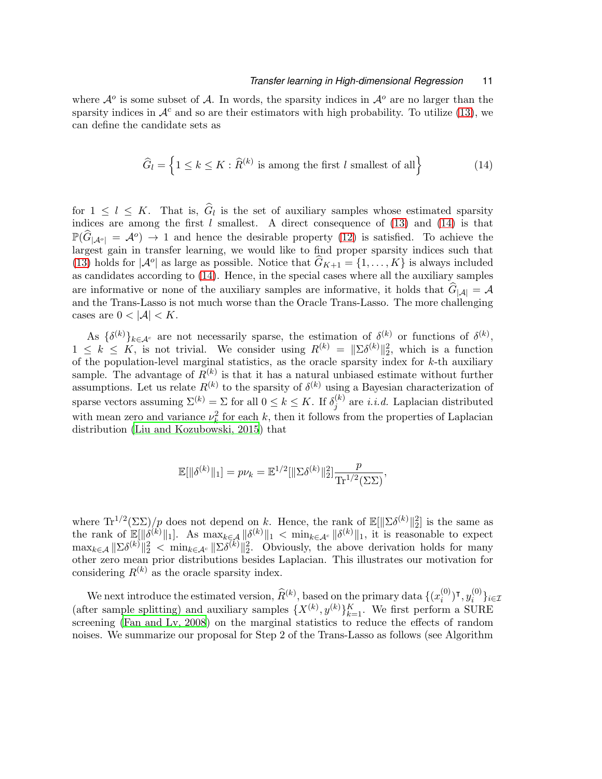where  $\mathcal{A}^o$  is some subset of  $\mathcal{A}$ . In words, the sparsity indices in  $\mathcal{A}^o$  are no larger than the sparsity indices in  $\mathcal{A}^c$  and so are their estimators with high probability. To utilize [\(13\)](#page-9-2), we can define the candidate sets as

<span id="page-10-0"></span>
$$
\widehat{G}_l = \left\{ 1 \le k \le K : \widehat{R}^{(k)} \text{ is among the first } l \text{ smallest of all} \right\} \tag{14}
$$

for  $1 \leq l \leq K$ . That is,  $G_l$  is the set of auxiliary samples whose estimated sparsity indices are among the first  $l$  smallest. A direct consequence of [\(13\)](#page-9-2) and [\(14\)](#page-10-0) is that  $\mathbb{P}(\widehat{G}_{|\mathcal{A}^o|} = \mathcal{A}^o) \to 1$  and hence the desirable property [\(12\)](#page-9-1) is satisfied. To achieve the largest gain in transfer learning, we would like to find proper sparsity indices such that [\(13\)](#page-9-2) holds for  $|\mathcal{A}^o|$  as large as possible. Notice that  $\widehat{G}_{K+1} = \{1, ..., K\}$  is always included as candidates according to [\(14\)](#page-10-0). Hence, in the special cases where all the auxiliary samples are informative or none of the auxiliary samples are informative, it holds that  $G_{|\mathcal{A}|} = \mathcal{A}$ and the Trans-Lasso is not much worse than the Oracle Trans-Lasso. The more challenging cases are  $0 < |\mathcal{A}| < K$ .

As  $\{\delta^{(k)}\}_{k\in\mathcal{A}^c}$  are not necessarily sparse, the estimation of  $\delta^{(k)}$  or functions of  $\delta^{(k)}$ ,  $1 \leq k \leq K$ , is not trivial. We consider using  $R^{(k)} = ||\Sigma \delta^{(k)}||_2^2$ , which is a function of the population-level marginal statistics, as the oracle sparsity index for  $k$ -th auxiliary sample. The advantage of  $R^{(k)}$  is that it has a natural unbiased estimate without further assumptions. Let us relate  $R^{(k)}$  to the sparsity of  $\delta^{(k)}$  using a Bayesian characterization of sparse vectors assuming  $\Sigma^{(k)} = \Sigma$  for all  $0 \le k \le K$ . If  $\delta_j^{(k)}$  $j^{(k)}$  are *i.i.d.* Laplacian distributed with mean zero and variance  $\nu_k^2$  for each k, then it follows from the properties of Laplacian distribution [\(Liu and Kozubowski, 2015\)](#page-27-11) that

$$
\mathbb{E}[\|\delta^{(k)}\|_1] = p\nu_k = \mathbb{E}^{1/2}[\|\Sigma \delta^{(k)}\|_2^2] \frac{p}{\mathrm{Tr}^{1/2}(\Sigma \Sigma)},
$$

where  $Tr^{1/2}(\Sigma\Sigma)/p$  does not depend on k. Hence, the rank of  $\mathbb{E}[\|\Sigma\delta^{(k)}\|_2^2]$  is the same as the rank of  $\mathbb{E}[\|\delta^{(k)}\|_1]$ . As  $\max_{k\in\mathcal{A}} \|\delta^{(k)}\|_1 < \min_{k\in\mathcal{A}^c} \|\delta^{(k)}\|_1$ , it is reasonable to expect  $\max_{k \in \mathcal{A}} ||\sum \delta^{(k)}||_2^2$  <  $\min_{k \in \mathcal{A}^c} ||\sum \delta^{(k)}||_2^2$ . Obviously, the above derivation holds for many other zero mean prior distributions besides Laplacian. This illustrates our motivation for considering  $R^{(k)}$  as the oracle sparsity index.

We next introduce the estimated version,  $\widehat{R}^{(k)}$ , based on the primary data  $\{(x_i^{(0)})$  $\binom{(0)}{i}$ Т,  $y_i^{(0)}$  $i \text{ }$ <sup>'</sup> } $i \in \mathcal{I}$ (after sample splitting) and auxiliary samples  $\{X^{(k)}, y^{(k)}\}_{k=1}^K$ . We first perform a SURE screening [\(Fan and Lv, 2008\)](#page-27-12) on the marginal statistics to reduce the effects of random noises. We summarize our proposal for Step 2 of the Trans-Lasso as follows (see Algorithm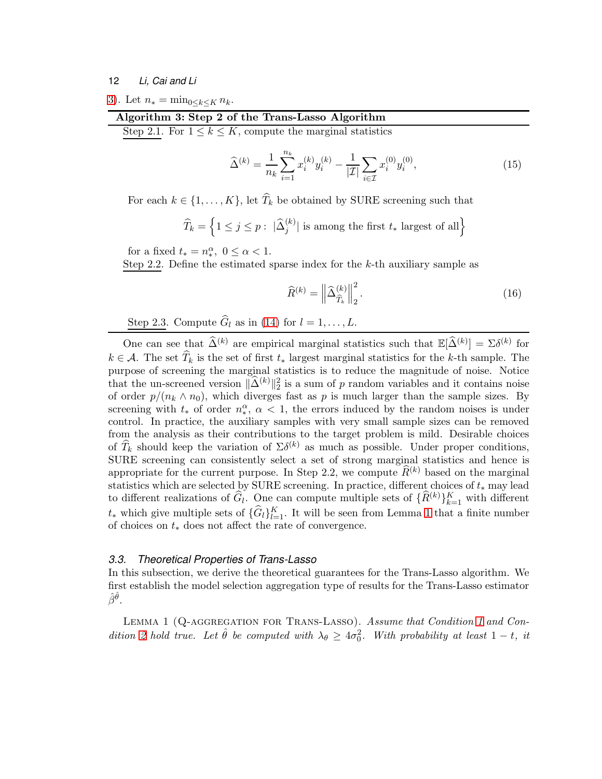[3\)](#page-11-2). Let  $n_* = \min_{0 \le k \le K} n_k$ .

| Algorithm 3: Step 2 of the Trans-Lasso Algorithm                  |  |  |
|-------------------------------------------------------------------|--|--|
| Step 2.1. For $1 \leq k \leq K$ , compute the marginal statistics |  |  |

$$
\widehat{\Delta}^{(k)} = \frac{1}{n_k} \sum_{i=1}^{n_k} x_i^{(k)} y_i^{(k)} - \frac{1}{|\mathcal{I}|} \sum_{i \in \mathcal{I}} x_i^{(0)} y_i^{(0)},\tag{15}
$$

For each  $k \in \{1, ..., K\}$ , let  $\widehat{T}_k$  be obtained by SURE screening such that

$$
\widehat{T}_k = \left\{1 \leq j \leq p: \; |\widehat{\Delta}_{j}^{(k)}| \text{ is among the first } t_* \text{ largest of all} \right\}
$$

for a fixed  $t_* = n_*^{\alpha}, 0 \leq \alpha < 1.$ 

Step 2.2. Define the estimated sparse index for the  $k$ -th auxiliary sample as

<span id="page-11-3"></span><span id="page-11-2"></span>
$$
\widehat{R}^{(k)} = \left\| \widehat{\Delta}_{\widehat{T}_k}^{(k)} \right\|_2^2.
$$
\n(16)

Step 2.3. Compute  $G_l$  as in [\(14\)](#page-10-0) for  $l = 1, \ldots, L$ .

One can see that  $\widehat{\Delta}^{(k)}$  are empirical marginal statistics such that  $\mathbb{E}[\widehat{\Delta}^{(k)}] = \Sigma \delta^{(k)}$  for  $k \in \mathcal{A}$ . The set  $\widehat{T}_k$  is the set of first  $t_*$  largest marginal statistics for the k-th sample. The purpose of screening the marginal statistics is to reduce the magnitude of noise. Notice that the un-screened version  $\|\hat{\Delta}^{(k)}\|_2^2$  is a sum of p random variables and it contains noise of order  $p/(n_k \wedge n_0)$ , which diverges fast as p is much larger than the sample sizes. By screening with  $t_*$  of order  $n_*^{\alpha}$ ,  $\alpha$  < 1, the errors induced by the random noises is under control. In practice, the auxiliary samples with very small sample sizes can be removed from the analysis as their contributions to the target problem is mild. Desirable choices of  $\widehat{T}_k$  should keep the variation of  $\Sigma \delta^{(k)}$  as much as possible. Under proper conditions, SURE screening can consistently select a set of strong marginal statistics and hence is appropriate for the current purpose. In Step 2.2, we compute  $\widehat{R}^{(k)}$  based on the marginal statistics which are selected by SURE screening. In practice, different choices of  $t_*$  may lead to different realizations of  $\hat{G}_l$ . One can compute multiple sets of  $\{R^{(k)}\}_{k=1}^K$  with different  $t_{*}$  which give multiple sets of  $\{\hat{G}_{l}\}_{l=1}^{K}$ . It will be seen from Lemma [1](#page-11-1) that a finite number of choices on  $t_*$  does not affect the rate of convergence.

### <span id="page-11-0"></span>*3.3. Theoretical Properties of Trans-Lasso*

In this subsection, we derive the theoretical guarantees for the Trans-Lasso algorithm. We first establish the model selection aggregation type of results for the Trans-Lasso estimator  $\hat{\beta}^{\hat{\theta}}.$ 

<span id="page-11-1"></span>LEMMA [1](#page-6-1) (Q-AGGREGATION FOR TRANS-LASSO). Assume that Condition 1 and Con-dition [2](#page-6-2) hold true. Let  $\hat{\theta}$  be computed with  $\lambda_{\theta} \geq 4\sigma_0^2$ . With probability at least  $1-t$ , it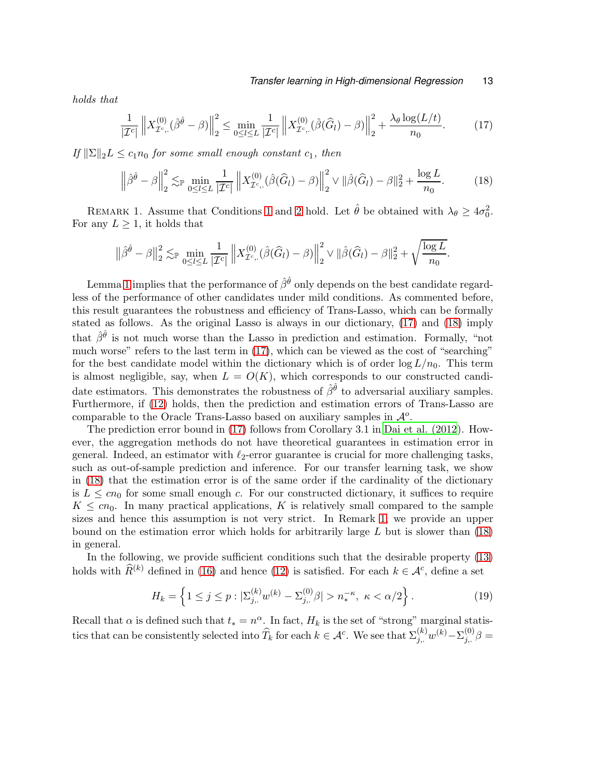holds that

<span id="page-12-0"></span>
$$
\frac{1}{|\mathcal{I}^c|} \left\| X_{\mathcal{I}^c,\cdot}^{(0)}(\hat{\beta}^{\hat{\theta}} - \beta) \right\|_2^2 \le \min_{0 \le l \le L} \frac{1}{|\mathcal{I}^c|} \left\| X_{\mathcal{I}^c,\cdot}^{(0)}(\hat{\beta}(\hat{G}_l) - \beta) \right\|_2^2 + \frac{\lambda_{\theta} \log(L/t)}{n_0}.\tag{17}
$$

If  $\|\Sigma\|_2 L \leq c_1 n_0$  for some small enough constant  $c_1$ , then

<span id="page-12-1"></span>
$$
\left\|\hat{\beta}^{\hat{\theta}} - \beta\right\|_{2}^{2} \lesssim_{\mathbb{P}} \min_{0 \leq l \leq L} \frac{1}{|\mathcal{I}^{c}|} \left\|X_{\mathcal{I}^{c},.}^{(0)}(\hat{\beta}(\hat{G}_{l}) - \beta)\right\|_{2}^{2} \vee \|\hat{\beta}(\hat{G}_{l}) - \beta\|_{2}^{2} + \frac{\log L}{n_{0}}.
$$
 (18)

<span id="page-12-2"></span>REMARK [1](#page-6-1). Assume that Conditions 1 and [2](#page-6-2) hold. Let  $\hat{\theta}$  be obtained with  $\lambda_{\theta} \ge 4\sigma_0^2$ . For any  $L \geq 1$ , it holds that

$$
\left\|\hat{\beta}^{\hat{\theta}}-\beta\right\|_{2}^{2} \lesssim_{\mathbb{P}} \min_{0 \leq l \leq L} \frac{1}{|\mathcal{I}^{c}|}\left\|X_{\mathcal{I}^{c},\cdot}^{(0)}(\hat{\beta}(\widehat{G}_{l})-\beta)\right\|_{2}^{2} \vee \|\hat{\beta}(\widehat{G}_{l})-\beta\|_{2}^{2}+\sqrt{\frac{\log L}{n_{0}}}.
$$

Lemma [1](#page-11-1) implies that the performance of  $\hat{\beta}^{\hat{\theta}}$  only depends on the best candidate regardless of the performance of other candidates under mild conditions. As commented before, this result guarantees the robustness and efficiency of Trans-Lasso, which can be formally stated as follows. As the original Lasso is always in our dictionary, [\(17\)](#page-12-0) and [\(18\)](#page-12-1) imply that  $\hat{\beta}^{\hat{\theta}}$  is not much worse than the Lasso in prediction and estimation. Formally, "not much worse" refers to the last term in [\(17\)](#page-12-0), which can be viewed as the cost of "searching" for the best candidate model within the dictionary which is of order  $\log L/n_0$ . This term is almost negligible, say, when  $L = O(K)$ , which corresponds to our constructed candidate estimators. This demonstrates the robustness of  $\hat{\beta}^{\hat{\theta}}$  to adversarial auxiliary samples. Furthermore, if [\(12\)](#page-9-1) holds, then the prediction and estimation errors of Trans-Lasso are comparable to the Oracle Trans-Lasso based on auxiliary samples in  $\mathcal{A}^o$ .

The prediction error bound in [\(17\)](#page-12-0) follows from Corollary 3.1 in [Dai et al. \(2012](#page-26-9)). However, the aggregation methods do not have theoretical guarantees in estimation error in general. Indeed, an estimator with  $\ell_2$ -error guarantee is crucial for more challenging tasks, such as out-of-sample prediction and inference. For our transfer learning task, we show in [\(18\)](#page-12-1) that the estimation error is of the same order if the cardinality of the dictionary is  $L \leq c n_0$  for some small enough c. For our constructed dictionary, it suffices to require  $K \leq cn_0$ . In many practical applications, K is relatively small compared to the sample sizes and hence this assumption is not very strict. In Remark [1,](#page-12-2) we provide an upper bound on the estimation error which holds for arbitrarily large  $L$  but is slower than  $(18)$ in general.

In the following, we provide sufficient conditions such that the desirable property [\(13\)](#page-9-2) holds with  $\hat{R}^{(k)}$  defined in [\(16\)](#page-11-3) and hence [\(12\)](#page-9-1) is satisfied. For each  $k \in \mathcal{A}^c$ , define a set

<span id="page-12-3"></span>
$$
H_k = \left\{ 1 \le j \le p : |\Sigma_{j,.}^{(k)} w^{(k)} - \Sigma_{j,.}^{(0)} \beta| > n_*^{-\kappa}, \ \kappa < \alpha/2 \right\}.
$$
\n<sup>(19)</sup>

Recall that  $\alpha$  is defined such that  $t_* = n^{\alpha}$ . In fact,  $H_k$  is the set of "strong" marginal statistics that can be consistently selected into  $\widehat{T}_k$  for each  $k \in \mathcal{A}^c$ . We see that  $\Sigma_{j,.}^{(k)}w^{(k)} - \Sigma_{j,.}^{(0)}\beta =$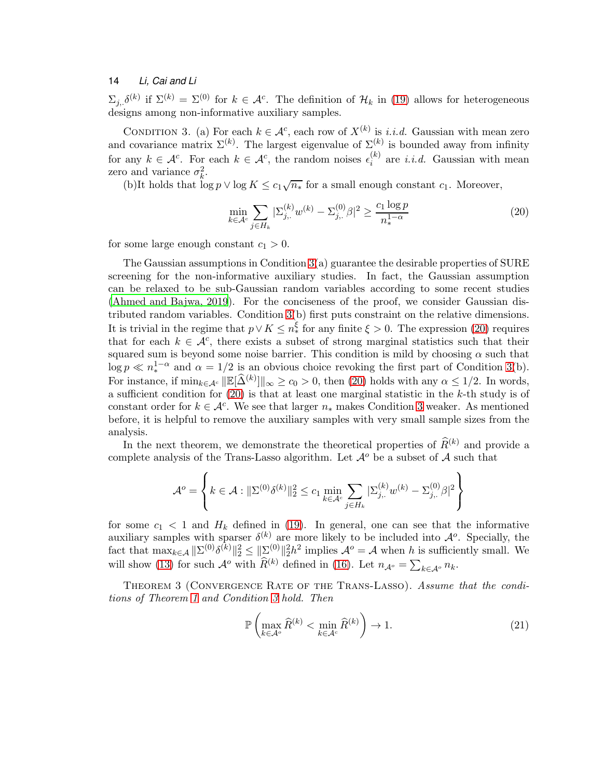$\Sigma_{j,\delta}(k)$  if  $\Sigma^{(k)} = \Sigma^{(0)}$  for  $k \in \mathcal{A}^c$ . The definition of  $\mathcal{H}_k$  in [\(19\)](#page-12-3) allows for heterogeneous designs among non-informative auxiliary samples.

CONDITION 3. (a) For each  $k \in \mathcal{A}^c$ , each row of  $X^{(k)}$  is *i.i.d.* Gaussian with mean zero and covariance matrix  $\Sigma^{(k)}$ . The largest eigenvalue of  $\Sigma^{(k)}$  is bounded away from infinity for any  $k \in \mathcal{A}^c$ . For each  $k \in \mathcal{A}^c$ , the random noises  $\epsilon_i^{(k)}$  $i^{(k)}$  are *i.i.d.* Gaussian with mean zero and variance  $\sigma_k^2$ .

(b)It holds that  $\log p \vee \log K \leq c_1 \sqrt{n_*}$  for a small enough constant  $c_1$ . Moreover,

<span id="page-13-1"></span><span id="page-13-0"></span>
$$
\min_{k \in \mathcal{A}^c} \sum_{j \in H_k} |\Sigma_{j,.}^{(k)} w^{(k)} - \Sigma_{j,.}^{(0)} \beta|^2 \ge \frac{c_1 \log p}{n_*^{1-\alpha}} \tag{20}
$$

for some large enough constant  $c_1 > 0$ .

The Gaussian assumptions in Condition [3\(](#page-13-0)a) guarantee the desirable properties of SURE screening for the non-informative auxiliary studies. In fact, the Gaussian assumption can be relaxed to be sub-Gaussian random variables according to some recent studies [\(Ahmed and Bajwa, 2019](#page-26-11)). For the conciseness of the proof, we consider Gaussian distributed random variables. Condition [3\(](#page-13-0)b) first puts constraint on the relative dimensions. It is trivial in the regime that  $p \vee K \leq n_*^{\xi}$  for any finite  $\xi > 0$ . The expression [\(20\)](#page-13-1) requires that for each  $k \in \mathcal{A}^c$ , there exists a subset of strong marginal statistics such that their squared sum is beyond some noise barrier. This condition is mild by choosing  $\alpha$  such that  $\log p \ll n_{\ast}^{1-\alpha}$  and  $\alpha = 1/2$  is an obvious choice revoking the first part of Condition [3\(](#page-13-0)b). For instance, if  $\min_{k \in \mathcal{A}^c} ||\mathbb{E}[\widehat{\Delta}^{(k)}]||_{\infty} \ge c_0 > 0$ , then [\(20\)](#page-13-1) holds with any  $\alpha \le 1/2$ . In words, a sufficient condition for  $(20)$  is that at least one marginal statistic in the k-th study is of constant order for  $k \in \mathcal{A}^c$ . We see that larger  $n_*$  makes Condition [3](#page-13-0) weaker. As mentioned before, it is helpful to remove the auxiliary samples with very small sample sizes from the analysis.

In the next theorem, we demonstrate the theoretical properties of  $\widehat{R}^{(k)}$  and provide a complete analysis of the Trans-Lasso algorithm. Let  $\mathcal{A}^o$  be a subset of  $\mathcal A$  such that

$$
\mathcal{A}^o=\left\{k\in\mathcal{A}: \|\Sigma^{(0)}\delta^{(k)}\|_2^2\leq c_1\min_{k\in\mathcal{A}^c}\sum_{j\in H_k}|\Sigma_{j,.}^{(k)}w^{(k)}-\Sigma_{j,.}^{(0)}\beta|^2\right\}
$$

for some  $c_1 < 1$  and  $H_k$  defined in [\(19\)](#page-12-3). In general, one can see that the informative auxiliary samples with sparser  $\delta^{(k)}$  are more likely to be included into  $\mathcal{A}^o$ . Specially, the fact that  $\max_{k \in \mathcal{A}} ||\Sigma^{(0)}\delta^{(k)}||_2^2 \le ||\Sigma^{(0)}||_2^2 h^2$  implies  $\mathcal{A}^o = \mathcal{A}$  when h is sufficiently small. We will show [\(13\)](#page-9-2) for such  $\mathcal{A}^o$  with  $\widehat{R}^{(k)}$  defined in [\(16\)](#page-11-3). Let  $n_{\mathcal{A}^o} = \sum_{k \in \mathcal{A}^o} n_k$ .

<span id="page-13-2"></span>Theorem 3 (Convergence Rate of the Trans-Lasso). Assume that the conditions of Theorem [1](#page-6-0) and Condition [3](#page-13-0) hold. Then

<span id="page-13-3"></span>
$$
\mathbb{P}\left(\max_{k\in\mathcal{A}^o}\widehat{R}^{(k)} < \min_{k\in\mathcal{A}^c}\widehat{R}^{(k)}\right) \to 1. \tag{21}
$$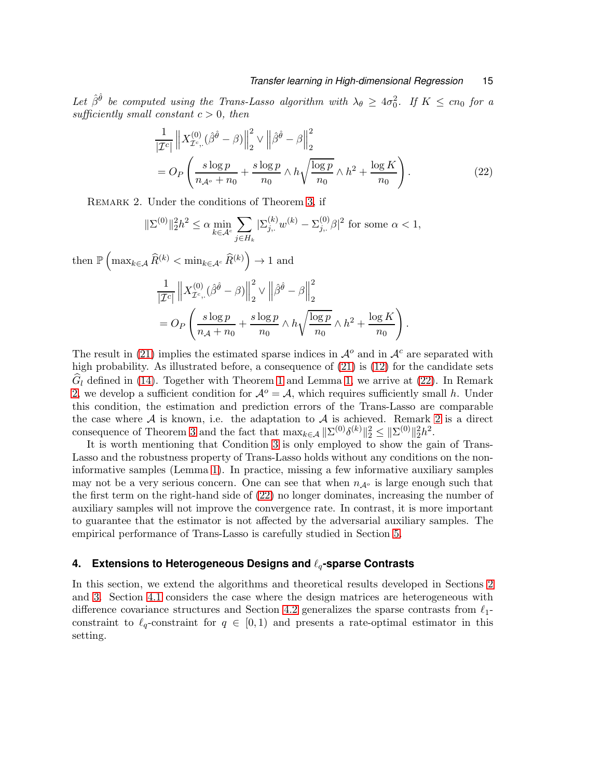Let  $\hat{\beta}^{\hat{\theta}}$  be computed using the Trans-Lasso algorithm with  $\lambda_{\theta} \geq 4\sigma_0^2$ . If  $K \leq cn_0$  for a sufficiently small constant  $c > 0$ , then

<span id="page-14-1"></span>
$$
\frac{1}{|\mathcal{I}^c|} \| X_{\mathcal{I}^c}^{(0)} (\hat{\beta}^{\hat{\theta}} - \beta) \|_2^2 \vee \| \hat{\beta}^{\hat{\theta}} - \beta \|_2^2
$$
\n
$$
= O_P \left( \frac{s \log p}{n_{\mathcal{A}^o} + n_0} + \frac{s \log p}{n_0} \wedge h \sqrt{\frac{\log p}{n_0}} \wedge h^2 + \frac{\log K}{n_0} \right). \tag{22}
$$

<span id="page-14-2"></span>Remark 2. Under the conditions of Theorem [3,](#page-13-2) if

$$
\|\Sigma^{(0)}\|_{2}^{2}h^{2} \leq \alpha \min_{k \in \mathcal{A}^{c}} \sum_{j \in H_{k}} |\Sigma_{j}^{(k)} w^{(k)} - \Sigma_{j}^{(0)}\beta|^{2}
$$
 for some  $\alpha < 1$ ,

then  $\mathbb{P}\left(\max_{k \in \mathcal{A}} \widehat{R}^{(k)} < \min_{k \in \mathcal{A}^c} \widehat{R}^{(k)}\right) \to 1$  and

$$
\label{eq:2.1} \begin{split} &\frac{1}{|\mathcal{I}^c|}\left\|X^{(0)}_{\mathcal{I}^c,.}(\hat{\beta}^{\hat{\theta}}-\beta)\right\|_2^2\vee\left\|\hat{\beta}^{\hat{\theta}}-\beta\right\|_2^2\\ &=O_P\left(\frac{s\log p}{n_{\mathcal{A}}+n_0}+\frac{s\log p}{n_0}\wedge h\sqrt{\frac{\log p}{n_0}}\wedge h^2+\frac{\log K}{n_0}\right). \end{split}
$$

The result in [\(21\)](#page-13-3) implies the estimated sparse indices in  $\mathcal{A}^o$  and in  $\mathcal{A}^c$  are separated with high probability. As illustrated before, a consequence of  $(21)$  is  $(12)$  for the candidate sets  $\hat{G}_l$  defined in [\(14\)](#page-10-0). Together with Theorem [1](#page-6-0) and Lemma [1,](#page-11-1) we arrive at [\(22\)](#page-14-1). In Remark [2,](#page-14-2) we develop a sufficient condition for  $\mathcal{A}^o = \mathcal{A}$ , which requires sufficiently small h. Under this condition, the estimation and prediction errors of the Trans-Lasso are comparable the case where  $A$  is known, i.e. the adaptation to  $A$  is achieved. Remark [2](#page-14-2) is a direct consequence of Theorem [3](#page-13-2) and the fact that  $\max_{k \in \mathcal{A}} ||\Sigma^{(0)}\delta^{(k)}||_2^2 \le ||\Sigma^{(0)}||_2^2 h^2$ .

It is worth mentioning that Condition [3](#page-13-0) is only employed to show the gain of Trans-Lasso and the robustness property of Trans-Lasso holds without any conditions on the noninformative samples (Lemma [1\)](#page-11-1). In practice, missing a few informative auxiliary samples may not be a very serious concern. One can see that when  $n_{\mathcal{A}^o}$  is large enough such that the first term on the right-hand side of [\(22\)](#page-14-1) no longer dominates, increasing the number of auxiliary samples will not improve the convergence rate. In contrast, it is more important to guarantee that the estimator is not affected by the adversarial auxiliary samples. The empirical performance of Trans-Lasso is carefully studied in Section [5.](#page-18-0)

### <span id="page-14-0"></span>**4. Extensions to Heterogeneous Designs and** ℓq**-sparse Contrasts**

In this section, we extend the algorithms and theoretical results developed in Sections [2](#page-4-0) and [3.](#page-7-0) Section [4.1](#page-15-0) considers the case where the design matrices are heterogeneous with difference covariance structures and Section [4.2](#page-16-0) generalizes the sparse contrasts from  $\ell_1$ constraint to  $\ell_q$ -constraint for  $q \in [0,1)$  and presents a rate-optimal estimator in this setting.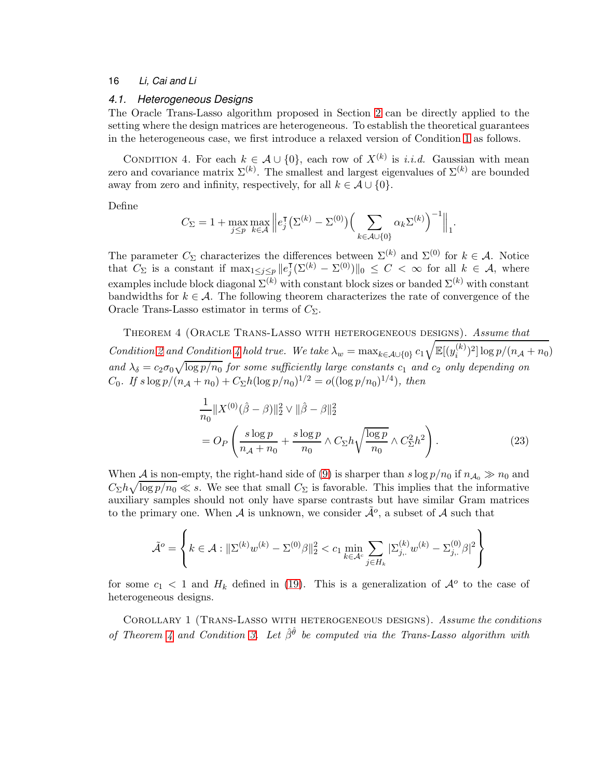# <span id="page-15-0"></span>*4.1. Heterogeneous Designs*

The Oracle Trans-Lasso algorithm proposed in Section [2](#page-4-0) can be directly applied to the setting where the design matrices are heterogeneous. To establish the theoretical guarantees in the heterogeneous case, we first introduce a relaxed version of Condition [1](#page-6-1) as follows.

CONDITION 4. For each  $k \in \mathcal{A} \cup \{0\}$ , each row of  $X^{(k)}$  is *i.i.d.* Gaussian with mean zero and covariance matrix  $\Sigma^{(k)}$ . The smallest and largest eigenvalues of  $\Sigma^{(k)}$  are bounded away from zero and infinity, respectively, for all  $k \in \mathcal{A} \cup \{0\}.$ 

Define

<span id="page-15-1"></span>
$$
C_{\Sigma} = 1 + \max_{j \le p} \max_{k \in \mathcal{A}} \left\| e_j^{\mathsf{T}} \left( \Sigma^{(k)} - \Sigma^{(0)} \right) \left( \sum_{k \in \mathcal{A} \cup \{0\}} \alpha_k \Sigma^{(k)} \right)^{-1} \right\|_1.
$$

The parameter  $C_{\Sigma}$  characterizes the differences between  $\Sigma^{(k)}$  and  $\Sigma^{(0)}$  for  $k \in \mathcal{A}$ . Notice that  $C_{\Sigma}$  is a constant if  $\max_{1 \leq j \leq p} ||e_j^{\mathsf{T}}(\Sigma^{(k)} - \Sigma^{(0)})||_0 \leq C < \infty$  for all  $k \in \mathcal{A}$ , where examples include block diagonal  $\Sigma^{(k)}$  with constant block sizes or banded  $\Sigma^{(k)}$  with constant bandwidths for  $k \in \mathcal{A}$ . The following theorem characterizes the rate of convergence of the Oracle Trans-Lasso estimator in terms of  $C_{\Sigma}$ .

<span id="page-15-2"></span>Theorem 4 (Oracle Trans-Lasso with heterogeneous designs). Assume that Condition [2](#page-6-2) and Condition [4](#page-15-1) hold true. We take  $\lambda_w = \max_{k \in \mathcal{A} \cup \{0\}} c_1$  $\sqrt{\mathbb{E}[(y_i^{(k)})]}$  $\int_{i}^{(k)}$ )<sup>2</sup>]  $\log p/(n_{\mathcal{A}}+n_0)$ and  $\lambda_{\delta} = c_2 \sigma_0 \sqrt{\log p/n_0}$  for some sufficiently large constants  $c_1$  and  $c_2$  only depending on C<sub>0</sub>. If  $s \log p/(n_{A} + n_{0}) + C_{\Sigma}h(\log p/n_{0})^{1/2} = o((\log p/n_{0})^{1/4}),$  then

$$
\frac{1}{n_0} \|X^{(0)}(\hat{\beta} - \beta)\|_2^2 \vee \|\hat{\beta} - \beta\|_2^2
$$
\n
$$
= O_P\left(\frac{s \log p}{n_A + n_0} + \frac{s \log p}{n_0} \wedge C_{\Sigma} h \sqrt{\frac{\log p}{n_0}} \wedge C_{\Sigma}^2 h^2\right). \tag{23}
$$

When A is non-empty, the right-hand side of [\(9\)](#page-6-3) is sharper than  $s \log p/n_0$  if  $n_{A_0} \gg n_0$  and  $C_{\Sigma}h\sqrt{\log p/n_0} \ll s$ . We see that small  $C_{\Sigma}$  is favorable. This implies that the informative auxiliary samples should not only have sparse contrasts but have similar Gram matrices to the primary one. When  $A$  is unknown, we consider  $\tilde{A}^o$ , a subset of  $A$  such that

$$
\tilde{\mathcal{A}}^o = \left\{ k \in \mathcal{A} : ||\Sigma^{(k)} w^{(k)} - \Sigma^{(0)} \beta||_2^2 < c_1 \min_{k \in \mathcal{A}^c} \sum_{j \in H_k} |\Sigma_{j,.}^{(k)} w^{(k)} - \Sigma_{j,.}^{(0)} \beta|^2 \right\}
$$

<span id="page-15-3"></span>for some  $c_1 < 1$  and  $H_k$  defined in [\(19\)](#page-12-3). This is a generalization of  $\mathcal{A}^o$  to the case of heterogeneous designs.

Corollary 1 (Trans-Lasso with heterogeneous designs). Assume the conditions of Theorem [4](#page-15-2) and Condition [3.](#page-13-0) Let  $\hat{\beta}^{\hat{\theta}}$  be computed via the Trans-Lasso algorithm with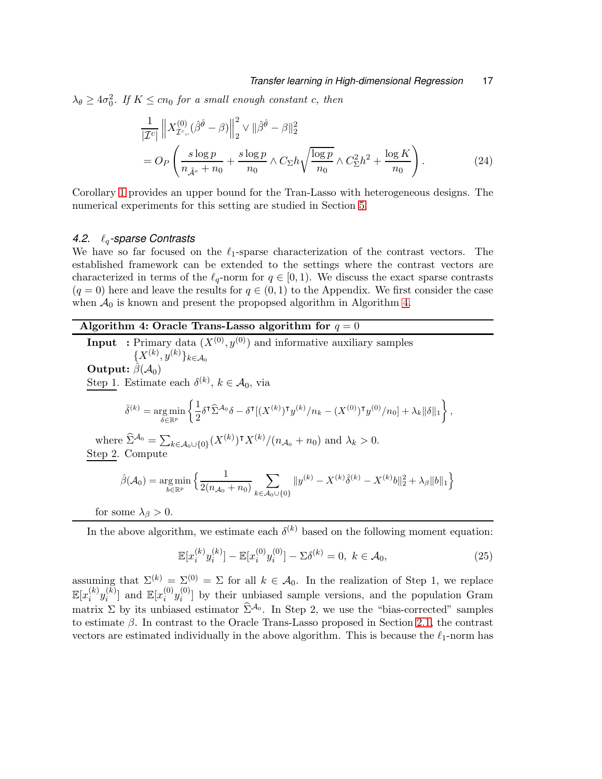$\lambda_{\theta} \ge 4\sigma_0^2$ . If  $K \le cn_0$  for a small enough constant c, then

$$
\frac{1}{|\mathcal{I}^c|} \left\| X_{\mathcal{I}^c, \cdot}^{(0)} (\hat{\beta}^{\hat{\theta}} - \beta) \right\|_2^2 \vee \|\hat{\beta}^{\hat{\theta}} - \beta\|_2^2
$$
\n
$$
= O_P\left( \frac{s \log p}{n_{\tilde{\mathcal{A}}^o} + n_0} + \frac{s \log p}{n_0} \wedge C_{\Sigma} h \sqrt{\frac{\log p}{n_0}} \wedge C_{\Sigma}^2 h^2 + \frac{\log K}{n_0} \right). \tag{24}
$$

Corollary [1](#page-15-3) provides an upper bound for the Tran-Lasso with heterogeneous designs. The numerical experiments for this setting are studied in Section [5.](#page-18-0)

#### <span id="page-16-0"></span>*4.2.* ℓq*-sparse Contrasts*

We have so far focused on the  $\ell_1$ -sparse characterization of the contrast vectors. The established framework can be extended to the settings where the contrast vectors are characterized in terms of the  $\ell_q$ -norm for  $q \in [0,1)$ . We discuss the exact sparse contrasts  $(q = 0)$  here and leave the results for  $q \in (0, 1)$  to the Appendix. We first consider the case when  $A_0$  is known and present the propopsed algorithm in Algorithm [4.](#page-16-1)

# Algorithm 4: Oracle Trans-Lasso algorithm for  $q = 0$

**Input** : Primary data  $(X^{(0)}, y^{(0)})$  and informative auxiliary samples  $\{X^{(k)}, y^{(k)}\}_{k\in\mathcal{A}_0}$ Output:  $\hat{\beta}(\mathcal{A}_0)$ Step 1. Estimate each  $\delta^{(k)}$ ,  $k \in \mathcal{A}_0$ , via  $\hat{\delta}^{(k)} = \argmin_{\delta \in \mathbb{R}^p}$  $\int$  1  $\frac{1}{2}\delta^{\intercal}\widehat{\Sigma}^{\mathcal{A}_0}\delta - \delta^{\intercal}[(X^{(k)})^{\intercal}y^{(k)}/n_k - (X^{(0)})^{\intercal}y^{(0)}/n_0] + \lambda_k\|\delta\|_1\bigg\}$ , where  $\hat{\Sigma}^{A_0} = \sum_{k \in A_0 \cup \{0\}} (X^{(k)})^{\dagger} X^{(k)} / (n_{A_0} + n_0)$  and  $\lambda_k > 0$ . Step 2. Compute  $\hat{\beta}(\mathcal{A}_0) = \argmin_{b \in \mathbb{R}^p}$  $\int$  1  $2(n_{\mathcal{A}_0}+n_0)$  $\overline{\phantom{0}}$  $k\in\mathcal{A}_0\cup\{0\}$  $||y^{(k)} - X^{(k)}\hat{\delta}^{(k)} - X^{(k)}b||_2^2 + \lambda_{\beta} ||b||_1\Big\}$ 

for some  $\lambda_{\beta} > 0$ .

In the above algorithm, we estimate each  $\delta^{(k)}$  based on the following moment equation:

<span id="page-16-1"></span>
$$
\mathbb{E}[x_i^{(k)} y_i^{(k)}] - \mathbb{E}[x_i^{(0)} y_i^{(0)}] - \Sigma \delta^{(k)} = 0, \ k \in \mathcal{A}_0,\tag{25}
$$

assuming that  $\Sigma^{(k)} = \Sigma^{(0)} = \Sigma$  for all  $k \in \mathcal{A}_0$ . In the realization of Step 1, we replace  $\mathbb{E}[x_i^{(k)}]$  $\displaystyle{ \mathop{(\rightleftarrow)}_{i}} y_i^{(k)}$  $\binom{k}{i}$  and  $\mathbb{E}[x_i^{(0)}]$  $\binom{0}{i} y_i^{(0)}$  $\binom{[0]}{i}$  by their unbiased sample versions, and the population Gram matrix  $\Sigma$  by its unbiased estimator  $\hat{\Sigma}^{A_0}$ . In Step 2, we use the "bias-corrected" samples to estimate  $\beta$ . In contrast to the Oracle Trans-Lasso proposed in Section [2.1,](#page-4-1) the contrast vectors are estimated individually in the above algorithm. This is because the  $\ell_1$ -norm has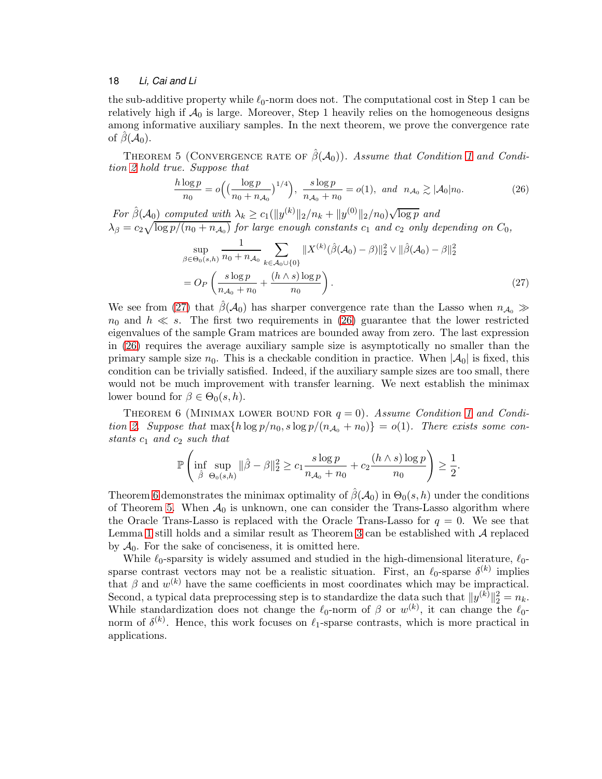the sub-additive property while  $\ell_0$ -norm does not. The computational cost in Step 1 can be relatively high if  $A_0$  is large. Moreover, Step 1 heavily relies on the homogeneous designs among informative auxiliary samples. In the next theorem, we prove the convergence rate of  $\beta(\mathcal{A}_0)$ .

<span id="page-17-3"></span>THEOREM 5 (CONVERGENCE RATE OF  $\hat{\beta}(\mathcal{A}_0)$ ). Assume that Condition [1](#page-6-1) and Condition [2](#page-6-2) hold true. Suppose that

<span id="page-17-1"></span>
$$
\frac{h \log p}{n_0} = o\Big(\big(\frac{\log p}{n_0 + n_{\mathcal{A}_0}}\big)^{1/4}\Big), \ \frac{s \log p}{n_{\mathcal{A}_0} + n_0} = o(1), \ \text{and} \ \ n_{\mathcal{A}_0} \gtrsim |\mathcal{A}_0| n_0. \tag{26}
$$

For  $\hat{\beta}(\mathcal{A}_0)$  computed with  $\lambda_k \ge c_1(||y^{(k)}||_2/n_k + ||y^{(0)}||_2/n_0)\sqrt{\log p}$  and  $\lambda_{\beta} = c_2 \sqrt{\log p/(n_0 + n_{\mathcal{A}_0})}$  for large enough constants  $c_1$  and  $c_2$  only depending on  $C_0$ ,

<span id="page-17-0"></span>
$$
\sup_{\beta \in \Theta_0(s,h)} \frac{1}{n_0 + n_{\mathcal{A}_0}} \sum_{k \in \mathcal{A}_0 \cup \{0\}} \|X^{(k)}(\hat{\beta}(\mathcal{A}_0) - \beta)\|_2^2 \vee \|\hat{\beta}(\mathcal{A}_0) - \beta\|_2^2
$$
  
= 
$$
O_P\left(\frac{s \log p}{n_{\mathcal{A}_0} + n_0} + \frac{(h \wedge s) \log p}{n_0}\right).
$$
 (27)

We see from [\(27\)](#page-17-0) that  $\beta(\mathcal{A}_0)$  has sharper convergence rate than the Lasso when  $n_{\mathcal{A}_0} \gg$  $n_0$  and  $h \ll s$ . The first two requirements in [\(26\)](#page-17-1) guarantee that the lower restricted eigenvalues of the sample Gram matrices are bounded away from zero. The last expression in [\(26\)](#page-17-1) requires the average auxiliary sample size is asymptotically no smaller than the primary sample size  $n_0$ . This is a checkable condition in practice. When  $|\mathcal{A}_0|$  is fixed, this condition can be trivially satisfied. Indeed, if the auxiliary sample sizes are too small, there would not be much improvement with transfer learning. We next establish the minimax lower bound for  $\beta \in \Theta_0(s, h)$ .

THEOREM 6 (MINIMAX LOWER BOUND FOR  $q = 0$ ). Assume Condition [1](#page-6-1) and Condi-tion [2.](#page-6-2) Suppose that  $\max\{h \log p/n_0, s \log p/(n_{\mathcal{A}_0} + n_0)\} = o(1)$ . There exists some constants  $c_1$  and  $c_2$  such that

<span id="page-17-2"></span>
$$
\mathbb{P}\left(\inf_{\hat{\beta}}\sup_{\Theta_0(s,h)}\|\hat{\beta}-\beta\|_2^2\geq c_1\frac{s\log p}{n_{\mathcal{A}_0}+n_0}+c_2\frac{(h\wedge s)\log p}{n_0}\right)\geq\frac{1}{2}.
$$

Theorem [6](#page-17-2) demonstrates the minimax optimality of  $\hat{\beta}(\mathcal{A}_0)$  in  $\Theta_0(s, h)$  under the conditions of Theorem [5.](#page-17-3) When  $A_0$  is unknown, one can consider the Trans-Lasso algorithm where the Oracle Trans-Lasso is replaced with the Oracle Trans-Lasso for  $q = 0$ . We see that Lemma [1](#page-11-1) still holds and a similar result as Theorem [3](#page-13-2) can be established with  $\mathcal A$  replaced by  $A_0$ . For the sake of conciseness, it is omitted here.

While  $\ell_0$ -sparsity is widely assumed and studied in the high-dimensional literature,  $\ell_0$ sparse contrast vectors may not be a realistic situation. First, an  $\ell_0$ -sparse  $\delta^{(k)}$  implies that  $\beta$  and  $w^{(k)}$  have the same coefficients in most coordinates which may be impractical. Second, a typical data preprocessing step is to standardize the data such that  $||y^{(k)}||_2^2 = n_k$ . While standardization does not change the  $\ell_0$ -norm of  $\beta$  or  $w^{(k)}$ , it can change the  $\ell_0$ norm of  $\delta^{(k)}$ . Hence, this work focuses on  $\ell_1$ -sparse contrasts, which is more practical in applications.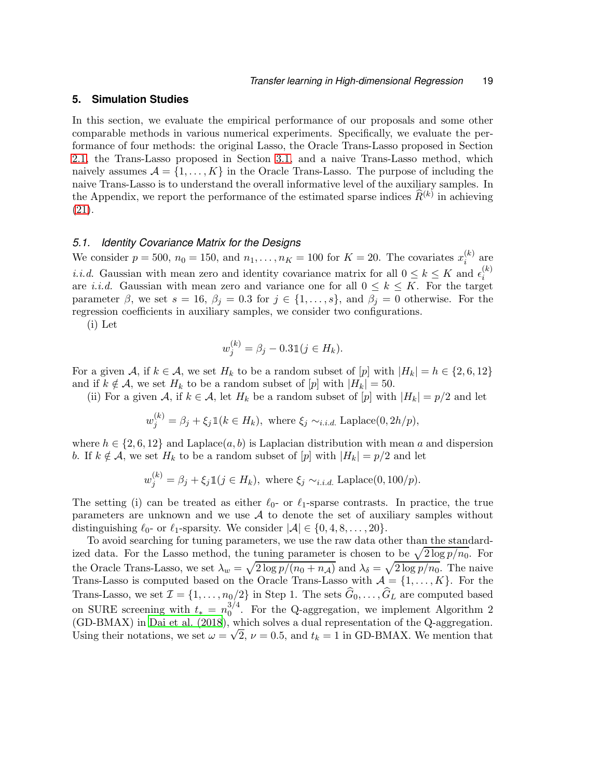### <span id="page-18-0"></span>**5. Simulation Studies**

In this section, we evaluate the empirical performance of our proposals and some other comparable methods in various numerical experiments. Specifically, we evaluate the performance of four methods: the original Lasso, the Oracle Trans-Lasso proposed in Section [2.1,](#page-4-1) the Trans-Lasso proposed in Section [3.1,](#page-8-0) and a naive Trans-Lasso method, which naively assumes  $\mathcal{A} = \{1, \ldots, K\}$  in the Oracle Trans-Lasso. The purpose of including the naive Trans-Lasso is to understand the overall informative level of the auxiliary samples. In the Appendix, we report the performance of the estimated sparse indices  $\widehat{R}^{(k)}$  in achieving [\(21\)](#page-13-3).

# <span id="page-18-1"></span>*5.1. Identity Covariance Matrix for the Designs*

We consider  $p = 500$ ,  $n_0 = 150$ , and  $n_1, \ldots, n_K = 100$  for  $K = 20$ . The covariates  $x_i^{(k)}$  $i^{(\kappa)}$  are *i.i.d.* Gaussian with mean zero and identity covariance matrix for all  $0 \leq k \leq K$  and  $\epsilon_i^{(k)}$ i are *i.i.d.* Gaussian with mean zero and variance one for all  $0 \leq k \leq K$ . For the target parameter  $\beta$ , we set  $s = 16$ ,  $\beta_j = 0.3$  for  $j \in \{1, \ldots, s\}$ , and  $\beta_j = 0$  otherwise. For the regression coefficients in auxiliary samples, we consider two configurations.

(i) Let

$$
w_j^{(k)} = \beta_j - 0.31(j \in H_k).
$$

For a given A, if  $k \in \mathcal{A}$ , we set  $H_k$  to be a random subset of  $[p]$  with  $|H_k| = h \in \{2, 6, 12\}$ and if  $k \notin \mathcal{A}$ , we set  $H_k$  to be a random subset of  $[p]$  with  $|H_k| = 50$ .

(ii) For a given A, if  $k \in A$ , let  $H_k$  be a random subset of  $[p]$  with  $|H_k| = p/2$  and let

$$
w_j^{(k)} = \beta_j + \xi_j \mathbb{1}(k \in H_k), \text{ where } \xi_j \sim_{i.i.d.} \text{Laplace}(0, 2h/p),
$$

where  $h \in \{2, 6, 12\}$  and Laplace $(a, b)$  is Laplacian distribution with mean a and dispersion b. If  $k \notin \mathcal{A}$ , we set  $H_k$  to be a random subset of  $[p]$  with  $|H_k| = p/2$  and let

$$
w_j^{(k)} = \beta_j + \xi_j \mathbb{1}(j \in H_k), \text{ where } \xi_j \sim_{i.i.d.} \text{Laplace}(0, 100/p).
$$

The setting (i) can be treated as either  $\ell_0$ - or  $\ell_1$ -sparse contrasts. In practice, the true parameters are unknown and we use  $A$  to denote the set of auxiliary samples without distinguishing  $\ell_0$ - or  $\ell_1$ -sparsity. We consider  $|\mathcal{A}| \in \{0, 4, 8, \ldots, 20\}.$ 

To avoid searching for tuning parameters, we use the raw data other than the standardized data. For the Lasso method, the tuning parameter is chosen to be  $\sqrt{2 \log p/n_0}$ . For the Oracle Trans-Lasso, we set  $\lambda_w = \sqrt{2 \log p/(n_0 + n_{\mathcal{A}})}$  and  $\lambda_{\delta} = \sqrt{2 \log p/n_0}$ . The naive Trans-Lasso is computed based on the Oracle Trans-Lasso with  $\mathcal{A} = \{1, ..., K\}$ . For the Trans-Lasso, we set  $\mathcal{I} = \{1, \ldots, n_0/2\}$  in Step 1. The sets  $G_0, \ldots, G_L$  are computed based on SURE screening with  $t_* = n_0^{3/4}$  $_{0}^{5/4}$ . For the Q-aggregation, we implement Algorithm 2 (GD-BMAX) in [Dai et al. \(2018](#page-26-10)), which solves a dual representation of the Q-aggregation. Using their notations, we set  $\omega = \sqrt{2}$ ,  $\nu = 0.5$ , and  $t_k = 1$  in GD-BMAX. We mention that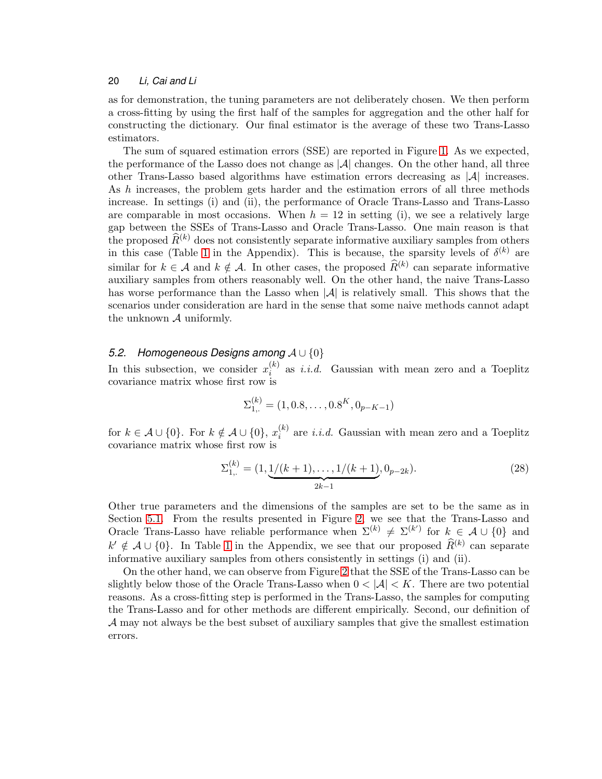as for demonstration, the tuning parameters are not deliberately chosen. We then perform a cross-fitting by using the first half of the samples for aggregation and the other half for constructing the dictionary. Our final estimator is the average of these two Trans-Lasso estimators.

The sum of squared estimation errors (SSE) are reported in Figure [1.](#page-20-0) As we expected, the performance of the Lasso does not change as  $|\mathcal{A}|$  changes. On the other hand, all three other Trans-Lasso based algorithms have estimation errors decreasing as  $|\mathcal{A}|$  increases. As h increases, the problem gets harder and the estimation errors of all three methods increase. In settings (i) and (ii), the performance of Oracle Trans-Lasso and Trans-Lasso are comparable in most occasions. When  $h = 12$  in setting (i), we see a relatively large gap between the SSEs of Trans-Lasso and Oracle Trans-Lasso. One main reason is that the proposed  $\widehat{R}^{(k)}$  does not consistently separate informative auxiliary samples from others in this case (Table [1](#page-42-0) in the Appendix). This is because, the sparsity levels of  $\delta^{(k)}$  are similar for  $k \in \mathcal{A}$  and  $k \notin \mathcal{A}$ . In other cases, the proposed  $\hat{R}^{(k)}$  can separate informative auxiliary samples from others reasonably well. On the other hand, the naive Trans-Lasso has worse performance than the Lasso when  $|\mathcal{A}|$  is relatively small. This shows that the scenarios under consideration are hard in the sense that some naive methods cannot adapt the unknown  $A$  uniformly.

# *5.2. Homogeneous Designs among* A ∪ {0}

In this subsection, we consider  $x_i^{(k)}$  $i_i^{(k)}$  as *i.i.d.* Gaussian with mean zero and a Toeplitz covariance matrix whose first row is

$$
\Sigma_{1,:}^{(k)} = (1, 0.8, \dots, 0.8^K, 0_{p-K-1})
$$

for  $k \in \mathcal{A} \cup \{0\}$ . For  $k \notin \mathcal{A} \cup \{0\}$ ,  $x_i^{(k)}$  $i_i^{(k)}$  are *i.i.d.* Gaussian with mean zero and a Toeplitz covariance matrix whose first row is

<span id="page-19-0"></span>
$$
\Sigma_{1,:}^{(k)} = (1, \underbrace{1/(k+1), \dots, 1/(k+1)}_{2k-1}, 0_{p-2k}).
$$
\n(28)

Other true parameters and the dimensions of the samples are set to be the same as in Section [5.1.](#page-18-1) From the results presented in Figure [2,](#page-21-0) we see that the Trans-Lasso and Oracle Trans-Lasso have reliable performance when  $\Sigma^{(k)} \neq \Sigma^{(k')}$  for  $k \in \mathcal{A} \cup \{0\}$  and  $k' \notin \mathcal{A} \cup \{0\}$ . In Table [1](#page-42-0) in the Appendix, we see that our proposed  $\widehat{R}^{(k)}$  can separate informative auxiliary samples from others consistently in settings (i) and (ii).

On the other hand, we can observe from Figure [2](#page-21-0) that the SSE of the Trans-Lasso can be slightly below those of the Oracle Trans-Lasso when  $0 < |\mathcal{A}| < K$ . There are two potential reasons. As a cross-fitting step is performed in the Trans-Lasso, the samples for computing the Trans-Lasso and for other methods are different empirically. Second, our definition of A may not always be the best subset of auxiliary samples that give the smallest estimation errors.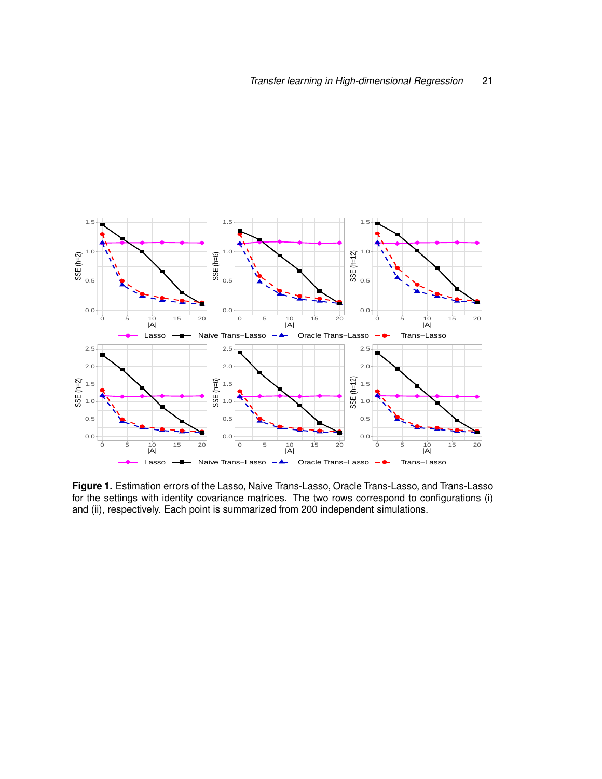

<span id="page-20-0"></span>**Figure 1.** Estimation errors of the Lasso, Naive Trans-Lasso, Oracle Trans-Lasso, and Trans-Lasso for the settings with identity covariance matrices. The two rows correspond to configurations (i) and (ii), respectively. Each point is summarized from 200 independent simulations.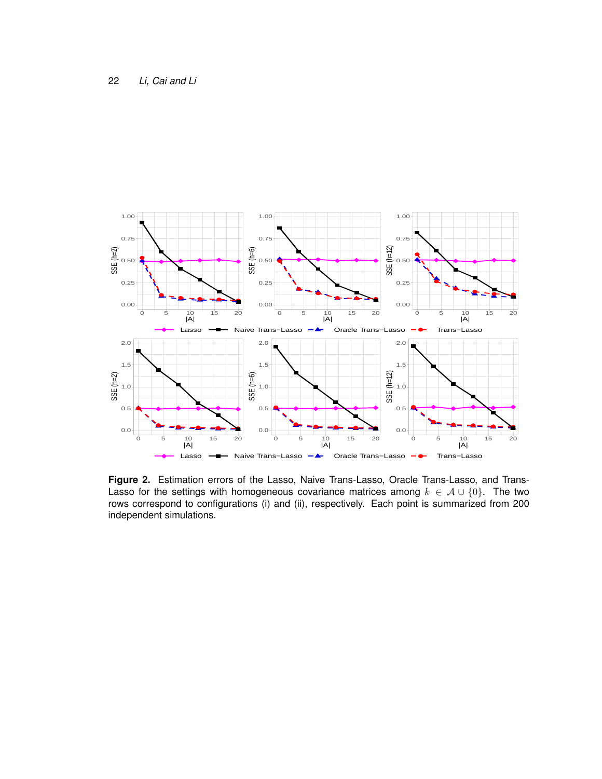

<span id="page-21-0"></span>**Figure 2.** Estimation errors of the Lasso, Naive Trans-Lasso, Oracle Trans-Lasso, and Trans-Lasso for the settings with homogeneous covariance matrices among  $k \in A \cup \{0\}$ . The two rows correspond to configurations (i) and (ii), respectively. Each point is summarized from 200 independent simulations.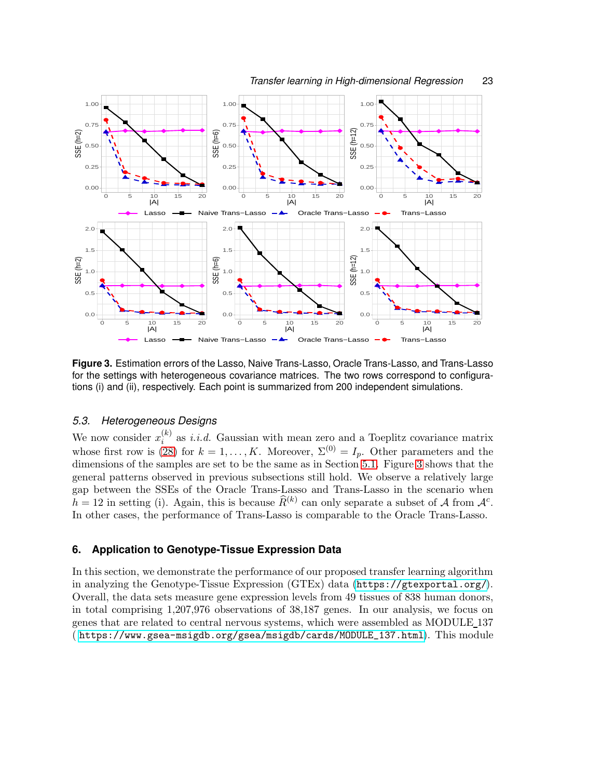

<span id="page-22-1"></span>**Figure 3.** Estimation errors of the Lasso, Naive Trans-Lasso, Oracle Trans-Lasso, and Trans-Lasso for the settings with heterogeneous covariance matrices. The two rows correspond to configurations (i) and (ii), respectively. Each point is summarized from 200 independent simulations.

# *5.3. Heterogeneous Designs*

We now consider  $x_i^{(k)}$  $i_i^{(k)}$  as *i.i.d.* Gaussian with mean zero and a Toeplitz covariance matrix whose first row is [\(28\)](#page-19-0) for  $k = 1, ..., K$ . Moreover,  $\Sigma^{(0)} = I_p$ . Other parameters and the dimensions of the samples are set to be the same as in Section [5.1.](#page-18-1) Figure [3](#page-22-1) shows that the general patterns observed in previous subsections still hold. We observe a relatively large gap between the SSEs of the Oracle Trans-Lasso and Trans-Lasso in the scenario when  $h = 12$  in setting (i). Again, this is because  $\widehat{R}^{(k)}$  can only separate a subset of A from  $\mathcal{A}^c$ . In other cases, the performance of Trans-Lasso is comparable to the Oracle Trans-Lasso.

# <span id="page-22-0"></span>**6. Application to Genotype-Tissue Expression Data**

In this section, we demonstrate the performance of our proposed transfer learning algorithm in analyzing the Genotype-Tissue Expression (GTEx) data (<https://gtexportal.org/>). Overall, the data sets measure gene expression levels from 49 tissues of 838 human donors, in total comprising 1,207,976 observations of 38,187 genes. In our analysis, we focus on genes that are related to central nervous systems, which were assembled as MODULE 137 ( [https://www.gsea-msigdb.org/gsea/msigdb/cards/MODULE\\_137.html](https://www.gsea-msigdb.org/gsea/msigdb/cards/MODULE_137.html)). This module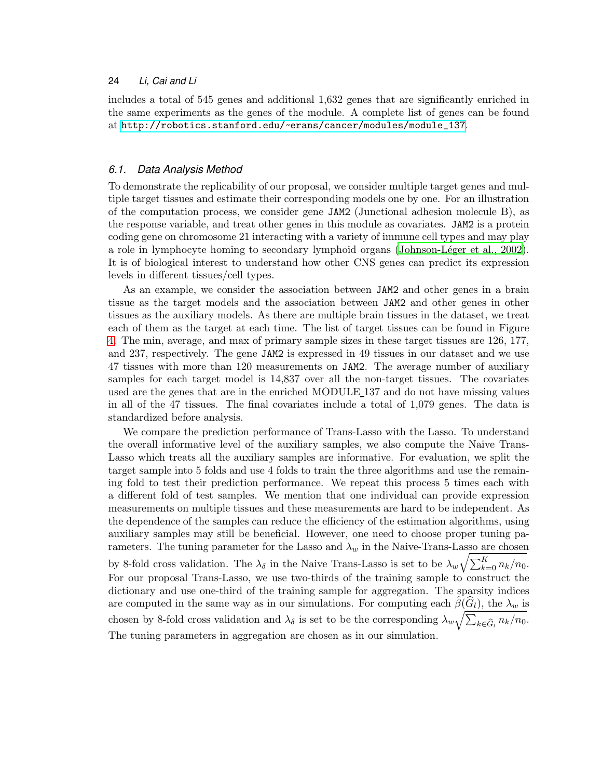includes a total of 545 genes and additional 1,632 genes that are significantly enriched in the same experiments as the genes of the module. A complete list of genes can be found at [http://robotics.stanford.edu/~erans/cancer/modules/module\\_137](http://robotics.stanford.edu/~erans/cancer/modules/module_137).

# *6.1. Data Analysis Method*

To demonstrate the replicability of our proposal, we consider multiple target genes and multiple target tissues and estimate their corresponding models one by one. For an illustration of the computation process, we consider gene JAM2 (Junctional adhesion molecule B), as the response variable, and treat other genes in this module as covariates. JAM2 is a protein coding gene on chromosome 21 interacting with a variety of immune cell types and may play a role in lymphocyte homing to secondary lymphoid organs (Johnson-Léger et al., 2002). It is of biological interest to understand how other CNS genes can predict its expression levels in different tissues/cell types.

As an example, we consider the association between JAM2 and other genes in a brain tissue as the target models and the association between JAM2 and other genes in other tissues as the auxiliary models. As there are multiple brain tissues in the dataset, we treat each of them as the target at each time. The list of target tissues can be found in Figure [4.](#page-24-0) The min, average, and max of primary sample sizes in these target tissues are 126, 177, and 237, respectively. The gene JAM2 is expressed in 49 tissues in our dataset and we use 47 tissues with more than 120 measurements on JAM2. The average number of auxiliary samples for each target model is 14,837 over all the non-target tissues. The covariates used are the genes that are in the enriched MODULE 137 and do not have missing values in all of the 47 tissues. The final covariates include a total of 1,079 genes. The data is standardized before analysis.

We compare the prediction performance of Trans-Lasso with the Lasso. To understand the overall informative level of the auxiliary samples, we also compute the Naive Trans-Lasso which treats all the auxiliary samples are informative. For evaluation, we split the target sample into 5 folds and use 4 folds to train the three algorithms and use the remaining fold to test their prediction performance. We repeat this process 5 times each with a different fold of test samples. We mention that one individual can provide expression measurements on multiple tissues and these measurements are hard to be independent. As the dependence of the samples can reduce the efficiency of the estimation algorithms, using auxiliary samples may still be beneficial. However, one need to choose proper tuning parameters. The tuning parameter for the Lasso and  $\lambda_w$  in the Naive-Trans-Lasso are chosen by 8-fold cross validation. The  $\lambda_{\delta}$  in the Naive Trans-Lasso is set to be  $\lambda_w \sqrt{\sum_{k=0}^K n_k/n_0}$ . For our proposal Trans-Lasso, we use two-thirds of the training sample to construct the dictionary and use one-third of the training sample for aggregation. The sparsity indices are computed in the same way as in our simulations. For computing each  $\hat{\beta}(\hat{G}_l)$ , the  $\lambda_w$  is chosen by 8-fold cross validation and  $\lambda_{\delta}$  is set to be the corresponding  $\lambda_w \sqrt{\sum_{k \in \widehat{G}_l} n_k/n_0}$ . The tuning parameters in aggregation are chosen as in our simulation.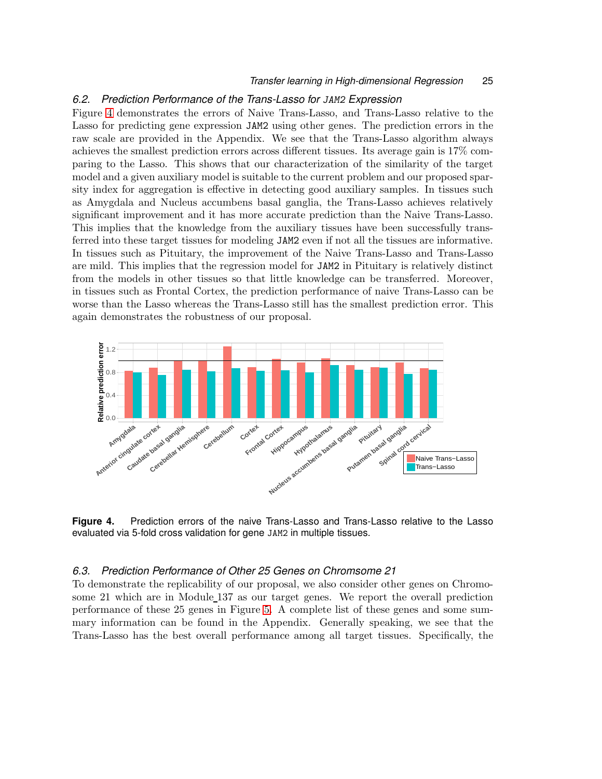#### *Transfer learning in High-dimensional Regression* 25

### *6.2. Prediction Performance of the Trans-Lasso for* JAM2 *Expression*

Figure [4](#page-24-0) demonstrates the errors of Naive Trans-Lasso, and Trans-Lasso relative to the Lasso for predicting gene expression JAM2 using other genes. The prediction errors in the raw scale are provided in the Appendix. We see that the Trans-Lasso algorithm always achieves the smallest prediction errors across different tissues. Its average gain is 17% comparing to the Lasso. This shows that our characterization of the similarity of the target model and a given auxiliary model is suitable to the current problem and our proposed sparsity index for aggregation is effective in detecting good auxiliary samples. In tissues such as Amygdala and Nucleus accumbens basal ganglia, the Trans-Lasso achieves relatively significant improvement and it has more accurate prediction than the Naive Trans-Lasso. This implies that the knowledge from the auxiliary tissues have been successfully transferred into these target tissues for modeling JAM2 even if not all the tissues are informative. In tissues such as Pituitary, the improvement of the Naive Trans-Lasso and Trans-Lasso are mild. This implies that the regression model for JAM2 in Pituitary is relatively distinct from the models in other tissues so that little knowledge can be transferred. Moreover, in tissues such as Frontal Cortex, the prediction performance of naive Trans-Lasso can be worse than the Lasso whereas the Trans-Lasso still has the smallest prediction error. This again demonstrates the robustness of our proposal.



<span id="page-24-0"></span>**Figure 4.** Prediction errors of the naive Trans-Lasso and Trans-Lasso relative to the Lasso evaluated via 5-fold cross validation for gene JAM2 in multiple tissues.

# *6.3. Prediction Performance of Other 25 Genes on Chromsome 21*

To demonstrate the replicability of our proposal, we also consider other genes on Chromosome 21 which are in Module 137 as our target genes. We report the overall prediction performance of these 25 genes in Figure [5.](#page-25-0) A complete list of these genes and some summary information can be found in the Appendix. Generally speaking, we see that the Trans-Lasso has the best overall performance among all target tissues. Specifically, the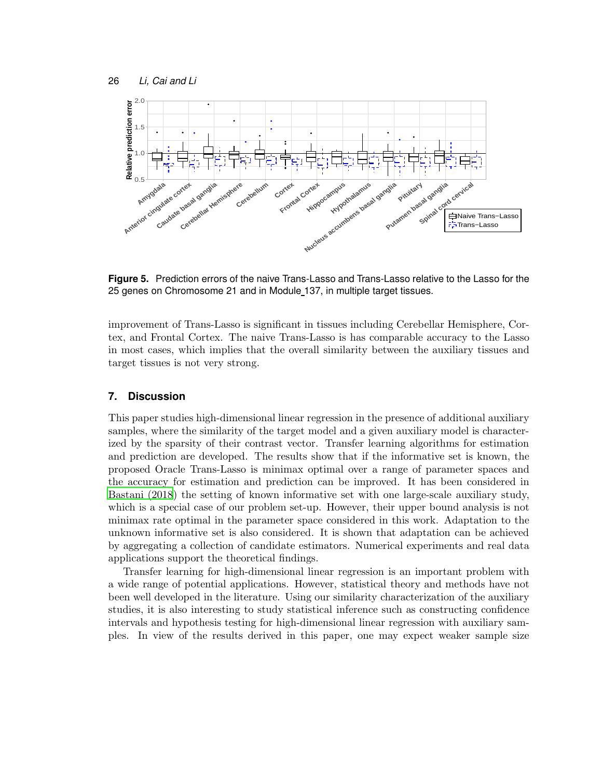

<span id="page-25-0"></span>**Figure 5.** Prediction errors of the naive Trans-Lasso and Trans-Lasso relative to the Lasso for the 25 genes on Chromosome 21 and in Module 137, in multiple target tissues.

improvement of Trans-Lasso is significant in tissues including Cerebellar Hemisphere, Cortex, and Frontal Cortex. The naive Trans-Lasso is has comparable accuracy to the Lasso in most cases, which implies that the overall similarity between the auxiliary tissues and target tissues is not very strong.

### **7. Discussion**

This paper studies high-dimensional linear regression in the presence of additional auxiliary samples, where the similarity of the target model and a given auxiliary model is characterized by the sparsity of their contrast vector. Transfer learning algorithms for estimation and prediction are developed. The results show that if the informative set is known, the proposed Oracle Trans-Lasso is minimax optimal over a range of parameter spaces and the accuracy for estimation and prediction can be improved. It has been considered in [Bastani \(2018](#page-26-5)) the setting of known informative set with one large-scale auxiliary study, which is a special case of our problem set-up. However, their upper bound analysis is not minimax rate optimal in the parameter space considered in this work. Adaptation to the unknown informative set is also considered. It is shown that adaptation can be achieved by aggregating a collection of candidate estimators. Numerical experiments and real data applications support the theoretical findings.

Transfer learning for high-dimensional linear regression is an important problem with a wide range of potential applications. However, statistical theory and methods have not been well developed in the literature. Using our similarity characterization of the auxiliary studies, it is also interesting to study statistical inference such as constructing confidence intervals and hypothesis testing for high-dimensional linear regression with auxiliary samples. In view of the results derived in this paper, one may expect weaker sample size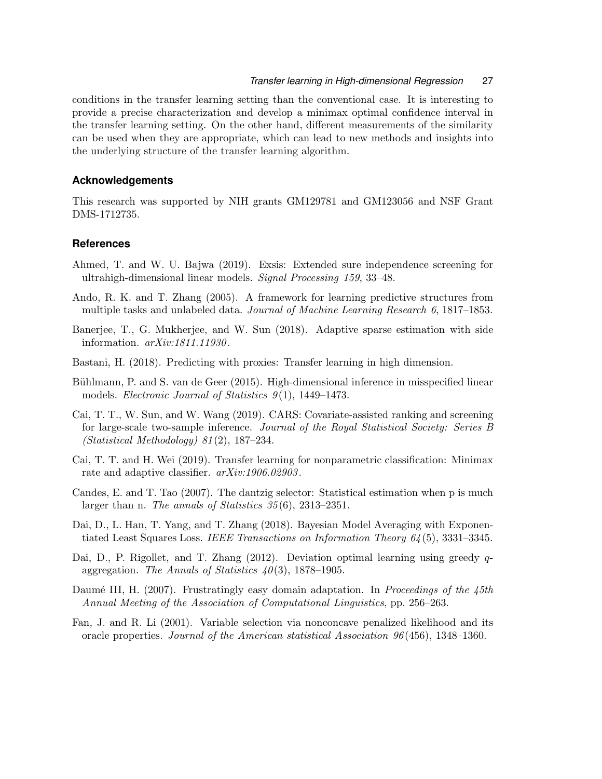conditions in the transfer learning setting than the conventional case. It is interesting to provide a precise characterization and develop a minimax optimal confidence interval in the transfer learning setting. On the other hand, different measurements of the similarity can be used when they are appropriate, which can lead to new methods and insights into the underlying structure of the transfer learning algorithm.

### **Acknowledgements**

This research was supported by NIH grants GM129781 and GM123056 and NSF Grant DMS-1712735.

### **References**

- <span id="page-26-11"></span>Ahmed, T. and W. U. Bajwa (2019). Exsis: Extended sure independence screening for ultrahigh-dimensional linear models. Signal Processing 159, 33–48.
- <span id="page-26-1"></span>Ando, R. K. and T. Zhang (2005). A framework for learning predictive structures from multiple tasks and unlabeled data. Journal of Machine Learning Research 6, 1817–1853.
- <span id="page-26-4"></span>Banerjee, T., G. Mukherjee, and W. Sun (2018). Adaptive sparse estimation with side information. arXiv:1811.11930.
- <span id="page-26-5"></span>Bastani, H. (2018). Predicting with proxies: Transfer learning in high dimension.
- <span id="page-26-8"></span>Bühlmann, P. and S. van de Geer (2015). High-dimensional inference in misspecified linear models. *Electronic Journal of Statistics 9(1)*, 1449–1473.
- <span id="page-26-3"></span>Cai, T. T., W. Sun, and W. Wang (2019). CARS: Covariate-assisted ranking and screening for large-scale two-sample inference. Journal of the Royal Statistical Society: Series B (Statistical Methodology) 81(2), 187–234.
- <span id="page-26-2"></span>Cai, T. T. and H. Wei (2019). Transfer learning for nonparametric classification: Minimax rate and adaptive classifier.  $arXiv:1906.02903$ .
- <span id="page-26-7"></span>Candes, E. and T. Tao (2007). The dantzig selector: Statistical estimation when p is much larger than n. The annals of Statistics 35(6), 2313–2351.
- <span id="page-26-10"></span>Dai, D., L. Han, T. Yang, and T. Zhang (2018). Bayesian Model Averaging with Exponentiated Least Squares Loss. IEEE Transactions on Information Theory 64(5), 3331–3345.
- <span id="page-26-9"></span>Dai, D., P. Rigollet, and T. Zhang (2012). Deviation optimal learning using greedy qaggregation. The Annals of Statistics  $40(3)$ , 1878–1905.
- <span id="page-26-0"></span>Daumé III, H. (2007). Frustratingly easy domain adaptation. In Proceedings of the 45th Annual Meeting of the Association of Computational Linguistics, pp. 256–263.
- <span id="page-26-6"></span>Fan, J. and R. Li (2001). Variable selection via nonconcave penalized likelihood and its oracle properties. Journal of the American statistical Association 96(456), 1348–1360.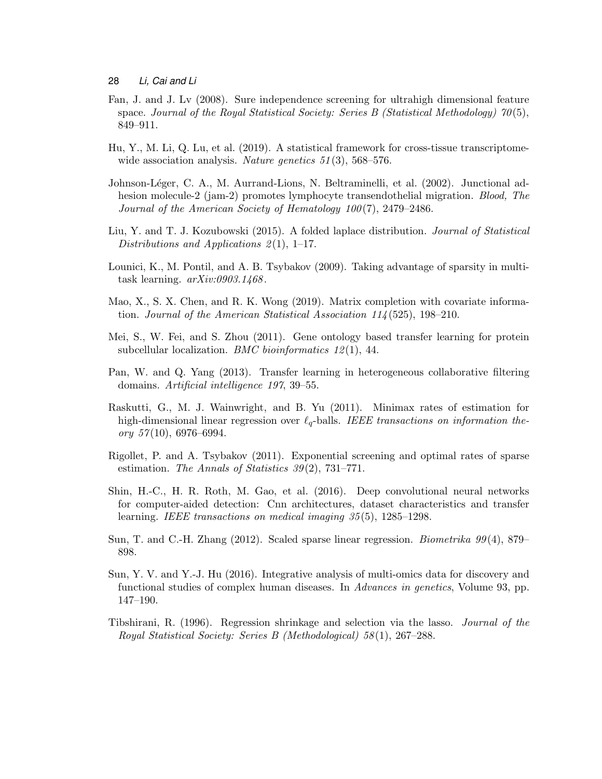- <span id="page-27-12"></span>Fan, J. and J. Lv (2008). Sure independence screening for ultrahigh dimensional feature space. Journal of the Royal Statistical Society: Series B (Statistical Methodology)  $70(5)$ , 849–911.
- <span id="page-27-3"></span>Hu, Y., M. Li, Q. Lu, et al. (2019). A statistical framework for cross-tissue transcriptomewide association analysis. Nature genetics  $51(3)$ , 568–576.
- <span id="page-27-13"></span>Johnson-Léger, C. A., M. Aurrand-Lions, N. Beltraminelli, et al. (2002). Junctional adhesion molecule-2 (jam-2) promotes lymphocyte transendothelial migration. *Blood, The* Journal of the American Society of Hematology 100(7), 2479–2486.
- <span id="page-27-11"></span>Liu, Y. and T. J. Kozubowski (2015). A folded laplace distribution. Journal of Statistical Distributions and Applications  $2(1)$ , 1–17.
- <span id="page-27-5"></span>Lounici, K., M. Pontil, and A. B. Tsybakov (2009). Taking advantage of sparsity in multitask learning.  $arXiv:0903.1468$ .
- <span id="page-27-6"></span>Mao, X., S. X. Chen, and R. K. Wong (2019). Matrix completion with covariate information. Journal of the American Statistical Association 114(525), 198–210.
- <span id="page-27-0"></span>Mei, S., W. Fei, and S. Zhou (2011). Gene ontology based transfer learning for protein subcellular localization. *BMC bioinformatics*  $12(1)$ , 44.
- <span id="page-27-4"></span>Pan, W. and Q. Yang (2013). Transfer learning in heterogeneous collaborative filtering domains. Artificial intelligence 197, 39–55.
- <span id="page-27-8"></span>Raskutti, G., M. J. Wainwright, and B. Yu (2011). Minimax rates of estimation for high-dimensional linear regression over  $\ell_q$ -balls. IEEE transactions on information theory  $57(10)$ , 6976–6994.
- <span id="page-27-10"></span>Rigollet, P. and A. Tsybakov (2011). Exponential screening and optimal rates of sparse estimation. The Annals of Statistics  $39(2)$ , 731–771.
- <span id="page-27-1"></span>Shin, H.-C., H. R. Roth, M. Gao, et al. (2016). Deep convolutional neural networks for computer-aided detection: Cnn architectures, dataset characteristics and transfer learning. IEEE transactions on medical imaging 35(5), 1285–1298.
- <span id="page-27-9"></span>Sun, T. and C.-H. Zhang (2012). Scaled sparse linear regression. Biometrika 99(4), 879– 898.
- <span id="page-27-2"></span>Sun, Y. V. and Y.-J. Hu (2016). Integrative analysis of multi-omics data for discovery and functional studies of complex human diseases. In *Advances in genetics*, Volume 93, pp. 147–190.
- <span id="page-27-7"></span>Tibshirani, R. (1996). Regression shrinkage and selection via the lasso. Journal of the Royal Statistical Society: Series B (Methodological) 58(1), 267–288.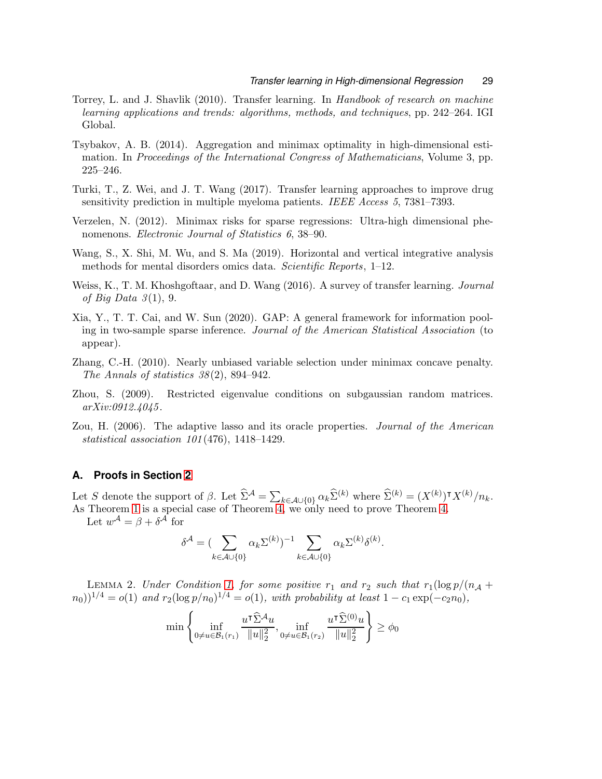- <span id="page-28-0"></span>Torrey, L. and J. Shavlik (2010). Transfer learning. In Handbook of research on machine learning applications and trends: algorithms, methods, and techniques, pp. 242–264. IGI Global.
- <span id="page-28-8"></span>Tsybakov, A. B. (2014). Aggregation and minimax optimality in high-dimensional estimation. In Proceedings of the International Congress of Mathematicians, Volume 3, pp. 225–246.
- <span id="page-28-2"></span>Turki, T., Z. Wei, and J. T. Wang (2017). Transfer learning approaches to improve drug sensitivity prediction in multiple myeloma patients. IEEE Access 5, 7381–7393.
- <span id="page-28-7"></span>Verzelen, N. (2012). Minimax risks for sparse regressions: Ultra-high dimensional phenomenons. *Electronic Journal of Statistics 6, 38–90.*
- <span id="page-28-3"></span>Wang, S., X. Shi, M. Wu, and S. Ma (2019). Horizontal and vertical integrative analysis methods for mental disorders omics data. Scientific Reports, 1–12.
- <span id="page-28-1"></span>Weiss, K., T. M. Khoshgoftaar, and D. Wang (2016). A survey of transfer learning. Journal of Big Data  $3(1)$ , 9.
- <span id="page-28-4"></span>Xia, Y., T. T. Cai, and W. Sun (2020). GAP: A general framework for information pooling in two-sample sparse inference. Journal of the American Statistical Association (to appear).
- <span id="page-28-6"></span>Zhang, C.-H. (2010). Nearly unbiased variable selection under minimax concave penalty. The Annals of statistics  $38(2)$ , 894-942.
- <span id="page-28-10"></span>Zhou, S. (2009). Restricted eigenvalue conditions on subgaussian random matrices. arXiv:0912.4045.
- <span id="page-28-5"></span>Zou, H. (2006). The adaptive lasso and its oracle properties. Journal of the American statistical association 101(476), 1418–1429.

# **A. Proofs in Section [2](#page-4-0)**

Let S denote the support of  $\beta$ . Let  $\widehat{\Sigma}^{\mathcal{A}} = \sum_{k \in \mathcal{A} \cup \{0\}} \alpha_k \widehat{\Sigma}^{(k)}$  where  $\widehat{\Sigma}^{(k)} = (X^{(k)})^{\intercal} X^{(k)}/n_k$ . As Theorem [1](#page-6-0) is a special case of Theorem [4,](#page-15-2) we only need to prove Theorem [4.](#page-15-2)

Let  $w^{\mathcal{A}} = \beta + \delta^{\mathcal{A}}$  for

$$
\delta^{\mathcal{A}} = (\sum_{k \in \mathcal{A} \cup \{0\}} \alpha_k \Sigma^{(k)})^{-1} \sum_{k \in \mathcal{A} \cup \{0\}} \alpha_k \Sigma^{(k)} \delta^{(k)}.
$$

<span id="page-28-9"></span>LEMMA 2. Under Condition [1,](#page-6-1) for some positive  $r_1$  and  $r_2$  such that  $r_1(\log p/(n_A +$  $(n_0)$ <sup>1/4</sup> =  $o(1)$  and  $r_2(\log p/n_0)^{1/4} = o(1)$ , with probability at least 1 –  $c_1 \exp(-c_2n_0)$ ,

$$
\min\left\{\inf_{0\neq u\in\mathcal{B}_1(r_1)}\frac{u^\intercal\widehat{\Sigma}^{\mathcal{A}} u}{\|u\|_2^2},\inf_{0\neq u\in\mathcal{B}_1(r_2)}\frac{u^\intercal\widehat{\Sigma}^{(0)} u}{\|u\|_2^2}\right\}\geq\phi_0
$$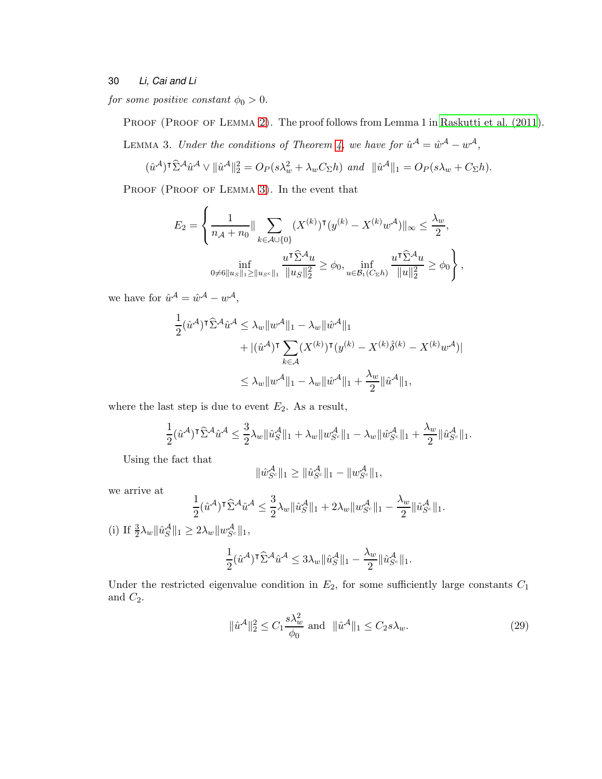for some positive constant  $\phi_0 > 0$ .

<span id="page-29-0"></span>PROOF (PROOF OF LEMMA [2\)](#page-28-9). The proof follows from Lemma 1 in [Raskutti et al. \(2011](#page-27-8)).

LEMMA 3. Under the conditions of Theorem [4,](#page-15-2) we have for  $\hat{u}^{\mathcal{A}} = \hat{w}^{\mathcal{A}} - w^{\mathcal{A}}$ ,

$$
(\hat{u}^{\mathcal{A}})^{\mathsf{T}} \hat{\Sigma}^{\mathcal{A}} \hat{u}^{\mathcal{A}} \vee ||\hat{u}^{\mathcal{A}}||_2^2 = O_P(s\lambda_w^2 + \lambda_w C_{\Sigma}h) \ \text{and} \ \ ||\hat{u}^{\mathcal{A}}||_1 = O_P(s\lambda_w + C_{\Sigma}h).
$$

PROOF (PROOF OF LEMMA [3\)](#page-29-0). In the event that

$$
E_2 = \left\{ \frac{1}{n_{\mathcal{A}} + n_0} \|\sum_{k \in \mathcal{A} \cup \{0\}} (X^{(k)})^\mathsf{T} (y^{(k)} - X^{(k)} w^{\mathcal{A}})\|_{\infty} \le \frac{\lambda_w}{2}, \right\}\inf_{0 \neq 6 \|u_s\|_1 \ge \|u_{\mathcal{S}^c}\|_1} \frac{u^\mathsf{T} \widehat{\Sigma}^{\mathcal{A}} u}{\|u_{\mathcal{S}}\|_2^2} \ge \phi_0, \inf_{u \in \mathcal{B}_1(C_{\Sigma}h)} \frac{u^\mathsf{T} \widehat{\Sigma}^{\mathcal{A}} u}{\|u\|_2^2} \ge \phi_0 \right\},
$$

we have for  $\hat{u}^{\mathcal{A}} = \hat{w}^{\mathcal{A}} - w^{\mathcal{A}},$ 

$$
\frac{1}{2}(\hat{u}^{\mathcal{A}})^{\mathsf{T}}\hat{\Sigma}^{\mathcal{A}}\hat{u}^{\mathcal{A}} \leq \lambda_w \|w^{\mathcal{A}}\|_1 - \lambda_w \|\hat{w}^{\mathcal{A}}\|_1
$$
  
+|(\hat{u}^{\mathcal{A}})^{\mathsf{T}}\sum\_{k\in\mathcal{A}} (X^{(k)})^{\mathsf{T}}(y^{(k)} - X^{(k)}\hat{\delta}^{(k)} - X^{(k)}w^{\mathcal{A}})|  

$$
\leq \lambda_w \|w^{\mathcal{A}}\|_1 - \lambda_w \|\hat{w}^{\mathcal{A}}\|_1 + \frac{\lambda_w}{2} \|\hat{u}^{\mathcal{A}}\|_1,
$$

where the last step is due to event  $E_2$ . As a result,

$$
\frac{1}{2}(\hat{u}^{\mathcal{A}})^{\mathsf{T}}\widehat{\Sigma}^{\mathcal{A}}\hat{u}^{\mathcal{A}} \leq \frac{3}{2}\lambda_w\|\hat{u}_{S}^{\mathcal{A}}\|_1 + \lambda_w\|w_{S^c}^{\mathcal{A}}\|_1 - \lambda_w\|\hat{w}_{S^c}^{\mathcal{A}}\|_1 + \frac{\lambda_w}{2}\|\hat{u}_{S^c}^{\mathcal{A}}\|_1.
$$

Using the fact that

$$
\|\hat{w}_{S^c}^{\mathcal{A}}\|_1 \ge \|\hat{u}_{S^c}^{\mathcal{A}}\|_1 - \|w_{S^c}^{\mathcal{A}}\|_1,
$$

we arrive at

$$
\frac{1}{2}(\hat{u}^{\mathcal{A}})^{\mathsf{T}}\widehat{\Sigma}^{\mathcal{A}}\hat{u}^{\mathcal{A}} \leq \frac{3}{2}\lambda_w\|\hat{u}_{S}^{\mathcal{A}}\|_1 + 2\lambda_w\|w_{S^c}^{\mathcal{A}}\|_1 - \frac{\lambda_w}{2}\|\hat{u}_{S^c}^{\mathcal{A}}\|_1.
$$

(i) If  $\frac{3}{2}\lambda_w \|\hat{u}_S^{\mathcal{A}}\|_1 \geq 2\lambda_w \|w_{S^c}^{\mathcal{A}}\|_1$ , 1  $\frac{1}{2}(\hat{u}^{\mathcal{A}})^{\mathsf{T}} \widehat{\Sigma}^{\mathcal{A}} \hat{u}^{\mathcal{A}} \leq 3\lambda_w \|\hat{u}_S^{\mathcal{A}}\|_1 \lambda_w$  $\frac{\lambda_w}{2} \|\hat{u}^{\mathcal{A}}_{S^c}\|_1.$ 

Under the restricted eigenvalue condition in  $E_2$ , for some sufficiently large constants  $C_1$ and  $C_2$ .

<span id="page-29-1"></span>
$$
\|\hat{u}^{\mathcal{A}}\|_{2}^{2} \le C_{1} \frac{s\lambda_{w}^{2}}{\phi_{0}} \text{ and } \|\hat{u}^{\mathcal{A}}\|_{1} \le C_{2} s\lambda_{w}. \tag{29}
$$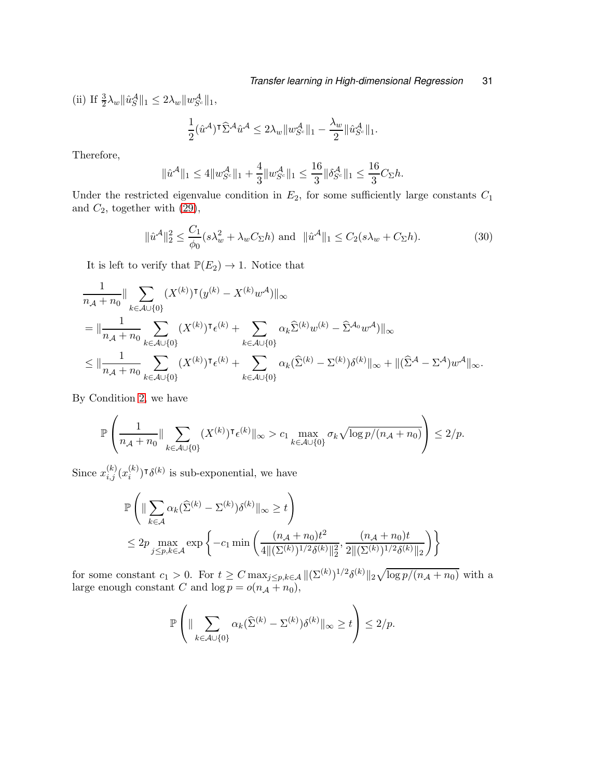(ii) If  $\frac{3}{2}\lambda_w \|\hat{u}_S^{\mathcal{A}}\|_1 \leq 2\lambda_w \|w_{S^c}^{\mathcal{A}}\|_1$ ,

$$
\frac{1}{2}(\hat{u}^{\mathcal{A}})^{\mathsf{T}}\widehat{\Sigma}^{\mathcal{A}}\hat{u}^{\mathcal{A}} \leq 2\lambda_w\|w_{S^c}^{\mathcal{A}}\|_1 - \frac{\lambda_w}{2}\|\hat{u}_{S^c}^{\mathcal{A}}\|_1.
$$

Therefore,

$$
\|\hat{u}^{\mathcal{A}}\|_{1} \leq 4\|w^{\mathcal{A}}_{S^{c}}\|_{1} + \frac{4}{3}\|w^{\mathcal{A}}_{S^{c}}\|_{1} \leq \frac{16}{3}\|\delta^{\mathcal{A}}_{S^{c}}\|_{1} \leq \frac{16}{3}C_{\Sigma}h.
$$

Under the restricted eigenvalue condition in  $E_2$ , for some sufficiently large constants  $C_1$ and  $C_2$ , together with  $(29)$ ,

$$
\|\hat{u}^{\mathcal{A}}\|_{2}^{2} \le \frac{C_{1}}{\phi_{0}}(s\lambda_{w}^{2} + \lambda_{w}C_{\Sigma}h) \text{ and } \|\hat{u}^{\mathcal{A}}\|_{1} \le C_{2}(s\lambda_{w} + C_{\Sigma}h). \tag{30}
$$

It is left to verify that  $\mathbb{P}(E_2) \to 1$ . Notice that

$$
\begin{split}\n&\frac{1}{n_{\mathcal{A}}+n_{0}}\|\sum_{k\in\mathcal{A}\cup\{0\}}(X^{(k)})\mathsf{T}(y^{(k)}-X^{(k)}w^{\mathcal{A}})\|_{\infty} \\
&=\|\frac{1}{n_{\mathcal{A}}+n_{0}}\sum_{k\in\mathcal{A}\cup\{0\}}(X^{(k)})\mathsf{T}_{\epsilon}(k)+\sum_{k\in\mathcal{A}\cup\{0\}}\alpha_{k}\hat{\Sigma}^{(k)}w^{(k)}-\hat{\Sigma}^{\mathcal{A}_{0}}w^{\mathcal{A}})\|_{\infty} \\
&\leq \|\frac{1}{n_{\mathcal{A}}+n_{0}}\sum_{k\in\mathcal{A}\cup\{0\}}(X^{(k)})\mathsf{T}_{\epsilon}(k)+\sum_{k\in\mathcal{A}\cup\{0\}}\alpha_{k}(\hat{\Sigma}^{(k)}-\Sigma^{(k)})\delta^{(k)}\|_{\infty}+\|(\hat{\Sigma}^{\mathcal{A}}-\Sigma^{\mathcal{A}})w^{\mathcal{A}}\|_{\infty}.\n\end{split}
$$

By Condition [2,](#page-6-2) we have

$$
\mathbb{P}\left(\frac{1}{n_{\mathcal{A}}+n_0}\|\sum_{k\in\mathcal{A}\cup\{0\}}(X^{(k)})^{\intercal}\epsilon^{(k)}\|_{\infty}>c_1\max_{k\in\mathcal{A}\cup\{0\}}\sigma_k\sqrt{\log p/(n_{\mathcal{A}}+n_0)}\right)\leq 2/p.
$$

Since  $x_{i,j}^{(k)}(x_i^{(k)})$  $\binom{k}{i}$ <sup>T</sup> $\delta$ <sup>(k)</sup> is sub-exponential, we have

$$
\mathbb{P}\left(\|\sum_{k\in\mathcal{A}}\alpha_k(\widehat{\Sigma}^{(k)} - \Sigma^{(k)})\delta^{(k)}\|_{\infty} \ge t\right) \n\le 2p \max_{j\le p,k\in\mathcal{A}} \exp\left\{-c_1 \min\left(\frac{(n_{\mathcal{A}} + n_0)t^2}{4\|(\Sigma^{(k)})^{1/2}\delta^{(k)}\|_2^2}, \frac{(n_{\mathcal{A}} + n_0)t}{2\|(\Sigma^{(k)})^{1/2}\delta^{(k)}\|_2}\right)\right\}
$$

for some constant  $c_1 > 0$ . For  $t \geq C \max_{j \leq p, k \in \mathcal{A}} ||(\Sigma^{(k)})^{1/2} \delta^{(k)}||_2 \sqrt{\log p/(n_{\mathcal{A}}+n_0)}$  with a large enough constant C and  $\log p = o(n_A + n_0)$ ,

$$
\mathbb{P}\left(\|\sum_{k\in \mathcal{A}\cup\{0\}}\alpha_k(\widehat{\Sigma}^{(k)}-\Sigma^{(k)})\delta^{(k)}\|_\infty\geq t\right)\leq 2/p.
$$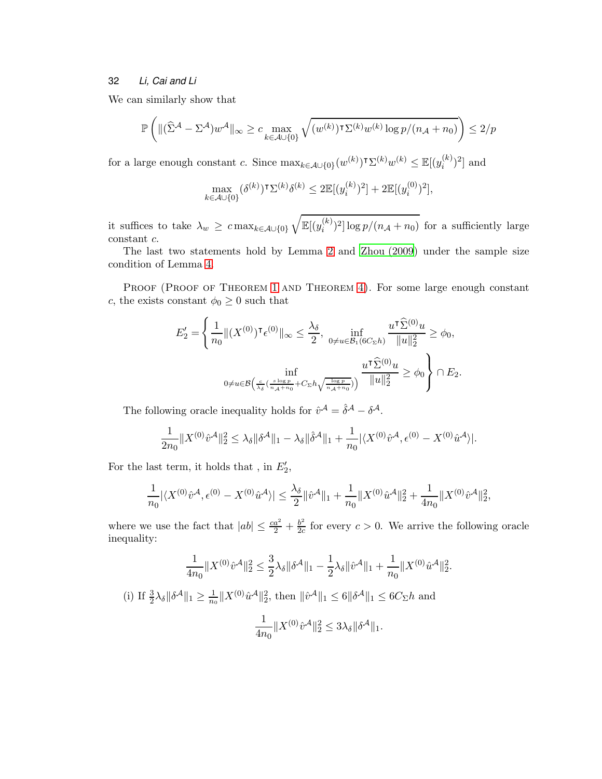We can similarly show that

$$
\mathbb{P}\left(\|(\widehat{\Sigma}^{\mathcal{A}}-\Sigma^{\mathcal{A}})w^{\mathcal{A}}\|_{\infty}\geq c\max_{k\in\mathcal{A}\cup\{0\}}\sqrt{(w^{(k)})^{\intercal}\Sigma^{(k)}w^{(k)}\log p/(n_{\mathcal{A}}+n_0)}\right)\leq 2/p
$$

for a large enough constant c. Since  $\max_{k \in \mathcal{A} \cup \{0\}} (w^{(k)})^{\intercal} \Sigma^{(k)} w^{(k)} \leq \mathbb{E}[(y_i^{(k)})^{\intercal}]$  $\binom{k}{i}^2$  and

$$
\max_{k\in\mathcal{A}\cup\{0\}}(\delta^{(k)})^\intercal \Sigma^{(k)}\delta^{(k)}\leq 2\mathbb{E}[(y_i^{(k)})^2]+2\mathbb{E}[(y_i^{(0)})^2],
$$

it suffices to take  $\lambda_w \geq c \max_{k \in \mathcal{A} \cup \{0\}}$  $\sqrt{\mathbb{E}[(y_i^{(k)})]}$  $\sum_{i}^{(k)}$ )<sup>2</sup>] log  $p/(n_{\mathcal{A}}+n_0)$  for a sufficiently large constant c.

The last two statements hold by Lemma [2](#page-28-9) and [Zhou \(2009\)](#page-28-10) under the sample size condition of Lemma [4.](#page-15-2)

PROOF (PROOF OF THEOREM [1](#page-6-0) AND THEOREM [4\)](#page-15-2). For some large enough constant c, the exists constant  $\phi_0 \geq 0$  such that

$$
E_2' = \left\{ \frac{1}{n_0} \|(X^{(0)})^{\intercal} \epsilon^{(0)}\|_{\infty} \le \frac{\lambda_{\delta}}{2}, \ \inf_{0 \ne u \in \mathcal{B}_1(6C_{\Sigma}h)} \frac{u^{\intercal} \widehat{\Sigma}^{(0)} u}{\|u\|_2^2} \ge \phi_0, \right. \n\inf_{0 \ne u \in \mathcal{B}\left(\frac{c}{\lambda_{\delta}}\left(\frac{s \log p}{n_A + n_0} + C_{\Sigma}h\sqrt{\frac{\log p}{n_A + n_0}}\right)\right)} \frac{u^{\intercal} \widehat{\Sigma}^{(0)} u}{\|u\|_2^2} \ge \phi_0 \right\} \cap E_2.
$$

The following oracle inequality holds for  $\hat{v}^{\mathcal{A}} = \hat{\delta}^{\mathcal{A}} - \delta^{\mathcal{A}}$ .

$$
\frac{1}{2n_0}||X^{(0)}\hat{v}^{\mathcal{A}}||_2^2 \leq \lambda_{\delta} ||\delta^{\mathcal{A}}||_1 - \lambda_{\delta} ||\hat{\delta}^{\mathcal{A}}||_1 + \frac{1}{n_0} |\langle X^{(0)}\hat{v}^{\mathcal{A}}, \epsilon^{(0)} - X^{(0)}\hat{u}^{\mathcal{A}}\rangle|.
$$

For the last term, it holds that , in  $E'_2$ ,

$$
\frac{1}{n_0} |\langle X^{(0)} \hat{v}^{\mathcal{A}}, \epsilon^{(0)} - X^{(0)} \hat{u}^{\mathcal{A}} \rangle| \le \frac{\lambda_{\delta}}{2} ||\hat{v}^{\mathcal{A}}||_1 + \frac{1}{n_0} ||X^{(0)} \hat{u}^{\mathcal{A}}||_2^2 + \frac{1}{4n_0} ||X^{(0)} \hat{v}^{\mathcal{A}}||_2^2,
$$

where we use the fact that  $|ab| \leq \frac{ca^2}{2} + \frac{b^2}{2c}$  $\frac{b^2}{2c}$  for every  $c > 0$ . We arrive the following oracle inequality:

$$
\frac{1}{4n_0}||X^{(0)}\hat{v}^{\mathcal{A}}||_2^2 \leq \frac{3}{2}\lambda_{\delta} ||\delta^{\mathcal{A}}||_1 - \frac{1}{2}\lambda_{\delta} ||\hat{v}^{\mathcal{A}}||_1 + \frac{1}{n_0} ||X^{(0)}\hat{u}^{\mathcal{A}}||_2^2.
$$

(i) If  $\frac{3}{2}\lambda_{\delta} \|\delta^{\mathcal{A}}\|_1 \geq \frac{1}{n_0}$  $\frac{1}{n_0} \|X^{(0)} \hat{u}^{\mathcal{A}}\|_2^2$ , then  $\|\hat{v}^{\mathcal{A}}\|_1 \leq 6 \|\delta^{\mathcal{A}}\|_1 \leq 6C_{\Sigma}h$  and

$$
\frac{1}{4n_0}||X^{(0)}\hat{v}^{\mathcal{A}}||_2^2 \le 3\lambda_\delta ||\delta^{\mathcal{A}}||_1.
$$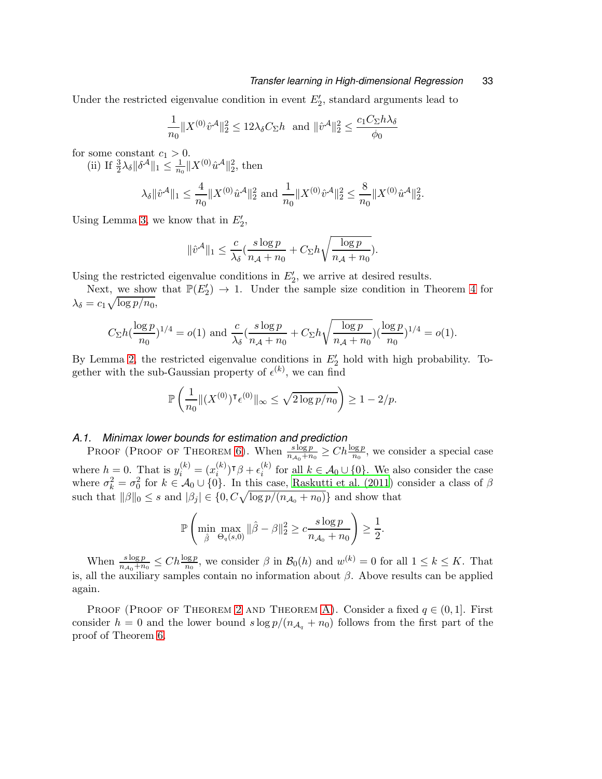#### *Transfer learning in High-dimensional Regression* 33

Under the restricted eigenvalue condition in event  $E'_{2}$ , standard arguments lead to

$$
\frac{1}{n_0} \|X^{(0)} \hat{v}^{\mathcal{A}}\|_2^2 \le 12\lambda_\delta C_\Sigma h \text{ and } \|\hat{v}^{\mathcal{A}}\|_2^2 \le \frac{c_1 C_\Sigma h \lambda_\delta}{\phi_0}
$$

for some constant  $c_1 > 0$ .

(ii) If  $\frac{3}{2}\lambda_{\delta} \|\delta^{\mathcal{A}}\|_1 \leq \frac{1}{n_0} \|X^{(0)}\hat{u}^{\mathcal{A}}\|_2^2$ , then

$$
\lambda_{\delta} \|\hat{v}^{\mathcal{A}}\|_{1} \leq \frac{4}{n_{0}} \|X^{(0)} \hat{u}^{\mathcal{A}}\|_{2}^{2} \text{ and } \frac{1}{n_{0}} \|X^{(0)} \hat{v}^{\mathcal{A}}\|_{2}^{2} \leq \frac{8}{n_{0}} \|X^{(0)} \hat{u}^{\mathcal{A}}\|_{2}^{2}.
$$

Using Lemma [3,](#page-29-0) we know that in  $E'_2$ ,

$$
\|\hat{v}^{\mathcal{A}}\|_1 \leq \frac{c}{\lambda_{\delta}}(\frac{s\log p}{n_{\mathcal{A}}+n_0}+C_{\Sigma}h\sqrt{\frac{\log p}{n_{\mathcal{A}}+n_0}}).
$$

Using the restricted eigenvalue conditions in  $E'_{2}$ , we arrive at desired results.

Next, we show that  $\mathbb{P}(E'_2) \to 1$ . Under the sample size condition in Theorem [4](#page-15-2) for  $\lambda_{\delta} = c_1 \sqrt{\log p/n_0},$ 

$$
C_{\Sigma}h(\frac{\log p}{n_0})^{1/4} = o(1) \text{ and } \frac{c}{\lambda_{\delta}}(\frac{s \log p}{n_{\mathcal{A}}+n_0} + C_{\Sigma}h\sqrt{\frac{\log p}{n_{\mathcal{A}}+n_0}})(\frac{\log p}{n_0})^{1/4} = o(1).
$$

By Lemma [2,](#page-28-9) the restricted eigenvalue conditions in  $E'_2$  hold with high probability. Together with the sub-Gaussian property of  $\epsilon^{(k)}$ , we can find

$$
\mathbb{P}\left(\frac{1}{n_0}\|(X^{(0)})^{\intercal}\epsilon^{(0)}\|_{\infty}\leq \sqrt{2\log p/n_0}\right)\geq 1-2/p.
$$

# *A.1. Minimax lower bounds for estimation and prediction*

PROOF (PROOF OF THEOREM [6\)](#page-17-2). When  $\frac{s \log p}{n_{A_0}+n_0} \geq C h \frac{\log p}{n_0}$ , we consider a special case where  $h = 0$ . That is  $y_i^{(k)} = (x_i^{(k)})$  $\binom{(k)}{i}$ ד $\beta+\epsilon^{(k)}_i$ <sup>(k)</sup> for all  $k \in A_0 \cup \{0\}$ . We also consider the case where  $\sigma_k^2 = \sigma_0^2$  for  $k \in \mathcal{A}_0 \cup \{0\}$ . In this case, [Raskutti et al. \(2011](#page-27-8)) consider a class of  $\beta$ such that  $||\beta||_0 \leq s$  and  $|\beta_j| \in \{0, C\sqrt{\log p/(n_{\mathcal{A}_0}+n_0)}\}$  and show that

$$
\mathbb{P}\left(\min_{\hat{\beta}} \max_{\Theta_q(s,0)} ||\hat{\beta} - \beta||_2^2 \ge c \frac{s \log p}{n_{\mathcal{A}_0} + n_0} \right) \ge \frac{1}{2}.
$$

When  $\frac{s \log p}{n_{\mathcal{A}_0} + n_0} \leq C h \frac{\log p}{n_0}$ , we consider  $\beta$  in  $\mathcal{B}_0(h)$  and  $w^{(k)} = 0$  for all  $1 \leq k \leq K$ . That is, all the auxiliary samples contain no information about  $\beta$ . Above results can be applied again.

PROOF (PROOF OF THEOREM [2](#page-7-1) AND THEOREM [A\)](#page-39-0). Consider a fixed  $q \in (0,1]$ . First consider  $h = 0$  and the lower bound  $s \log p/(n_{A_q} + n_0)$  follows from the first part of the proof of Theorem [6.](#page-17-2)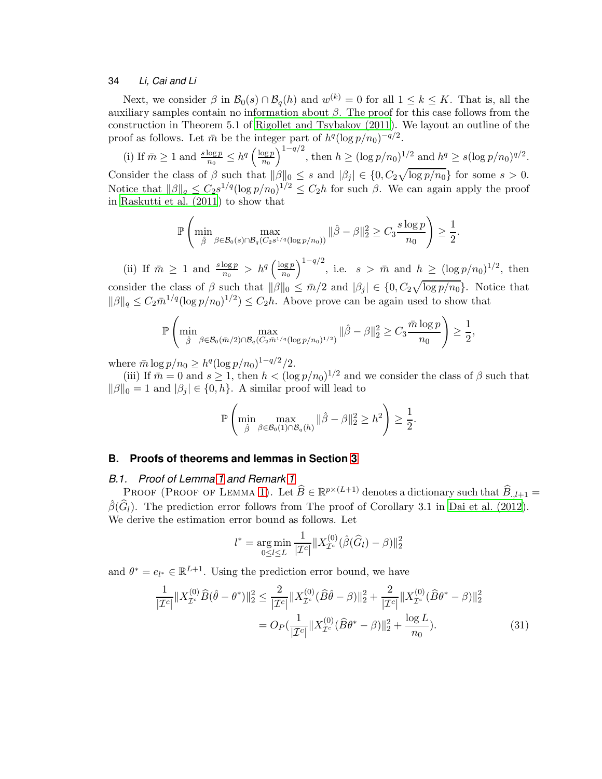Next, we consider  $\beta$  in  $\mathcal{B}_0(s) \cap \mathcal{B}_q(h)$  and  $w^{(k)} = 0$  for all  $1 \leq k \leq K$ . That is, all the auxiliary samples contain no information about  $β$ . The proof for this case follows from the construction in Theorem 5.1 of [Rigollet and Tsybakov \(2011](#page-27-10)). We layout an outline of the proof as follows. Let  $\bar{m}$  be the integer part of  $h^{q}(\log p/n_0)^{-q/2}$ .

(i) If  $\bar{m} \geq 1$  and  $\frac{s \log p}{n_0} \leq h^q \left(\frac{\log p}{n_0}\right)$  $n_0$  $\int_{1-q/2}^{1-q/2}$ , then  $h \ge (\log p/n_0)^{1/2}$  and  $h^q \ge s (\log p/n_0)^{q/2}$ . Consider the class of  $\beta$  such that  $\|\beta\|_0 \leq s$  and  $|\beta_j| \in \{0, C_2\sqrt{\log p/n_0}\}\$  for some  $s > 0$ . Notice that  $\|\beta\|_q \leq C_2 s^{1/q} (\log p/n_0)^{1/2} \leq C_2 h$  for such  $\beta$ . We can again apply the proof in [Raskutti et al. \(2011](#page-27-8)) to show that

$$
\mathbb{P}\left(\min_{\hat{\beta}} \max_{\beta \in \mathcal{B}_0(s) \cap \mathcal{B}_q(C_2 s^{1/q}(\log p/n_0))} \|\hat{\beta} - \beta\|_2^2 \geq C_3 \frac{s \log p}{n_0}\right) \geq \frac{1}{2}.
$$

(ii) If  $\bar{m} \geq 1$  and  $\frac{s \log p}{n_0} > h^q \left( \frac{\log p}{n_0} \right)$  $n_{0}$  $\int_{0}^{1-q/2}$ , i.e.  $s > \bar{m}$  and  $h \geq (\log p/n_0)^{1/2}$ , then consider the class of  $\beta$  such that  $\|\beta\|_0 \leq \bar{m}/2$  and  $|\beta_j| \in \{0, C_2\sqrt{\log p/n_0}\}\.$  Notice that  $\|\beta\|_q \leq C_2 \bar{m}^{1/q} (\log p/n_0)^{1/2}) \leq C_2 h$ . Above prove can be again used to show that

$$
\mathbb{P}\left(\min_{\hat{\beta}}\max_{\beta\in\mathcal{B}_0(\bar{m}/2)\cap\mathcal{B}_q(C_2\bar{m}^{1/q}(\log p/n_0)^{1/2})}\|\hat{\beta}-\beta\|_2^2\geq C_3\frac{\bar{m}\log p}{n_0}\right)\geq\frac{1}{2},
$$

where  $\bar{m} \log p/n_0 \geq h^q (\log p/n_0)^{1-q/2}/2$ .

(iii) If  $\bar{m} = 0$  and  $s \ge 1$ , then  $h < (\log p/n_0)^{1/2}$  and we consider the class of  $\beta$  such that  $\|\beta\|_0 = 1$  and  $|\beta_j| \in \{0, h\}$ . A similar proof will lead to

$$
\mathbb{P}\left(\min_{\hat{\beta}}\max_{\beta\in\mathcal{B}_0(1)\cap\mathcal{B}_q(h)}\|\hat{\beta}-\beta\|_2^2\geq h^2\right)\geq\frac{1}{2}.
$$

# **B. Proofs of theorems and lemmas in Section [3](#page-7-0)**

# *B.1. Proof of Lemma [1](#page-11-1) and Remark [1](#page-12-2)*

PROOF (PROOF OF LEMMA [1\)](#page-11-1). Let  $\widehat{B} \in \mathbb{R}^{p \times (L+1)}$  denotes a dictionary such that  $\widehat{B}_{.,l+1} = \widehat{B}_{j}$  $\hat{\beta}(\widehat{G}_l)$ . The prediction error follows from The proof of Corollary 3.1 in [Dai et al. \(2012](#page-26-9)). We derive the estimation error bound as follows. Let

<span id="page-33-0"></span>
$$
l^* = \underset{0 \le l \le L}{\arg \min} \frac{1}{|\mathcal{I}^c|} \| X_{\mathcal{I}^c}^{(0)}(\hat{\beta}(\widehat{G}_l) - \beta) \|_2^2
$$

and  $\theta^* = e_{l^*} \in \mathbb{R}^{L+1}$ . Using the prediction error bound, we have

$$
\frac{1}{|\mathcal{I}^c|} \|X_{\mathcal{I}^c}^{(0)}\widehat{B}(\widehat{\theta} - \theta^*)\|_2^2 \le \frac{2}{|\mathcal{I}^c|} \|X_{\mathcal{I}^c}^{(0)}(\widehat{B}\widehat{\theta} - \beta)\|_2^2 + \frac{2}{|\mathcal{I}^c|} \|X_{\mathcal{I}^c}^{(0)}(\widehat{B}\theta^* - \beta)\|_2^2
$$

$$
= O_P(\frac{1}{|\mathcal{I}^c|} \|X_{\mathcal{I}^c}^{(0)}(\widehat{B}\theta^* - \beta)\|_2^2 + \frac{\log L}{n_0}).
$$
(31)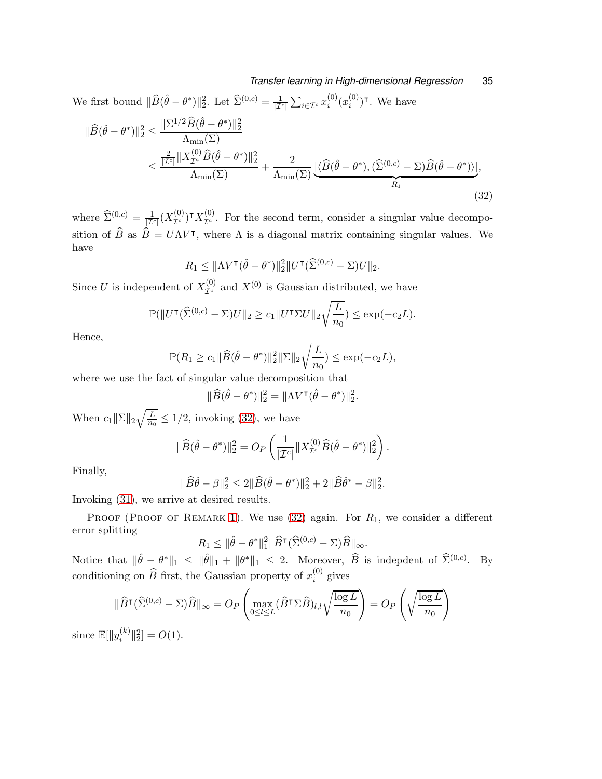We first bound  $\|\widehat{B}(\hat{\theta} - \theta^*)\|_2^2$ . Let  $\widehat{\Sigma}^{(0,c)} = \frac{1}{|\mathcal{I}|}$  $\frac{1}{|{\mathcal I}^c|} \sum_{i \in {\mathcal I}^c} x_i^{(0)}$  $i^{(0)}(x_i^{(0)}$  $i^{(0)}$ )<sup>T</sup>. We have

$$
\|\widehat{B}(\widehat{\theta}-\theta^*)\|_2^2 \le \frac{\|\Sigma^{1/2}\widehat{B}(\widehat{\theta}-\theta^*)\|_2^2}{\Lambda_{\min}(\Sigma)} \le \frac{\frac{2}{|\mathcal{I}^c|}\|X_{\mathcal{I}^c}^{(0)}\widehat{B}(\widehat{\theta}-\theta^*)\|_2^2}{\Lambda_{\min}(\Sigma)} + \frac{2}{\Lambda_{\min}(\Sigma)}\frac{\|\widehat{B}(\widehat{\theta}-\theta^*)\cdot(\widehat{\Sigma}^{(0,c)}-\Sigma)\widehat{B}(\widehat{\theta}-\theta^*))\|_2^2}{R_1},\tag{32}
$$

where  $\hat{\Sigma}^{(0,c)} = \frac{1}{|\mathcal{I}^c|} (X_{\mathcal{I}^c}^{(0)})^{\intercal} X_{\mathcal{I}^c}^{(0)}$ . For the second term, consider a singular value decomposition of  $\hat{B}$  as  $\hat{B} = U\Lambda V^{\dagger}$ , where  $\Lambda$  is a diagonal matrix containing singular values. We have

<span id="page-34-0"></span>
$$
R_1 \leq \|\Lambda V^{\mathsf{T}}(\hat{\theta}-\theta^*)\|_2^2 \|U^{\mathsf{T}}(\widehat{\Sigma}^{(0,c)}-\Sigma)U\|_2.
$$

Since U is independent of  $X_{\mathcal{I}^c}^{(0)}$  and  $X^{(0)}$  is Gaussian distributed, we have

$$
\mathbb{P}(\|U^{\mathsf{T}}(\widehat{\Sigma}^{(0,c)} - \Sigma)U\|_2 \ge c_1 \|U^{\mathsf{T}}\Sigma U\|_2 \sqrt{\frac{L}{n_0}}) \le \exp(-c_2 L).
$$

Hence,

$$
\mathbb{P}(R_1 \geq c_1 \|\widehat{B}(\widehat{\theta} - \theta^*)\|_2^2 \|\Sigma\|_2 \sqrt{\frac{L}{n_0}}) \leq \exp(-c_2 L),
$$

where we use the fact of singular value decomposition that

$$
\|\widehat{B}(\widehat{\theta}-\theta^*)\|_2^2 = \|\Lambda V^{\mathsf{T}}(\widehat{\theta}-\theta^*)\|_2^2.
$$

When  $c_1 \|\Sigma\|_2 \sqrt{\frac{L}{n_0}}$  $\frac{L}{n_0} \leq 1/2$ , invoking [\(32\)](#page-34-0), we have

$$
\|\widehat{B}(\hat{\theta}-\theta^*)\|_2^2 = O_P\left(\frac{1}{|\mathcal{I}^c|}\|X_{\mathcal{I}^c}^{(0)}\widehat{B}(\hat{\theta}-\theta^*)\|_2^2\right).
$$

Finally,

$$
\|\widehat{B}\widehat{\theta} - \beta\|_2^2 \le 2\|\widehat{B}(\widehat{\theta} - \theta^*)\|_2^2 + 2\|\widehat{B}\widehat{\theta}^* - \beta\|_2^2.
$$

Invoking [\(31\)](#page-33-0), we arrive at desired results.

PROOF (PROOF OF REMARK [1\)](#page-12-2). We use  $(32)$  again. For  $R_1$ , we consider a different error splitting

$$
R_1 \leq \|\hat{\theta} - \theta^*\|_1^2 \|\widehat{B}^\intercal (\widehat{\Sigma}^{(0,c)} - \Sigma)\widehat{B}\|_{\infty}.
$$

Notice that  $\|\hat{\theta} - \theta^*\|_1 \leq \|\hat{\theta}\|_1 + \|\theta^*\|_1 \leq 2$ . Moreover,  $\hat{B}$  is indepdent of  $\hat{\Sigma}^{(0,c)}$ . By conditioning on  $\widehat{B}$  first, the Gaussian property of  $x_i^{(0)}$  $i^{(0)}$  gives

$$
\|\widehat{B}^{\mathsf{T}}(\widehat{\Sigma}^{(0,c)} - \Sigma)\widehat{B}\|_{\infty} = O_P\left(\max_{0 \le l \le L} (\widehat{B}^{\mathsf{T}} \Sigma \widehat{B})_{l,l} \sqrt{\frac{\log L}{n_0}}\right) = O_P\left(\sqrt{\frac{\log L}{n_0}}\right)
$$

since  $\mathbb{E}[\Vert y_i^{(k)}\Vert]$  $\binom{k}{i}$  $\binom{2}{2}$  =  $O(1)$ .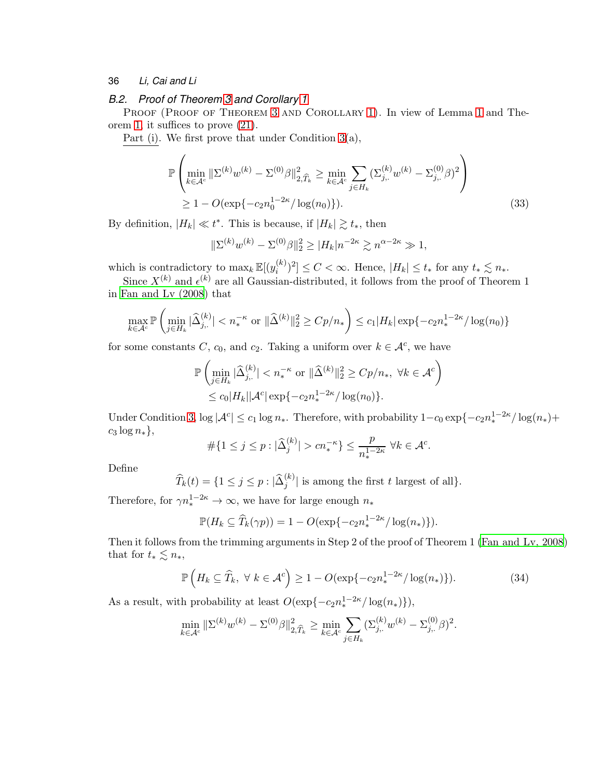# *B.2. Proof of Theorem [3](#page-13-2) and Corollary [1](#page-15-3)*

PROOF (PROOF OF THEOREM [3](#page-13-2) AND COROLLARY [1\)](#page-15-3). In view of Lemma [1](#page-11-1) and Theorem [1,](#page-6-0) it suffices to prove [\(21\)](#page-13-3).

Part (i). We first prove that under Condition [3\(](#page-13-0)a),

$$
\mathbb{P}\left(\min_{k \in \mathcal{A}^c} \|\Sigma^{(k)} w^{(k)} - \Sigma^{(0)}\beta\|_{2, \widehat{T}_k}^2 \ge \min_{k \in \mathcal{A}^c} \sum_{j \in H_k} (\Sigma_{j, \cdot}^{(k)} w^{(k)} - \Sigma_{j, \cdot}^{(0)}\beta)^2 \right) \ge 1 - O(\exp\{-c_2 n_0^{1-2\kappa} / \log(n_0)\}).
$$
\n(33)

By definition,  $|H_k| \ll t^*$ . This is because, if  $|H_k| \gtrsim t_*$ , then

<span id="page-35-0"></span>
$$
\|\Sigma^{(k)} w^{(k)} - \Sigma^{(0)} \beta\|_2^2 \ge |H_k| n^{-2\kappa} \gtrsim n^{\alpha - 2\kappa} \gg 1,
$$

which is contradictory to  $\max_k \mathbb{E}[(y_i^{(k)})]$  $\binom{(k)}{i}^2] \leq C < \infty$ . Hence,  $|H_k| \leq t_*$  for any  $t_* \lesssim n_*$ .

Since  $X^{(k)}$  and  $\epsilon^{(k)}$  are all Gaussian-distributed, it follows from the proof of Theorem 1 in [Fan and Lv \(2008](#page-27-12)) that

$$
\max_{k \in \mathcal{A}^c} \mathbb{P}\left(\min_{j \in H_k} |\widehat{\Delta}_{j,\cdot}^{(k)}| < n_*^{-\kappa} \text{ or } ||\widehat{\Delta}^{(k)}||_2^2 \geq Cp/n_*\right) \leq c_1 |H_k| \exp\{-c_2 n_*^{1-2\kappa}/\log(n_0)\}
$$

for some constants C,  $c_0$ , and  $c_2$ . Taking a uniform over  $k \in \mathcal{A}^c$ , we have

$$
\mathbb{P}\left(\min_{j\in H_k} |\hat{\Delta}_{j,.}^{(k)}| < n_*^{-\kappa} \text{ or } ||\hat{\Delta}^{(k)}||_2^2 \ge Cp/n_*, \ \forall k \in \mathcal{A}^c\right) \\
\le c_0 |H_k| |\mathcal{A}^c| \exp\{-c_2 n_*^{1-2\kappa} / \log(n_0)\}.
$$

Under Condition [3,](#page-13-0)  $\log |\mathcal{A}^c| \leq c_1 \log n_*$ . Therefore, with probability  $1-c_0 \exp\{-c_2 n_*^{1-2\kappa}/\log(n_*)+$  $c_3 \log n_*\},\$ 

$$
\#\{1\leq j\leq p: |\widehat{\Delta}^{(k)}_j|>cn_*^{-\kappa}\}\leq \frac{p}{n_*^{1-2\kappa}}\;\forall k\in\mathcal{A}^c.
$$

Define

 $\widehat{T}_k(t) = \{1 \leq j \leq p : |\widehat{\Delta}_j^{(k)}| \text{ is among the first } t \text{ largest of all}\}.$ 

Therefore, for  $\gamma n_*^{1-2\kappa} \to \infty$ , we have for large enough  $n_*$ 

<span id="page-35-1"></span>
$$
\mathbb{P}(H_k \subseteq \widehat{T}_k(\gamma p)) = 1 - O(\exp\{-c_2 n_*^{1-2\kappa}/\log(n_*)\}).
$$

Then it follows from the trimming arguments in Step 2 of the proof of Theorem 1 [\(Fan and Lv, 2008](#page-27-12)) that for  $t_* \lesssim n_*,$ 

$$
\mathbb{P}\left(H_k \subseteq \widehat{T}_k, \ \forall \ k \in \mathcal{A}^c\right) \ge 1 - O(\exp\{-c_2 n_*^{1-2\kappa} / \log(n_*)\}).\tag{34}
$$

As a result, with probability at least  $O(\exp\{-c_2 n_*^{1-2\kappa}/\log(n_*)\}),$ 

$$
\min_{k \in \mathcal{A}^c} \|\Sigma^{(k)} w^{(k)} - \Sigma^{(0)}\beta\|_{2,\widehat{T}_k}^2 \ge \min_{k \in \mathcal{A}^c} \sum_{j \in H_k} (\Sigma_{j,.}^{(k)} w^{(k)} - \Sigma_{j,.}^{(0)}\beta)^2.
$$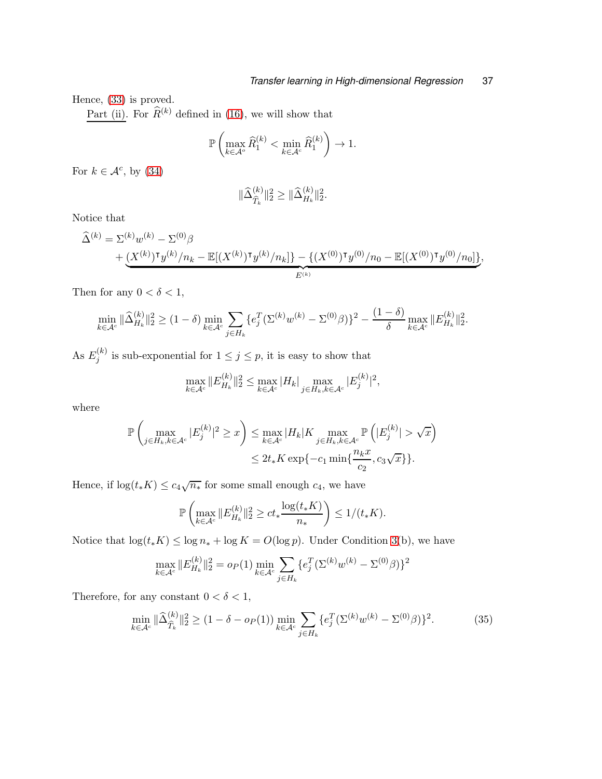Hence, [\(33\)](#page-35-0) is proved.

Part (ii). For  $\widehat{R}^{(k)}$  defined in [\(16\)](#page-11-3), we will show that

$$
\mathbb{P}\left(\max_{k\in\mathcal{A}^o}\widehat{R}_1^{(k)} < \min_{k\in\mathcal{A}^c}\widehat{R}_1^{(k)}\right) \to 1.
$$

For  $k \in \mathcal{A}^c$ , by  $(34)$ 

$$
\|\widehat{\Delta}_{\widehat{T}_k}^{(k)}\|_2^2 \ge \|\widehat{\Delta}_{H_k}^{(k)}\|_2^2.
$$

Notice that

$$
\begin{split} \widehat{\Delta}^{(k)} &= \Sigma^{(k)} w^{(k)} - \Sigma^{(0)} \beta \\ &+ \underbrace{(X^{(k)})^{\intercal} y^{(k)}/n_k - \mathbb{E}[(X^{(k)})^{\intercal} y^{(k)}/n_k]}_{E^{(k)}} - \underbrace{\{(X^{(0)})^{\intercal} y^{(0)}/n_0 - \mathbb{E}[(X^{(0)})^{\intercal} y^{(0)}/n_0] \}}_{E^{(k)}} \end{split}
$$

Then for any  $0 < \delta < 1$ ,

$$
\min_{k \in \mathcal{A}^c} \|\widehat{\Delta}_{H_k}^{(k)}\|_2^2 \ge (1 - \delta) \min_{k \in \mathcal{A}^c} \sum_{j \in H_k} \{e_j^T (\Sigma^{(k)} w^{(k)} - \Sigma^{(0)} \beta)\}^2 - \frac{(1 - \delta)}{\delta} \max_{k \in \mathcal{A}^c} \|E_{H_k}^{(k)}\|_2^2.
$$

As  $E_i^{(k)}$  $j_j^{(k)}$  is sub-exponential for  $1 \leq j \leq p$ , it is easy to show that

$$
\max_{k \in \mathcal{A}^c} \|E_{H_k}^{(k)}\|_2^2 \le \max_{k \in \mathcal{A}^c} |H_k| \max_{j \in H_k, k \in \mathcal{A}^c} |E_j^{(k)}|^2,
$$

where

$$
\mathbb{P}\left(\max_{j\in H_k, k\in \mathcal{A}^c} |E_j^{(k)}|^2 \ge x\right) \le \max_{k\in \mathcal{A}^c} |H_k|K \max_{j\in H_k, k\in \mathcal{A}^c} \mathbb{P}\left(|E_j^{(k)}| > \sqrt{x}\right)
$$
  

$$
\le 2t_*K \exp\{-c_1 \min\{\frac{n_k x}{c_2}, c_3\sqrt{x}\}\}.
$$

Hence, if  $\log(t_* K) \leq c_4 \sqrt{n_*}$  for some small enough  $c_4$ , we have

$$
\mathbb{P}\left(\max_{k\in\mathcal{A}^c} \|E_{H_k}^{(k)}\|_2^2 \ge ct_* \frac{\log(t_*K)}{n_*}\right) \le 1/(t_*K).
$$

Notice that  $\log(t_* K) \leq \log n_* + \log K = O(\log p)$ . Under Condition [3\(](#page-13-0)b), we have

$$
\max_{k \in \mathcal{A}^c} \|E_{H_k}^{(k)}\|_2^2 = o_P(1) \min_{k \in \mathcal{A}^c} \sum_{j \in H_k} \{e_j^T (\Sigma^{(k)} w^{(k)} - \Sigma^{(0)} \beta)\}^2
$$

Therefore, for any constant  $0<\delta<1,$ 

$$
\min_{k \in \mathcal{A}^c} \|\widehat{\Delta}_{\widehat{T}_k}^{(k)}\|_2^2 \ge (1 - \delta - o_P(1)) \min_{k \in \mathcal{A}^c} \sum_{j \in H_k} \{e_j^T(\Sigma^{(k)} w^{(k)} - \Sigma^{(0)} \beta)\}^2. \tag{35}
$$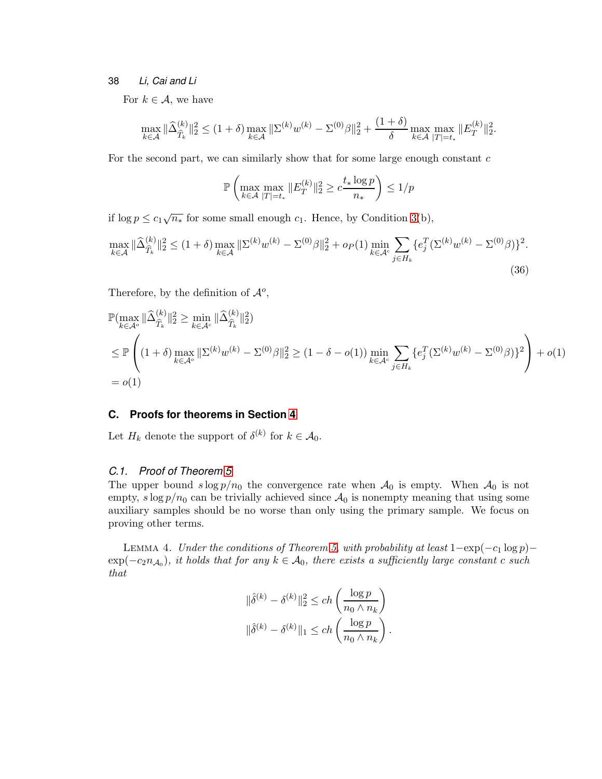For  $k \in \mathcal{A}$ , we have

$$
\max_{k \in \mathcal{A}} \|\widehat{\Delta}_{\widehat{T}_k}^{(k)}\|_2^2 \le (1+\delta) \max_{k \in \mathcal{A}} \|\Sigma^{(k)} w^{(k)} - \Sigma^{(0)}\beta\|_2^2 + \frac{(1+\delta)}{\delta} \max_{k \in \mathcal{A}} \max_{|T| = t_*} \|E_T^{(k)}\|_2^2.
$$

For the second part, we can similarly show that for some large enough constant  $c$ 

$$
\mathbb{P}\left(\max_{k\in\mathcal{A}}\max_{|T|=t_*} \|E_T^{(k)}\|_2^2 \geq c\frac{t_*\log p}{n_*}\right)\leq 1/p
$$

if  $\log p \leq c_1 \sqrt{n_*}$  for some small enough  $c_1$ . Hence, by Condition [3\(](#page-13-0)b),

$$
\max_{k \in \mathcal{A}} \|\widehat{\Delta}_{\widehat{T}_k}^{(k)}\|_2^2 \le (1+\delta) \max_{k \in \mathcal{A}} \|\Sigma^{(k)} w^{(k)} - \Sigma^{(0)}\beta\|_2^2 + o_P(1) \min_{k \in \mathcal{A}^c} \sum_{j \in H_k} \{e_j^T (\Sigma^{(k)} w^{(k)} - \Sigma^{(0)}\beta)\}^2.
$$
\n(36)

Therefore, by the definition of  $\mathcal{A}^o$ ,

$$
\mathbb{P}(\max_{k \in \mathcal{A}^o} \|\widehat{\Delta}_{\widehat{T}_k}^{(k)}\|_2^2 \ge \min_{k \in \mathcal{A}^c} \|\widehat{\Delta}_{\widehat{T}_k}^{(k)}\|_2^2)
$$
\n
$$
\le \mathbb{P}\left((1+\delta)\max_{k \in \mathcal{A}^o} \|\Sigma^{(k)}w^{(k)} - \Sigma^{(0)}\beta\|_2^2 \ge (1-\delta-o(1))\min_{k \in \mathcal{A}^c} \sum_{j \in H_k} \{e_j^T(\Sigma^{(k)}w^{(k)} - \Sigma^{(0)}\beta)\}^2\right) + o(1)
$$
\n
$$
= o(1)
$$

# **C. Proofs for theorems in Section [4](#page-14-0)**

Let  $H_k$  denote the support of  $\delta^{(k)}$  for  $k \in \mathcal{A}_0$ .

# *C.1. Proof of Theorem [5](#page-17-3)*

The upper bound  $s \log p/n_0$  the convergence rate when  $\mathcal{A}_0$  is empty. When  $\mathcal{A}_0$  is not empty,  $s \log p/n_0$  can be trivially achieved since  $\mathcal{A}_0$  is nonempty meaning that using some auxiliary samples should be no worse than only using the primary sample. We focus on proving other terms.

<span id="page-37-0"></span>LEMMA 4. Under the conditions of Theorem [5,](#page-17-3) with probability at least  $1-\exp(-c_1 \log p) \exp(-c_2n_{\mathcal{A}_0})$ , it holds that for any  $k \in \mathcal{A}_0$ , there exists a sufficiently large constant c such that

$$
\begin{aligned} \|\hat{\delta}^{(k)} - \delta^{(k)}\|_2^2 &\le ch\left(\frac{\log p}{n_0 \wedge n_k}\right) \\ \|\hat{\delta}^{(k)} - \delta^{(k)}\|_1 &\le ch\left(\frac{\log p}{n_0 \wedge n_k}\right). \end{aligned}
$$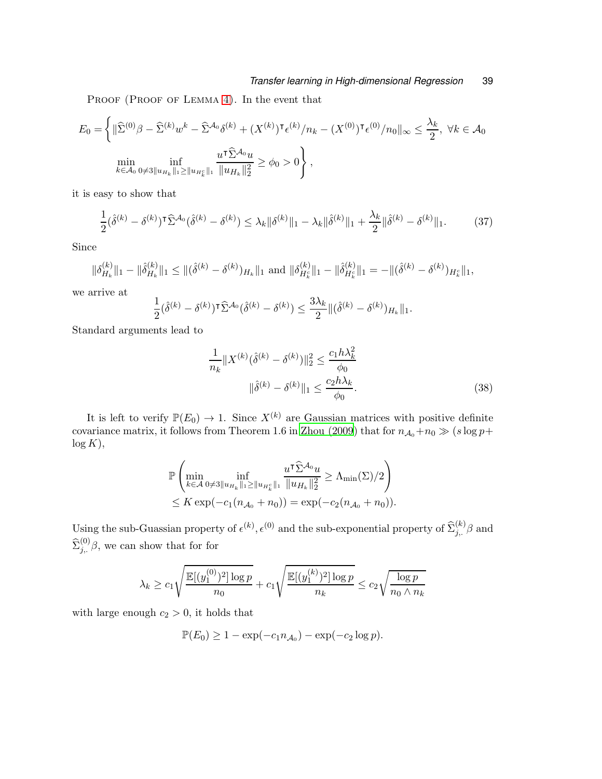PROOF (PROOF OF LEMMA [4\)](#page-37-0). In the event that

$$
E_0 = \left\{ \|\widehat{\Sigma}^{(0)}\beta - \widehat{\Sigma}^{(k)}w^k - \widehat{\Sigma}^{\mathcal{A}_0}\delta^{(k)} + (X^{(k)})^{\mathsf{T}}\epsilon^{(k)}/n_k - (X^{(0)})^{\mathsf{T}}\epsilon^{(0)}/n_0\|_{\infty} \le \frac{\lambda_k}{2}, \ \forall k \in \mathcal{A}_0 \right\}
$$
  
\n
$$
\min_{k \in \mathcal{A}_0} \inf_{0 \neq 3 \|u_{H_k}\|_1 \ge \|u_{H_k}\|_1} \frac{u^{\mathsf{T}}\widehat{\Sigma}^{\mathcal{A}_0}u}{\|u_{H_k}\|_2^2} \ge \phi_0 > 0 \right\},
$$

it is easy to show that

$$
\frac{1}{2}(\hat{\delta}^{(k)} - \delta^{(k)})^{\mathsf{T}} \widehat{\Sigma}^{\mathcal{A}_0}(\hat{\delta}^{(k)} - \delta^{(k)}) \le \lambda_k \|\delta^{(k)}\|_1 - \lambda_k \|\hat{\delta}^{(k)}\|_1 + \frac{\lambda_k}{2} \|\hat{\delta}^{(k)} - \delta^{(k)}\|_1. \tag{37}
$$

Since

$$
\|\delta_{H_k}^{(k)}\|_1 - \|\hat{\delta}_{H_k}^{(k)}\|_1 \leq \|(\hat{\delta}^{(k)} - \delta^{(k)})_{H_k}\|_1 \text{ and } \|\delta_{H_k^c}^{(k)}\|_1 - \|\hat{\delta}_{H_k^c}^{(k)}\|_1 = -\|(\hat{\delta}^{(k)} - \delta^{(k)})_{H_k^c}\|_1,
$$

we arrive at

$$
\frac{1}{2}(\hat{\delta}^{(k)} - \delta^{(k)})^{\mathsf{T}} \widehat{\Sigma}^{\mathcal{A}_0}(\hat{\delta}^{(k)} - \delta^{(k)}) \le \frac{3\lambda_k}{2} \|(\hat{\delta}^{(k)} - \delta^{(k)})_{H_k}\|_1.
$$

Standard arguments lead to

$$
\frac{1}{n_k} \|X^{(k)}(\hat{\delta}^{(k)} - \delta^{(k)})\|_2^2 \le \frac{c_1 h \lambda_k^2}{\phi_0}
$$

$$
\|\hat{\delta}^{(k)} - \delta^{(k)}\|_1 \le \frac{c_2 h \lambda_k}{\phi_0}.
$$
(38)

It is left to verify  $\mathbb{P}(E_0) \to 1$ . Since  $X^{(k)}$  are Gaussian matrices with positive definite covariance matrix, it follows from Theorem 1.6 in [Zhou \(2009\)](#page-28-10) that for  $n_{A_0}+n_0 \gg (s \log p +$  $log K$ ,

$$
\mathbb{P}\left(\min_{k\in\mathcal{A}}\inf_{0\neq 3\|u_{H_k}\|_1\geq\|u_{H_k^c}\|_1}\frac{u^\intercal \widehat{\Sigma}^{\mathcal{A}_0}u}{\|u_{H_k}\|_2^2}\geq \Lambda_{\min}(\Sigma)/2\right) \leq K \exp(-c_1(n_{\mathcal{A}_0}+n_0)) = \exp(-c_2(n_{\mathcal{A}_0}+n_0)).
$$

Using the sub-Guassian property of  $\epsilon^{(k)}$ ,  $\epsilon^{(0)}$  and the sub-exponential property of  $\hat{\Sigma}_{j}^{(k)}$  and  $\widehat{\Sigma}_{j,.}^{(0)}\beta$ , we can show that for for

$$
\lambda_k \geq c_1 \sqrt{\frac{\mathbb{E}[(y_1^{(0)})^2] \log p}{n_0}} + c_1 \sqrt{\frac{\mathbb{E}[(y_1^{(k)})^2] \log p}{n_k}} \leq c_2 \sqrt{\frac{\log p}{n_0 \wedge n_k}}
$$

with large enough  $c_2 > 0$ , it holds that

$$
\mathbb{P}(E_0) \geq 1 - \exp(-c_1 n_{\mathcal{A}_0}) - \exp(-c_2 \log p).
$$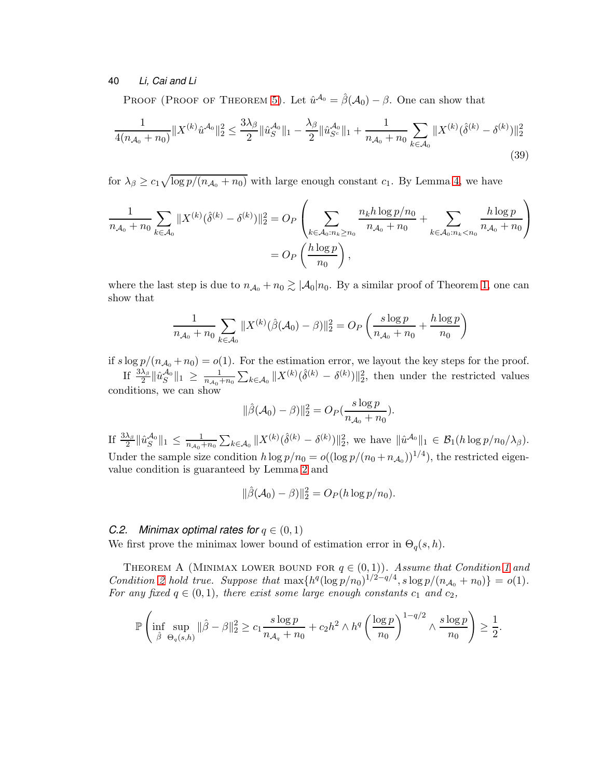PROOF (PROOF OF THEOREM [5\)](#page-17-3). Let  $\hat{u}^{\mathcal{A}_0} = \hat{\beta}(\mathcal{A}_0) - \beta$ . One can show that

$$
\frac{1}{4(n_{\mathcal{A}_0} + n_0)} \|X^{(k)} \hat{u}^{\mathcal{A}_0}\|_2^2 \le \frac{3\lambda_\beta}{2} \|\hat{u}_S^{\mathcal{A}_0}\|_1 - \frac{\lambda_\beta}{2} \|\hat{u}_{S^c}^{\mathcal{A}_0}\|_1 + \frac{1}{n_{\mathcal{A}_0} + n_0} \sum_{k \in \mathcal{A}_0} \|X^{(k)} (\hat{\delta}^{(k)} - \delta^{(k)})\|_2^2
$$
\n(39)

for  $\lambda_{\beta} \geq c_1 \sqrt{\log p/(n_{\mathcal{A}_0} + n_0)}$  with large enough constant  $c_1$ . By Lemma [4,](#page-37-0) we have

$$
\frac{1}{n_{\mathcal{A}_0} + n_0} \sum_{k \in \mathcal{A}_0} \|X^{(k)}(\hat{\delta}^{(k)} - \delta^{(k)})\|_2^2 = O_P\left(\sum_{k \in \mathcal{A}_0 : n_k \ge n_0} \frac{n_k h \log p/n_0}{n_{\mathcal{A}_0} + n_0} + \sum_{k \in \mathcal{A}_0 : n_k < n_0} \frac{h \log p}{n_{\mathcal{A}_0} + n_0}\right)
$$
\n
$$
= O_P\left(\frac{h \log p}{n_0}\right),
$$

where the last step is due to  $n_{A_0} + n_0 \gtrsim |A_0| n_0$ . By a similar proof of Theorem [1,](#page-6-0) one can show that

$$
\frac{1}{n_{\mathcal{A}_0} + n_0} \sum_{k \in \mathcal{A}_0} \| X^{(k)} (\hat{\beta}(\mathcal{A}_0) - \beta) \|_2^2 = O_P \left( \frac{s \log p}{n_{\mathcal{A}_0} + n_0} + \frac{h \log p}{n_0} \right)
$$

if  $s \log p/(n_{A_0} + n_0) = o(1)$ . For the estimation error, we layout the key steps for the proof. If  $\frac{3\lambda_{\beta}}{2} \|\hat{u}_S^{\mathcal{A}_0}\|_1 \geq \frac{1}{n_{{\mathcal{A}}_0}^{-1}}$  $\frac{1}{n_{\mathcal{A}_0}+n_0}\sum_{k\in\mathcal{A}_0}||X^{(k)}(\hat{\delta}^{(k)}-\delta^{(k)})||_2^2$ , then under the restricted values conditions, we can show

$$
\|\hat{\beta}(\mathcal{A}_0) - \beta)\|_2^2 = O_P(\frac{s \log p}{n_{\mathcal{A}_0} + n_0}).
$$

If  $\frac{3\lambda_{\beta}}{2} \|\hat{u}_S^{\mathcal{A}_0}\|_1 \leq \frac{1}{n_{\mathcal{A}_0}}$  $\frac{1}{n_{\mathcal{A}_0}+n_0}\sum_{k\in\mathcal{A}_0}||X^{(k)}(\hat{\delta}^{(k)}-\delta^{(k)})||_2^2$ , we have  $\|\hat{u}^{\mathcal{A}_0}\|_1 \in \mathcal{B}_1(h\log p/n_0/\lambda_\beta)$ . Under the sample size condition  $h \log p/n_0 = o((\log p/(n_0 + n_{\mathcal{A}_0}))^{1/4})$ , the restricted eigenvalue condition is guaranteed by Lemma [2](#page-28-9) and

<span id="page-39-0"></span>
$$
\|\hat{\beta}(\mathcal{A}_0) - \beta)\|_2^2 = O_P(h \log p/n_0).
$$

# *C.2. Minimax optimal rates for*  $q \in (0,1)$

We first prove the minimax lower bound of estimation error in  $\Theta_q(s, h)$ .

THEOREM A (MINIMAX LOWER BOUND FOR  $q \in (0,1)$ ). Assume that Condition [1](#page-6-1) and Condition [2](#page-6-2) hold true. Suppose that  $\max\{h^q(\log p/n_0)^{1/2-q/4}, s\log p/(n_{\mathcal{A}_0}+n_0)\} = o(1)$ . For any fixed  $q \in (0, 1)$ , there exist some large enough constants  $c_1$  and  $c_2$ ,

$$
\mathbb{P}\left(\inf_{\hat{\beta}}\sup_{\Theta_q(s,h)}\|\hat{\beta}-\beta\|_2^2 \geq c_1\frac{s\log p}{n_{\mathcal{A}_q}+n_0}+c_2h^2\wedge h^q\left(\frac{\log p}{n_0}\right)^{1-q/2}\wedge \frac{s\log p}{n_0}\right)\geq \frac{1}{2}.
$$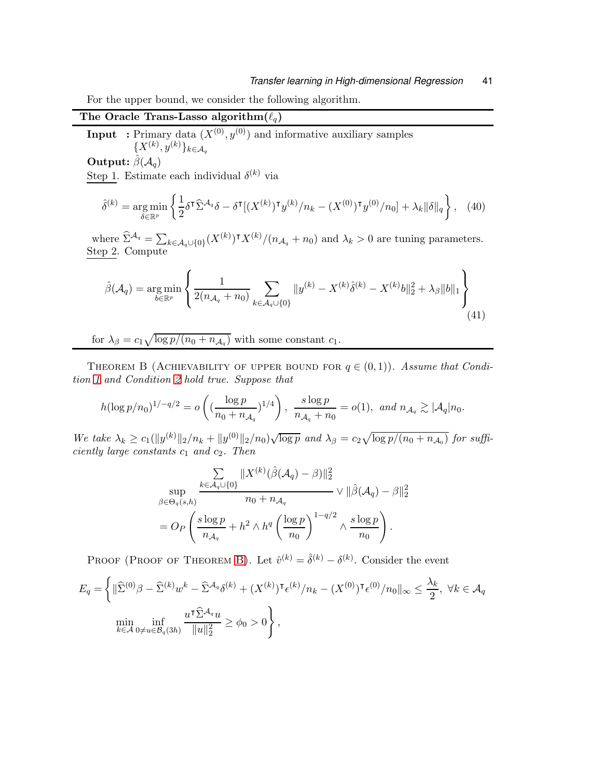For the upper bound, we consider the following algorithm.

# The Oracle Trans-Lasso algorithm $(\ell_q)$

**Input** : Primary data  $(X^{(0)}, y^{(0)})$  and informative auxiliary samples  $\{X^{(k)}, y^{(k)}\}_{k\in\mathcal{A}_q}$ 

Output:  $\hat{\beta}(\mathcal{A}_q)$ 

Step 1. Estimate each individual  $\delta^{(k)}$  via

$$
\hat{\delta}^{(k)} = \underset{\delta \in \mathbb{R}^p}{\arg \min} \left\{ \frac{1}{2} \delta^{\mathsf{T}} \widehat{\Sigma}^{\mathcal{A}_q} \delta - \delta^{\mathsf{T}} \left[ (X^{(k)})^{\mathsf{T}} y^{(k)} / n_k - (X^{(0)})^{\mathsf{T}} y^{(0)} / n_0 \right] + \lambda_k \|\delta\|_q \right\}, \tag{40}
$$

where  $\hat{\Sigma}^{\mathcal{A}_q} = \sum_{k \in \mathcal{A}_q \cup \{0\}} (X^{(k)})^{\dagger} X^{(k)} / (n_{\mathcal{A}_q} + n_0)$  and  $\lambda_k > 0$  are tuning parameters. Step 2. Compute

$$
\hat{\beta}(\mathcal{A}_q) = \underset{b \in \mathbb{R}^p}{\arg \min} \left\{ \frac{1}{2(n_{\mathcal{A}_q} + n_0)} \sum_{k \in \mathcal{A}_q \cup \{0\}} \|y^{(k)} - X^{(k)}\hat{\delta}^{(k)} - X^{(k)}b\|_2^2 + \lambda_{\beta} \|b\|_1 \right\}
$$
(41)

for  $\lambda_{\beta} = c_1 \sqrt{\log p/(n_0 + n_{\mathcal{A}_q})}$  with some constant  $c_1$ .

<span id="page-40-0"></span>THEOREM B (ACHIEVABILITY OF UPPER BOUND FOR  $q \in (0,1)$ ). Assume that Condition [1](#page-6-1) and Condition [2](#page-6-2) hold true. Suppose that

$$
h(\log p/n_0)^{1/q/2} = o\left(\left(\frac{\log p}{n_0 + n_{\mathcal{A}_q}}\right)^{1/4}\right), \frac{s \log p}{n_{\mathcal{A}_q} + n_0} = o(1), \text{ and } n_{\mathcal{A}_q} \gtrsim |\mathcal{A}_q| n_0.
$$

We take  $\lambda_k \geq c_1(||y^{(k)}||_2/n_k + ||y^{(0)}||_2/n_0) \sqrt{\log p}$  and  $\lambda_\beta = c_2 \sqrt{\log p/(n_0 + n_{\mathcal{A}_0})}$  for sufficiently large constants  $c_1$  and  $c_2$ . Then

$$
\sup_{\beta \in \Theta_q(s,h)} \frac{\sum\limits_{k \in \mathcal{A}_q \cup \{0\}} \|X^{(k)}(\hat{\beta}(\mathcal{A}_q) - \beta)\|_2^2}{n_0 + n_{\mathcal{A}_q}} \vee \|\hat{\beta}(\mathcal{A}_q) - \beta\|_2^2
$$

$$
= O_P\left(\frac{s \log p}{n_{\mathcal{A}_q}} + h^2 \wedge h^q \left(\frac{\log p}{n_0}\right)^{1-q/2} \wedge \frac{s \log p}{n_0}\right).
$$

PROOF (PROOF OF THEOREM [B\)](#page-40-0). Let  $\hat{v}^{(k)} = \hat{\delta}^{(k)} - \delta^{(k)}$ . Consider the event

$$
E_q = \left\{ \|\widehat{\Sigma}^{(0)}\beta - \widehat{\Sigma}^{(k)}w^k - \widehat{\Sigma}^{\mathcal{A}_q}\delta^{(k)} + (X^{(k)})^{\mathsf{T}}\epsilon^{(k)}/n_k - (X^{(0)})^{\mathsf{T}}\epsilon^{(0)}/n_0\|_{\infty} \le \frac{\lambda_k}{2}, \ \forall k \in \mathcal{A}_q \right\}
$$
  
\n
$$
\min_{k \in \mathcal{A}} \inf_{0 \ne u \in \mathcal{B}_q(3h)} \frac{u^{\mathsf{T}}\widehat{\Sigma}^{\mathcal{A}_q}u}{\|u\|_2^2} \ge \phi_0 > 0 \right\},
$$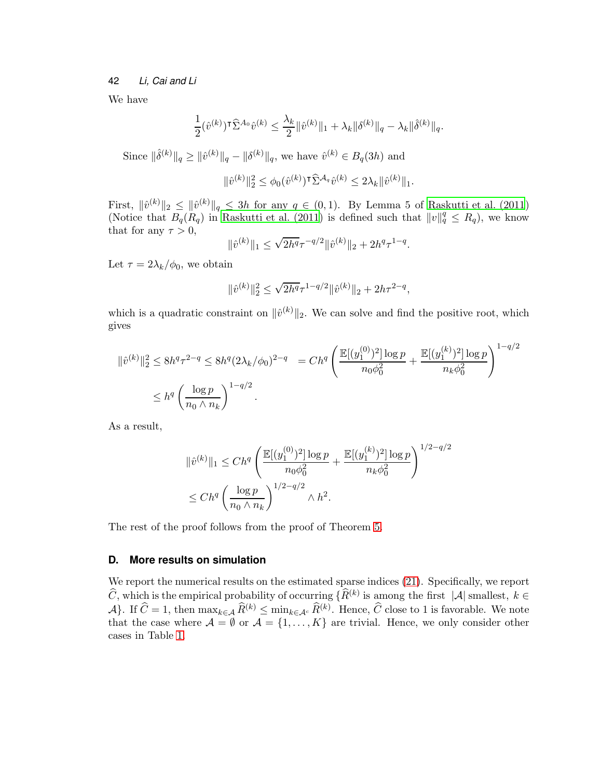We have

$$
\frac{1}{2}(\hat{v}^{(k)})^{\mathsf{T}}\widehat{\Sigma}^{A_0}\hat{v}^{(k)} \le \frac{\lambda_k}{2} \|\hat{v}^{(k)}\|_1 + \lambda_k \|\delta^{(k)}\|_q - \lambda_k \|\hat{\delta}^{(k)}\|_q.
$$

Since  $\|\hat{\delta}^{(k)}\|_q \geq \|\hat{v}^{(k)}\|_q - \|\delta^{(k)}\|_q$ , we have  $\hat{v}^{(k)} \in B_q(3h)$  and

$$
\|\hat{v}^{(k)}\|_2^2 \leq \phi_0(\hat{v}^{(k)})^\intercal \hat{\Sigma}^{\mathcal{A}_q} \hat{v}^{(k)} \leq 2\lambda_k \|\hat{v}^{(k)}\|_1.
$$

First,  $\|\hat{v}^{(k)}\|_2 \leq \|\hat{v}^{(k)}\|_q \leq 3h$  for any  $q \in (0,1)$ . By Lemma 5 of [Raskutti et al. \(2011](#page-27-8)) (Notice that  $B_q(R_q)$  in [Raskutti et al. \(2011\)](#page-27-8) is defined such that  $||v||_q^q \leq R_q$ ), we know that for any  $\tau > 0$ ,

$$
\|\hat{v}^{(k)}\|_1 \le \sqrt{2h^q}\tau^{-q/2} \|\hat{v}^{(k)}\|_2 + 2h^q\tau^{1-q}.
$$

Let  $\tau = 2\lambda_k/\phi_0$ , we obtain

$$
\|\hat{v}^{(k)}\|_2^2 \leq \sqrt{2h^q}\tau^{1-q/2}\|\hat{v}^{(k)}\|_2 + 2h\tau^{2-q},
$$

which is a quadratic constraint on  $\|\hat{v}^{(k)}\|_2$ . We can solve and find the positive root, which gives

$$
\begin{aligned} \|\hat{v}^{(k)}\|_2^2 &\le 8h^q \tau^{2-q} \le 8h^q (2\lambda_k/\phi_0)^{2-q} \quad = Ch^q \left( \frac{\mathbb{E}[(y_1^{(0)})^2] \log p}{n_0 \phi_0^2} + \frac{\mathbb{E}[(y_1^{(k)})^2] \log p}{n_k \phi_0^2} \right)^{1-q/2} \\ &\le h^q \left( \frac{\log p}{n_0 \wedge n_k} \right)^{1-q/2} .\end{aligned}
$$

As a result,

$$
\begin{aligned} &\|\hat{v}^{(k)}\|_{1} \leq Ch^{q} \left( \frac{\mathbb{E}[(y_{1}^{(0)})^{2}] \log p}{n_{0} \phi_{0}^{2}} + \frac{\mathbb{E}[(y_{1}^{(k)})^{2}] \log p}{n_{k} \phi_{0}^{2}} \right)^{1/2 - q/2} \\ &\leq Ch^{q} \left( \frac{\log p}{n_{0} \wedge n_{k}} \right)^{1/2 - q/2} \wedge h^{2} .\end{aligned}
$$

The rest of the proof follows from the proof of Theorem [5.](#page-17-3)

# **D. More results on simulation**

We report the numerical results on the estimated sparse indices  $(21)$ . Specifically, we report  $\widehat{C}$ , which is the empirical probability of occurring  $\{R^{(k)}\}$  is among the first  $|\mathcal{A}|$  smallest,  $k \in \mathbb{R}$ A}. If  $\hat{C} = 1$ , then  $\max_{k \in \mathcal{A}} \hat{R}^{(k)} \le \min_{k \in \mathcal{A}^c} \hat{R}^{(k)}$ . Hence,  $\hat{C}$  close to 1 is favorable. We note that the case where  $\mathcal{A} = \emptyset$  or  $\mathcal{A} = \{1, ..., K\}$  are trivial. Hence, we only consider other cases in Table [1.](#page-42-0)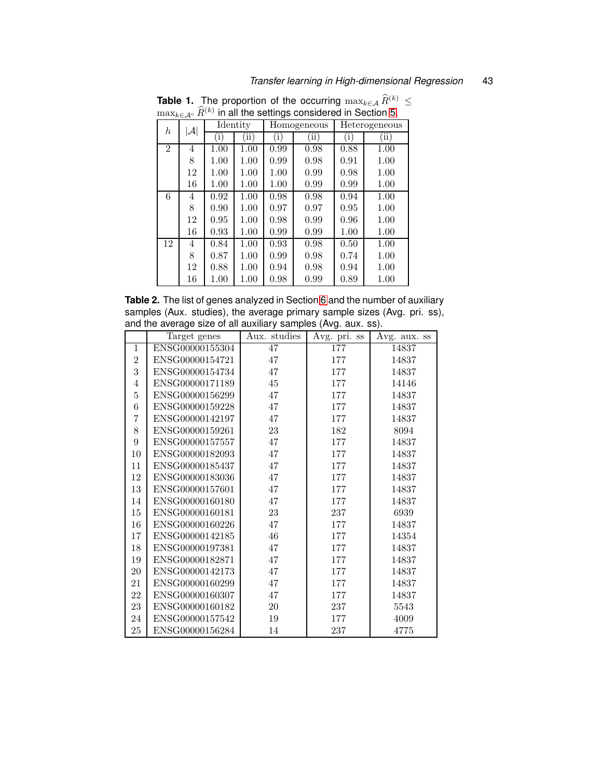| $\max_{k \in \mathcal{A}^c} R^{\langle k \rangle}$ in all the settings considered in Section 5. |                 |          |           |              |      |               |      |
|-------------------------------------------------------------------------------------------------|-----------------|----------|-----------|--------------|------|---------------|------|
| h                                                                                               | $ \mathcal{A} $ | Identity |           | Homogeneous  |      | Heterogeneous |      |
|                                                                                                 |                 | i        | $\rm ii)$ | $\mathbf{1}$ | 'ii) | [i]           | ίï   |
| $\overline{2}$                                                                                  | 4               | 1.00     | 1.00      | 0.99         | 0.98 | 0.88          | 1.00 |
|                                                                                                 | 8               | 1.00     | 1.00      | 0.99         | 0.98 | 0.91          | 1.00 |
|                                                                                                 | 12              | 1.00     | 1.00      | 1.00         | 0.99 | 0.98          | 1.00 |
|                                                                                                 | 16              | 1.00     | 1.00      | 1.00         | 0.99 | 0.99          | 1.00 |
| 6                                                                                               | 4               | 0.92     | 1.00      | 0.98         | 0.98 | 0.94          | 1.00 |
|                                                                                                 | 8               | 0.90     | 1.00      | 0.97         | 0.97 | 0.95          | 1.00 |
|                                                                                                 | 12              | 0.95     | 1.00      | 0.98         | 0.99 | 0.96          | 1.00 |
|                                                                                                 | 16              | 0.93     | 1.00      | 0.99         | 0.99 | 1.00          | 1.00 |
| 12                                                                                              | 4               | 0.84     | 1.00      | 0.93         | 0.98 | 0.50          | 1.00 |
|                                                                                                 | 8               | 0.87     | 1.00      | 0.99         | 0.98 | 0.74          | 1.00 |
|                                                                                                 | 12              | 0.88     | 1.00      | 0.94         | 0.98 | 0.94          | 1.00 |
|                                                                                                 | 16              | 1.00     | 1.00      | 0.98         | 0.99 | 0.89          | 1.00 |

<span id="page-42-0"></span>**Table 1.** The proportion of the occurring  $\max_{k \in A} \widehat{R}^{(k)} \leq$  $\max_{k \in \mathcal{A}^c} \widehat{R}^{(k)}$  in all the settings considered in Section [5.](#page-18-0)

**Table 2.** The list of genes analyzed in Section [6](#page-22-0) and the number of auxiliary samples (Aux. studies), the average primary sample sizes (Avg. pri. ss), and the average size of all auxiliary samples (Avg. aux. ss).

|                | Target genes    | Aux. studies | Avg. pri. ss | Avg. aux. ss |
|----------------|-----------------|--------------|--------------|--------------|
| 1              | ENSG00000155304 | 47           | 177          | 14837        |
| $\overline{2}$ | ENSG00000154721 | 47           | 177          | 14837        |
| 3              | ENSG00000154734 | 47           | 177          | 14837        |
| $\overline{4}$ | ENSG00000171189 | 45           | 177          | 14146        |
| $\overline{5}$ | ENSG00000156299 | 47           | 177          | 14837        |
| 6              | ENSG00000159228 | 47           | 177          | 14837        |
| $\overline{7}$ | ENSG00000142197 | 47           | 177          | 14837        |
| $8\,$          | ENSG00000159261 | 23           | 182          | 8094         |
| 9              | ENSG00000157557 | 47           | 177          | 14837        |
| 10             | ENSG00000182093 | 47           | 177          | 14837        |
| 11             | ENSG00000185437 | 47           | 177          | 14837        |
| 12             | ENSG00000183036 | 47           | 177          | 14837        |
| 13             | ENSG00000157601 | 47           | 177          | 14837        |
| 14             | ENSG00000160180 | 47           | 177          | 14837        |
| 15             | ENSG00000160181 | 23           | 237          | 6939         |
| 16             | ENSG00000160226 | 47           | 177          | 14837        |
| 17             | ENSG00000142185 | 46           | 177          | 14354        |
| 18             | ENSG00000197381 | 47           | 177          | 14837        |
| 19             | ENSG00000182871 | 47           | 177          | 14837        |
| 20             | ENSG00000142173 | 47           | 177          | 14837        |
| 21             | ENSG00000160299 | 47           | 177          | 14837        |
| 22             | ENSG00000160307 | 47           | 177          | 14837        |
| 23             | ENSG00000160182 | 20           | 237          | 5543         |
| 24             | ENSG00000157542 | 19           | 177          | 4009         |
| 25             | ENSG00000156284 | 14           | 237          | 4775         |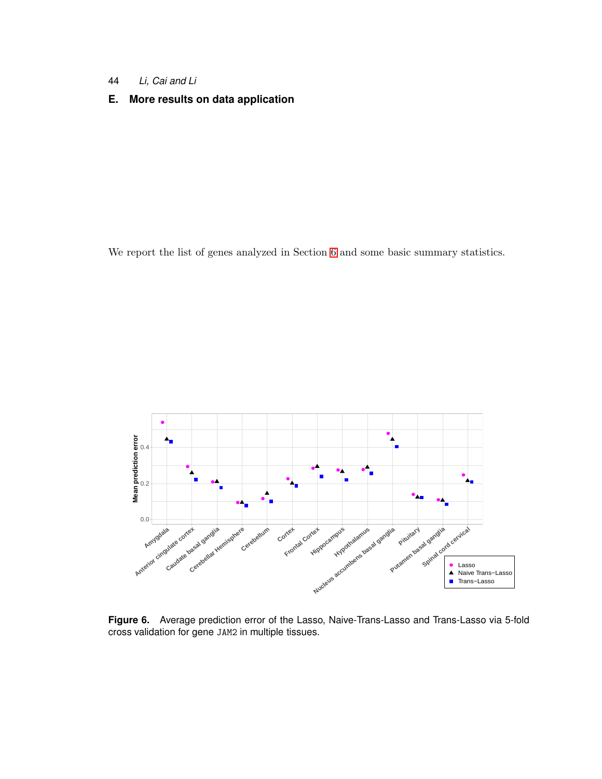- 44 *Li, Cai and Li*
- **E. More results on data application**

We report the list of genes analyzed in Section [6](#page-22-0) and some basic summary statistics.



**Figure 6.** Average prediction error of the Lasso, Naive-Trans-Lasso and Trans-Lasso via 5-fold cross validation for gene JAM2 in multiple tissues.